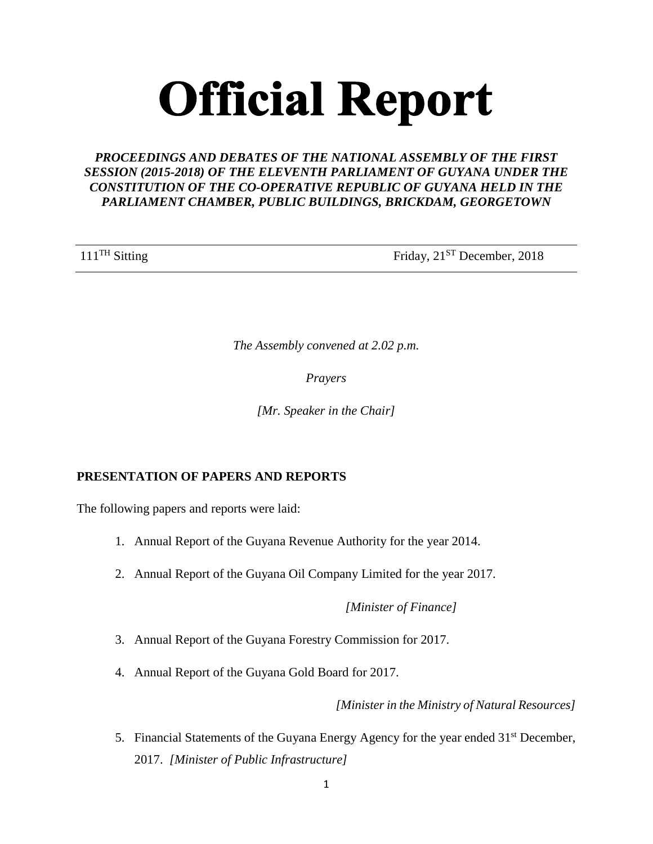# **Official Report**

# *PROCEEDINGS AND DEBATES OF THE NATIONAL ASSEMBLY OF THE FIRST SESSION (2015-2018) OF THE ELEVENTH PARLIAMENT OF GUYANA UNDER THE CONSTITUTION OF THE CO-OPERATIVE REPUBLIC OF GUYANA HELD IN THE PARLIAMENT CHAMBER, PUBLIC BUILDINGS, BRICKDAM, GEORGETOWN*

111<sup>TH</sup> Sitting Friday, 21<sup>ST</sup> December, 2018

*The Assembly convened at 2.02 p.m.*

*Prayers*

*[Mr. Speaker in the Chair]*

# **PRESENTATION OF PAPERS AND REPORTS**

The following papers and reports were laid:

- 1. Annual Report of the Guyana Revenue Authority for the year 2014.
- 2. Annual Report of the Guyana Oil Company Limited for the year 2017.

*[Minister of Finance]* 

- 3. Annual Report of the Guyana Forestry Commission for 2017.
- 4. Annual Report of the Guyana Gold Board for 2017.

 *[Minister in the Ministry of Natural Resources]*

5. Financial Statements of the Guyana Energy Agency for the year ended 31<sup>st</sup> December, 2017. *[Minister of Public Infrastructure]*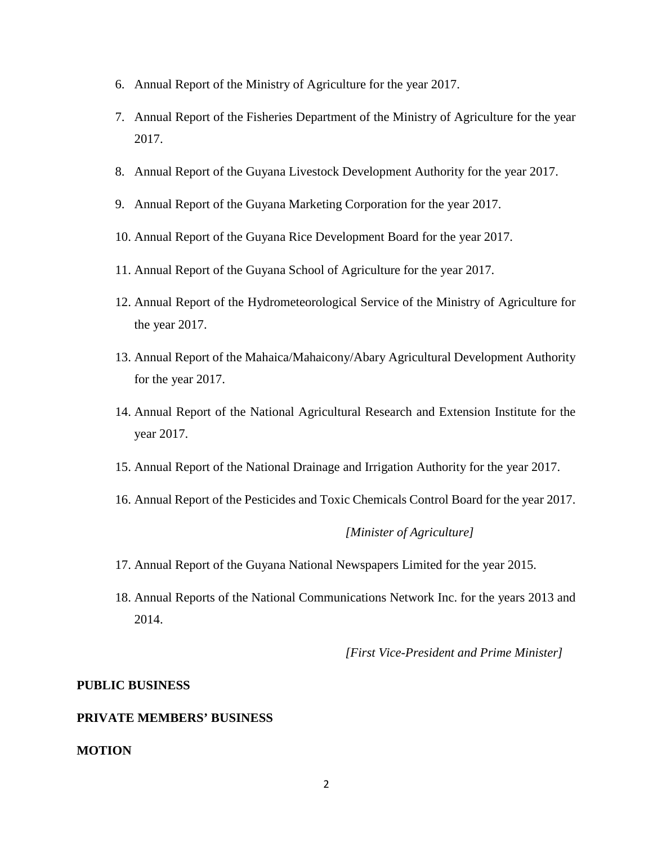- 6. Annual Report of the Ministry of Agriculture for the year 2017.
- 7. Annual Report of the Fisheries Department of the Ministry of Agriculture for the year 2017.
- 8. Annual Report of the Guyana Livestock Development Authority for the year 2017.
- 9. Annual Report of the Guyana Marketing Corporation for the year 2017.
- 10. Annual Report of the Guyana Rice Development Board for the year 2017.
- 11. Annual Report of the Guyana School of Agriculture for the year 2017.
- 12. Annual Report of the Hydrometeorological Service of the Ministry of Agriculture for the year 2017.
- 13. Annual Report of the Mahaica/Mahaicony/Abary Agricultural Development Authority for the year 2017.
- 14. Annual Report of the National Agricultural Research and Extension Institute for the year 2017.
- 15. Annual Report of the National Drainage and Irrigation Authority for the year 2017.
- 16. Annual Report of the Pesticides and Toxic Chemicals Control Board for the year 2017.

# *[Minister of Agriculture]*

- 17. Annual Report of the Guyana National Newspapers Limited for the year 2015.
- 18. Annual Reports of the National Communications Network Inc. for the years 2013 and 2014.

*[First Vice-President and Prime Minister]*

# **PUBLIC BUSINESS**

#### **PRIVATE MEMBERS' BUSINESS**

#### **MOTION**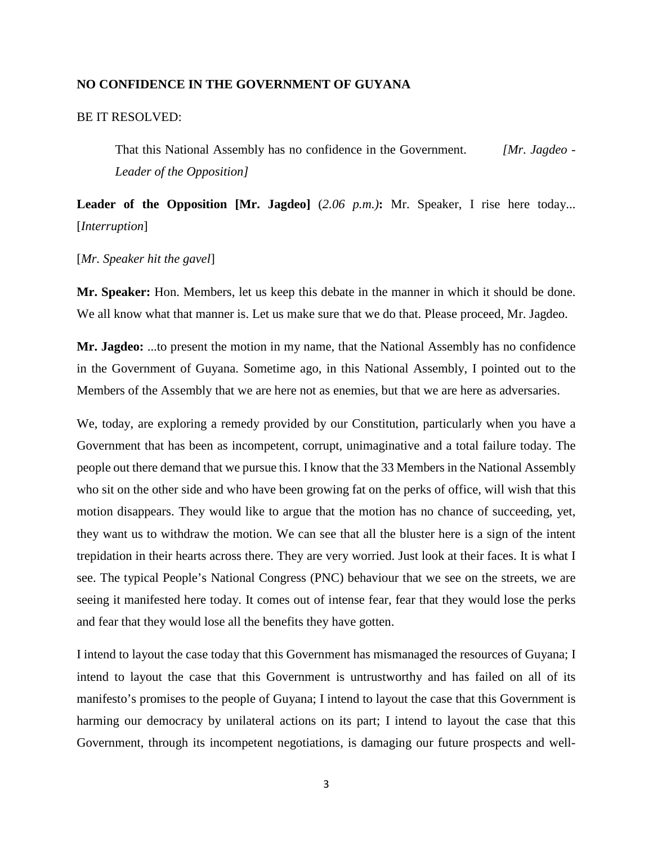# **NO CONFIDENCE IN THE GOVERNMENT OF GUYANA**

# BE IT RESOLVED:

That this National Assembly has no confidence in the Government. *[Mr. Jagdeo - Leader of the Opposition]*

**Leader of the Opposition [Mr. Jagdeo]** (*2.06 p.m.)***:** Mr. Speaker, I rise here today... [*Interruption*]

#### [*Mr. Speaker hit the gavel*]

**Mr. Speaker:** Hon. Members, let us keep this debate in the manner in which it should be done. We all know what that manner is. Let us make sure that we do that. Please proceed, Mr. Jagdeo.

**Mr. Jagdeo:** ...to present the motion in my name, that the National Assembly has no confidence in the Government of Guyana. Sometime ago, in this National Assembly, I pointed out to the Members of the Assembly that we are here not as enemies, but that we are here as adversaries.

We, today, are exploring a remedy provided by our Constitution, particularly when you have a Government that has been as incompetent, corrupt, unimaginative and a total failure today. The people out there demand that we pursue this. I know that the 33 Members in the National Assembly who sit on the other side and who have been growing fat on the perks of office, will wish that this motion disappears. They would like to argue that the motion has no chance of succeeding, yet, they want us to withdraw the motion. We can see that all the bluster here is a sign of the intent trepidation in their hearts across there. They are very worried. Just look at their faces. It is what I see. The typical People's National Congress (PNC) behaviour that we see on the streets, we are seeing it manifested here today. It comes out of intense fear, fear that they would lose the perks and fear that they would lose all the benefits they have gotten.

I intend to layout the case today that this Government has mismanaged the resources of Guyana; I intend to layout the case that this Government is untrustworthy and has failed on all of its manifesto's promises to the people of Guyana; I intend to layout the case that this Government is harming our democracy by unilateral actions on its part; I intend to layout the case that this Government, through its incompetent negotiations, is damaging our future prospects and well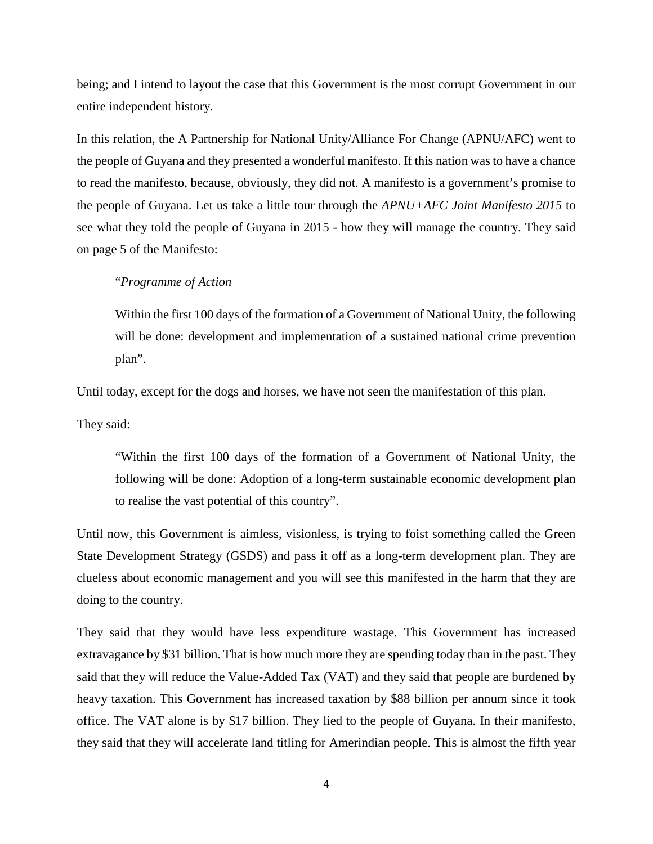being; and I intend to layout the case that this Government is the most corrupt Government in our entire independent history.

In this relation, the A Partnership for National Unity/Alliance For Change (APNU/AFC) went to the people of Guyana and they presented a wonderful manifesto. If this nation was to have a chance to read the manifesto, because, obviously, they did not. A manifesto is a government's promise to the people of Guyana. Let us take a little tour through the *APNU+AFC Joint Manifesto 2015* to see what they told the people of Guyana in 2015 - how they will manage the country. They said on page 5 of the Manifesto:

### "*Programme of Action*

Within the first 100 days of the formation of a Government of National Unity, the following will be done: development and implementation of a sustained national crime prevention plan".

Until today, except for the dogs and horses, we have not seen the manifestation of this plan.

They said:

"Within the first 100 days of the formation of a Government of National Unity, the following will be done: Adoption of a long-term sustainable economic development plan to realise the vast potential of this country".

Until now, this Government is aimless, visionless, is trying to foist something called the Green State Development Strategy (GSDS) and pass it off as a long-term development plan. They are clueless about economic management and you will see this manifested in the harm that they are doing to the country.

They said that they would have less expenditure wastage. This Government has increased extravagance by \$31 billion. That is how much more they are spending today than in the past. They said that they will reduce the Value-Added Tax (VAT) and they said that people are burdened by heavy taxation. This Government has increased taxation by \$88 billion per annum since it took office. The VAT alone is by \$17 billion. They lied to the people of Guyana. In their manifesto, they said that they will accelerate land titling for Amerindian people. This is almost the fifth year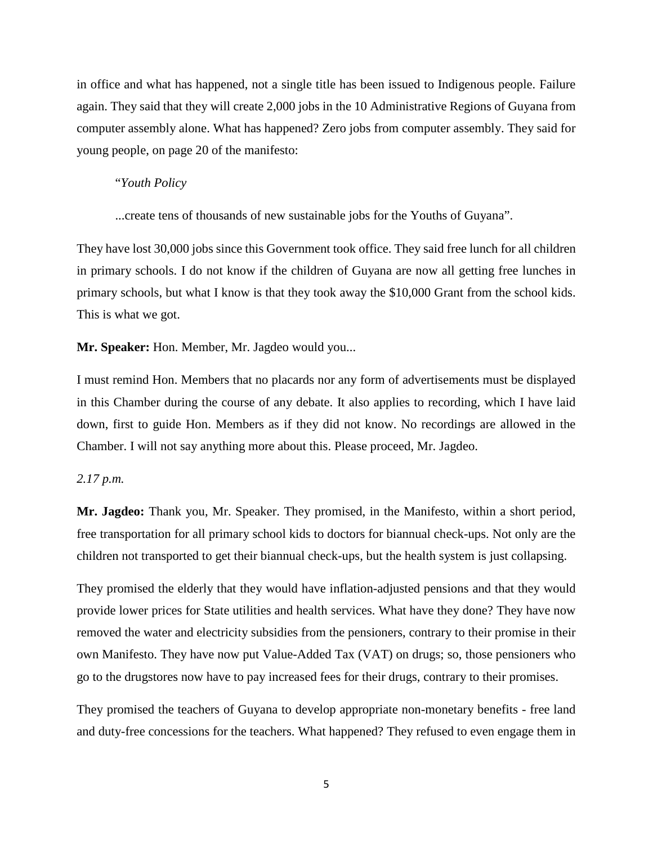in office and what has happened, not a single title has been issued to Indigenous people. Failure again. They said that they will create 2,000 jobs in the 10 Administrative Regions of Guyana from computer assembly alone. What has happened? Zero jobs from computer assembly. They said for young people, on page 20 of the manifesto:

#### "*Youth Policy*

...create tens of thousands of new sustainable jobs for the Youths of Guyana".

They have lost 30,000 jobs since this Government took office. They said free lunch for all children in primary schools. I do not know if the children of Guyana are now all getting free lunches in primary schools, but what I know is that they took away the \$10,000 Grant from the school kids. This is what we got.

### **Mr. Speaker:** Hon. Member, Mr. Jagdeo would you...

I must remind Hon. Members that no placards nor any form of advertisements must be displayed in this Chamber during the course of any debate. It also applies to recording, which I have laid down, first to guide Hon. Members as if they did not know. No recordings are allowed in the Chamber. I will not say anything more about this. Please proceed, Mr. Jagdeo.

#### *2.17 p.m.*

**Mr. Jagdeo:** Thank you, Mr. Speaker. They promised, in the Manifesto, within a short period, free transportation for all primary school kids to doctors for biannual check-ups. Not only are the children not transported to get their biannual check-ups, but the health system is just collapsing.

They promised the elderly that they would have inflation-adjusted pensions and that they would provide lower prices for State utilities and health services. What have they done? They have now removed the water and electricity subsidies from the pensioners, contrary to their promise in their own Manifesto. They have now put Value-Added Tax (VAT) on drugs; so, those pensioners who go to the drugstores now have to pay increased fees for their drugs, contrary to their promises.

They promised the teachers of Guyana to develop appropriate non-monetary benefits - free land and duty-free concessions for the teachers. What happened? They refused to even engage them in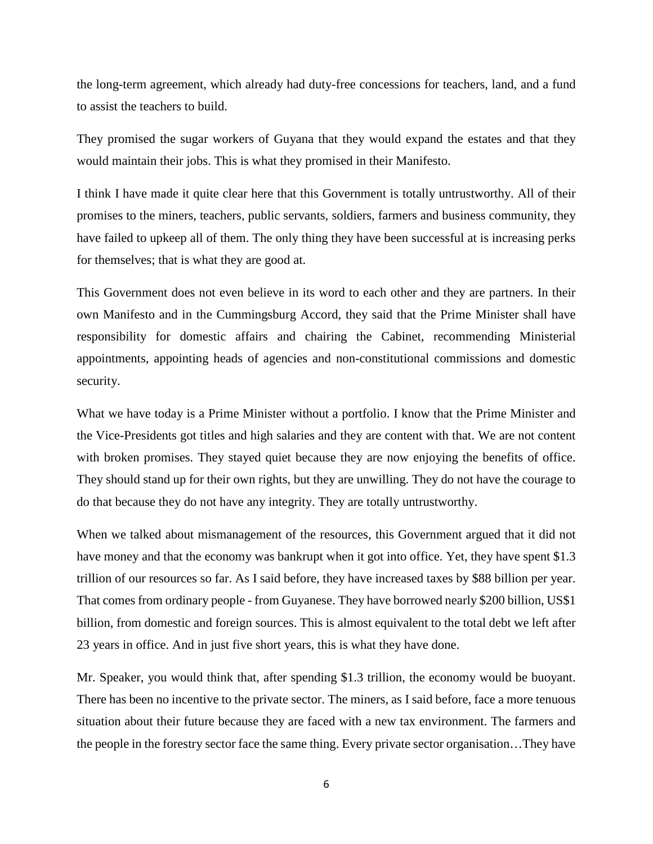the long-term agreement, which already had duty-free concessions for teachers, land, and a fund to assist the teachers to build.

They promised the sugar workers of Guyana that they would expand the estates and that they would maintain their jobs. This is what they promised in their Manifesto.

I think I have made it quite clear here that this Government is totally untrustworthy. All of their promises to the miners, teachers, public servants, soldiers, farmers and business community, they have failed to upkeep all of them. The only thing they have been successful at is increasing perks for themselves; that is what they are good at.

This Government does not even believe in its word to each other and they are partners. In their own Manifesto and in the Cummingsburg Accord, they said that the Prime Minister shall have responsibility for domestic affairs and chairing the Cabinet, recommending Ministerial appointments, appointing heads of agencies and non-constitutional commissions and domestic security.

What we have today is a Prime Minister without a portfolio. I know that the Prime Minister and the Vice-Presidents got titles and high salaries and they are content with that. We are not content with broken promises. They stayed quiet because they are now enjoying the benefits of office. They should stand up for their own rights, but they are unwilling. They do not have the courage to do that because they do not have any integrity. They are totally untrustworthy.

When we talked about mismanagement of the resources, this Government argued that it did not have money and that the economy was bankrupt when it got into office. Yet, they have spent \$1.3 trillion of our resources so far. As I said before, they have increased taxes by \$88 billion per year. That comes from ordinary people - from Guyanese. They have borrowed nearly \$200 billion, US\$1 billion, from domestic and foreign sources. This is almost equivalent to the total debt we left after 23 years in office. And in just five short years, this is what they have done.

Mr. Speaker, you would think that, after spending \$1.3 trillion, the economy would be buoyant. There has been no incentive to the private sector. The miners, as I said before, face a more tenuous situation about their future because they are faced with a new tax environment. The farmers and the people in the forestry sector face the same thing. Every private sector organisation…They have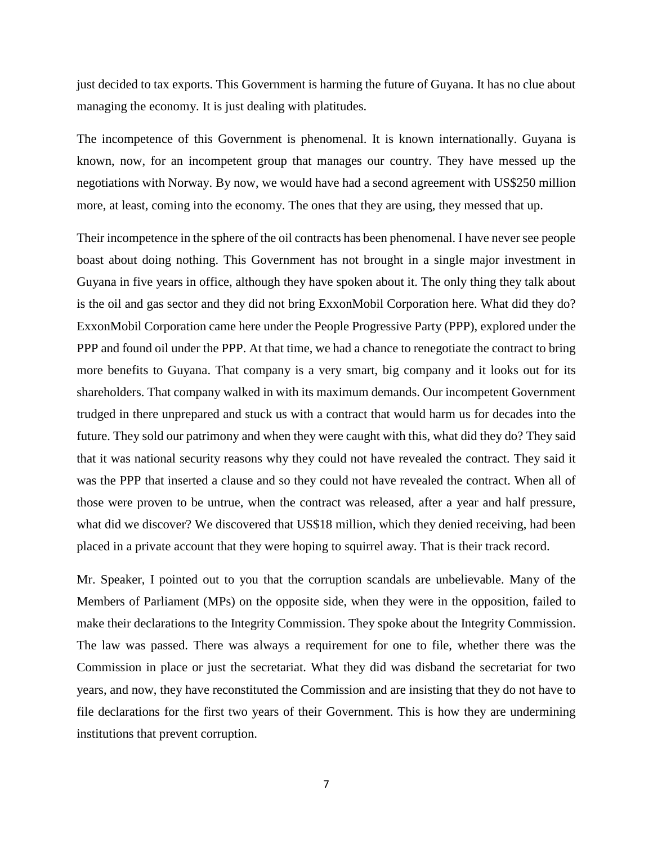just decided to tax exports. This Government is harming the future of Guyana. It has no clue about managing the economy. It is just dealing with platitudes.

The incompetence of this Government is phenomenal. It is known internationally. Guyana is known, now, for an incompetent group that manages our country. They have messed up the negotiations with Norway. By now, we would have had a second agreement with US\$250 million more, at least, coming into the economy. The ones that they are using, they messed that up.

Their incompetence in the sphere of the oil contracts has been phenomenal. I have never see people boast about doing nothing. This Government has not brought in a single major investment in Guyana in five years in office, although they have spoken about it. The only thing they talk about is the oil and gas sector and they did not bring ExxonMobil Corporation here. What did they do? ExxonMobil Corporation came here under the People Progressive Party (PPP), explored under the PPP and found oil under the PPP. At that time, we had a chance to renegotiate the contract to bring more benefits to Guyana. That company is a very smart, big company and it looks out for its shareholders. That company walked in with its maximum demands. Our incompetent Government trudged in there unprepared and stuck us with a contract that would harm us for decades into the future. They sold our patrimony and when they were caught with this, what did they do? They said that it was national security reasons why they could not have revealed the contract. They said it was the PPP that inserted a clause and so they could not have revealed the contract. When all of those were proven to be untrue, when the contract was released, after a year and half pressure, what did we discover? We discovered that US\$18 million, which they denied receiving, had been placed in a private account that they were hoping to squirrel away. That is their track record.

Mr. Speaker, I pointed out to you that the corruption scandals are unbelievable. Many of the Members of Parliament (MPs) on the opposite side, when they were in the opposition, failed to make their declarations to the Integrity Commission. They spoke about the Integrity Commission. The law was passed. There was always a requirement for one to file, whether there was the Commission in place or just the secretariat. What they did was disband the secretariat for two years, and now, they have reconstituted the Commission and are insisting that they do not have to file declarations for the first two years of their Government. This is how they are undermining institutions that prevent corruption.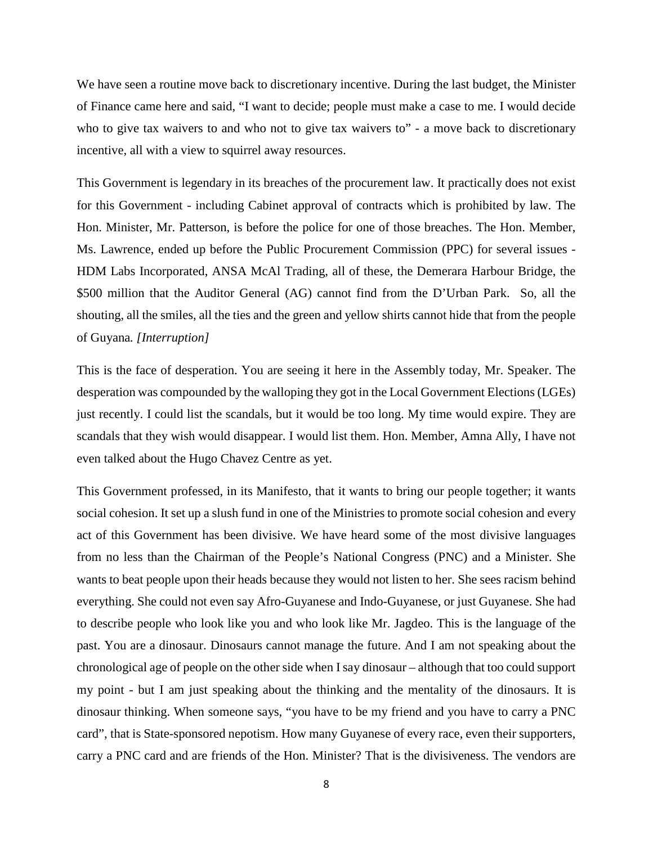We have seen a routine move back to discretionary incentive. During the last budget, the Minister of Finance came here and said, "I want to decide; people must make a case to me. I would decide who to give tax waivers to and who not to give tax waivers to" - a move back to discretionary incentive, all with a view to squirrel away resources.

This Government is legendary in its breaches of the procurement law. It practically does not exist for this Government - including Cabinet approval of contracts which is prohibited by law. The Hon. Minister, Mr. Patterson, is before the police for one of those breaches. The Hon. Member, Ms. Lawrence, ended up before the Public Procurement Commission (PPC) for several issues - HDM Labs Incorporated, ANSA McAl Trading, all of these, the Demerara Harbour Bridge, the \$500 million that the Auditor General (AG) cannot find from the D'Urban Park. So, all the shouting, all the smiles, all the ties and the green and yellow shirts cannot hide that from the people of Guyana*. [Interruption]*

This is the face of desperation. You are seeing it here in the Assembly today, Mr. Speaker. The desperation was compounded by the walloping they got in the Local Government Elections (LGEs) just recently. I could list the scandals, but it would be too long. My time would expire. They are scandals that they wish would disappear. I would list them. Hon. Member, Amna Ally, I have not even talked about the Hugo Chavez Centre as yet.

This Government professed, in its Manifesto, that it wants to bring our people together; it wants social cohesion. It set up a slush fund in one of the Ministries to promote social cohesion and every act of this Government has been divisive. We have heard some of the most divisive languages from no less than the Chairman of the People's National Congress (PNC) and a Minister. She wants to beat people upon their heads because they would not listen to her. She sees racism behind everything. She could not even say Afro-Guyanese and Indo-Guyanese, or just Guyanese. She had to describe people who look like you and who look like Mr. Jagdeo. This is the language of the past. You are a dinosaur. Dinosaurs cannot manage the future. And I am not speaking about the chronological age of people on the other side when I say dinosaur – although that too could support my point - but I am just speaking about the thinking and the mentality of the dinosaurs. It is dinosaur thinking. When someone says, "you have to be my friend and you have to carry a PNC card", that is State-sponsored nepotism. How many Guyanese of every race, even their supporters, carry a PNC card and are friends of the Hon. Minister? That is the divisiveness. The vendors are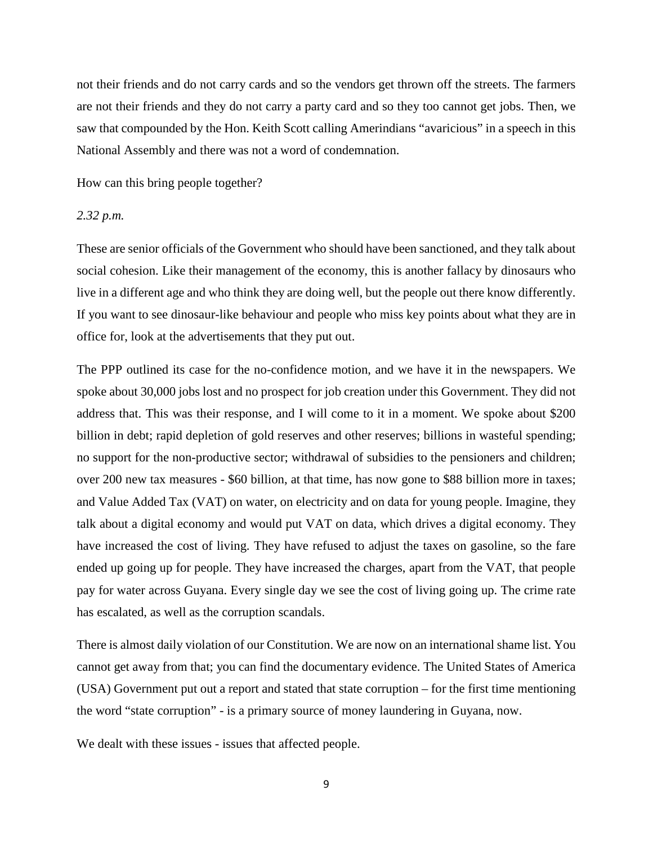not their friends and do not carry cards and so the vendors get thrown off the streets. The farmers are not their friends and they do not carry a party card and so they too cannot get jobs. Then, we saw that compounded by the Hon. Keith Scott calling Amerindians "avaricious" in a speech in this National Assembly and there was not a word of condemnation.

How can this bring people together?

#### *2.32 p.m.*

These are senior officials of the Government who should have been sanctioned, and they talk about social cohesion. Like their management of the economy, this is another fallacy by dinosaurs who live in a different age and who think they are doing well, but the people out there know differently. If you want to see dinosaur-like behaviour and people who miss key points about what they are in office for, look at the advertisements that they put out.

The PPP outlined its case for the no-confidence motion, and we have it in the newspapers. We spoke about 30,000 jobs lost and no prospect for job creation under this Government. They did not address that. This was their response, and I will come to it in a moment. We spoke about \$200 billion in debt; rapid depletion of gold reserves and other reserves; billions in wasteful spending; no support for the non-productive sector; withdrawal of subsidies to the pensioners and children; over 200 new tax measures - \$60 billion, at that time, has now gone to \$88 billion more in taxes; and Value Added Tax (VAT) on water, on electricity and on data for young people. Imagine, they talk about a digital economy and would put VAT on data, which drives a digital economy. They have increased the cost of living. They have refused to adjust the taxes on gasoline, so the fare ended up going up for people. They have increased the charges, apart from the VAT, that people pay for water across Guyana. Every single day we see the cost of living going up. The crime rate has escalated, as well as the corruption scandals.

There is almost daily violation of our Constitution. We are now on an international shame list. You cannot get away from that; you can find the documentary evidence. The United States of America (USA) Government put out a report and stated that state corruption – for the first time mentioning the word "state corruption" - is a primary source of money laundering in Guyana, now.

We dealt with these issues - issues that affected people.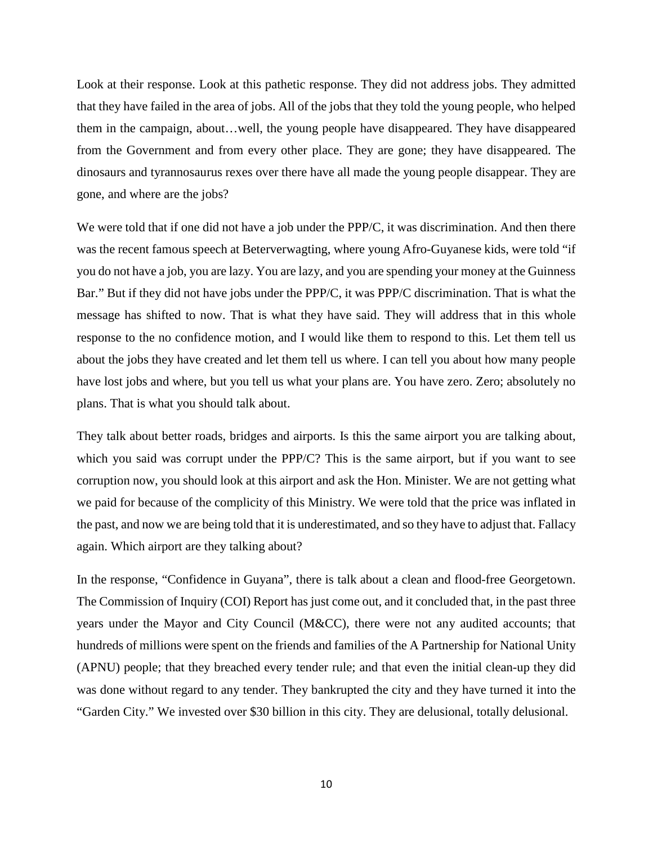Look at their response. Look at this pathetic response. They did not address jobs. They admitted that they have failed in the area of jobs. All of the jobs that they told the young people, who helped them in the campaign, about…well, the young people have disappeared. They have disappeared from the Government and from every other place. They are gone; they have disappeared. The dinosaurs and tyrannosaurus rexes over there have all made the young people disappear. They are gone, and where are the jobs?

We were told that if one did not have a job under the PPP/C, it was discrimination. And then there was the recent famous speech at Beterverwagting, where young Afro-Guyanese kids, were told "if you do not have a job, you are lazy. You are lazy, and you are spending your money at the Guinness Bar." But if they did not have jobs under the PPP/C, it was PPP/C discrimination. That is what the message has shifted to now. That is what they have said. They will address that in this whole response to the no confidence motion, and I would like them to respond to this. Let them tell us about the jobs they have created and let them tell us where. I can tell you about how many people have lost jobs and where, but you tell us what your plans are. You have zero. Zero; absolutely no plans. That is what you should talk about.

They talk about better roads, bridges and airports. Is this the same airport you are talking about, which you said was corrupt under the PPP/C? This is the same airport, but if you want to see corruption now, you should look at this airport and ask the Hon. Minister. We are not getting what we paid for because of the complicity of this Ministry. We were told that the price was inflated in the past, and now we are being told that it is underestimated, and so they have to adjust that. Fallacy again. Which airport are they talking about?

In the response, "Confidence in Guyana", there is talk about a clean and flood-free Georgetown. The Commission of Inquiry (COI) Report has just come out, and it concluded that, in the past three years under the Mayor and City Council (M&CC), there were not any audited accounts; that hundreds of millions were spent on the friends and families of the A Partnership for National Unity (APNU) people; that they breached every tender rule; and that even the initial clean-up they did was done without regard to any tender. They bankrupted the city and they have turned it into the "Garden City." We invested over \$30 billion in this city. They are delusional, totally delusional.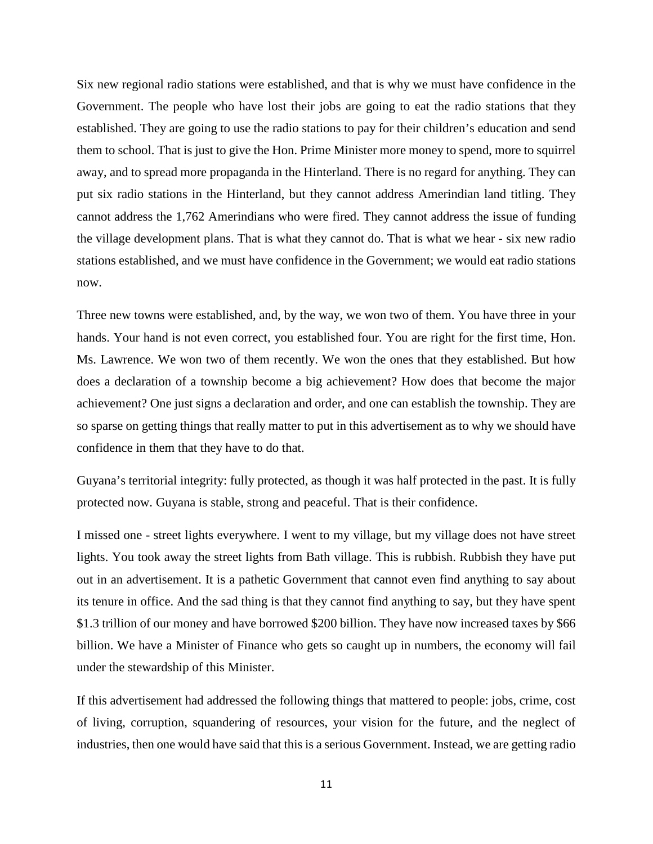Six new regional radio stations were established, and that is why we must have confidence in the Government. The people who have lost their jobs are going to eat the radio stations that they established. They are going to use the radio stations to pay for their children's education and send them to school. That is just to give the Hon. Prime Minister more money to spend, more to squirrel away, and to spread more propaganda in the Hinterland. There is no regard for anything. They can put six radio stations in the Hinterland, but they cannot address Amerindian land titling. They cannot address the 1,762 Amerindians who were fired. They cannot address the issue of funding the village development plans. That is what they cannot do. That is what we hear - six new radio stations established, and we must have confidence in the Government; we would eat radio stations now.

Three new towns were established, and, by the way, we won two of them. You have three in your hands. Your hand is not even correct, you established four. You are right for the first time, Hon. Ms. Lawrence. We won two of them recently. We won the ones that they established. But how does a declaration of a township become a big achievement? How does that become the major achievement? One just signs a declaration and order, and one can establish the township. They are so sparse on getting things that really matter to put in this advertisement as to why we should have confidence in them that they have to do that.

Guyana's territorial integrity: fully protected, as though it was half protected in the past. It is fully protected now. Guyana is stable, strong and peaceful. That is their confidence.

I missed one - street lights everywhere. I went to my village, but my village does not have street lights. You took away the street lights from Bath village. This is rubbish. Rubbish they have put out in an advertisement. It is a pathetic Government that cannot even find anything to say about its tenure in office. And the sad thing is that they cannot find anything to say, but they have spent \$1.3 trillion of our money and have borrowed \$200 billion. They have now increased taxes by \$66 billion. We have a Minister of Finance who gets so caught up in numbers, the economy will fail under the stewardship of this Minister.

If this advertisement had addressed the following things that mattered to people: jobs, crime, cost of living, corruption, squandering of resources, your vision for the future, and the neglect of industries, then one would have said that this is a serious Government. Instead, we are getting radio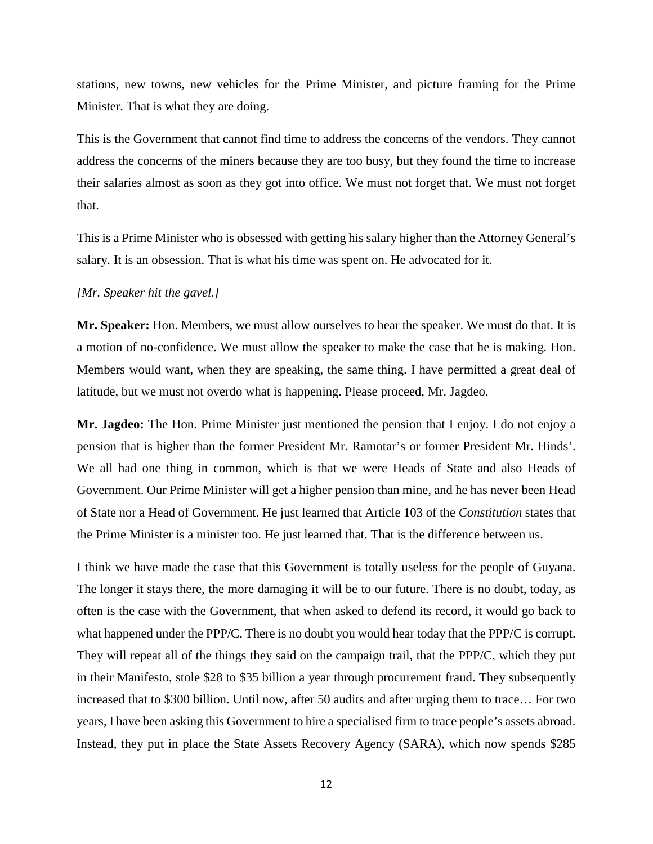stations, new towns, new vehicles for the Prime Minister, and picture framing for the Prime Minister. That is what they are doing.

This is the Government that cannot find time to address the concerns of the vendors. They cannot address the concerns of the miners because they are too busy, but they found the time to increase their salaries almost as soon as they got into office. We must not forget that. We must not forget that.

This is a Prime Minister who is obsessed with getting his salary higher than the Attorney General's salary. It is an obsession. That is what his time was spent on. He advocated for it.

# *[Mr. Speaker hit the gavel.]*

**Mr. Speaker:** Hon. Members, we must allow ourselves to hear the speaker. We must do that. It is a motion of no-confidence. We must allow the speaker to make the case that he is making. Hon. Members would want, when they are speaking, the same thing. I have permitted a great deal of latitude, but we must not overdo what is happening. Please proceed, Mr. Jagdeo.

**Mr. Jagdeo:** The Hon. Prime Minister just mentioned the pension that I enjoy. I do not enjoy a pension that is higher than the former President Mr. Ramotar's or former President Mr. Hinds'. We all had one thing in common, which is that we were Heads of State and also Heads of Government. Our Prime Minister will get a higher pension than mine, and he has never been Head of State nor a Head of Government. He just learned that Article 103 of the *Constitution* states that the Prime Minister is a minister too. He just learned that. That is the difference between us.

I think we have made the case that this Government is totally useless for the people of Guyana. The longer it stays there, the more damaging it will be to our future. There is no doubt, today, as often is the case with the Government, that when asked to defend its record, it would go back to what happened under the PPP/C. There is no doubt you would hear today that the PPP/C is corrupt. They will repeat all of the things they said on the campaign trail, that the PPP/C, which they put in their Manifesto, stole \$28 to \$35 billion a year through procurement fraud. They subsequently increased that to \$300 billion. Until now, after 50 audits and after urging them to trace… For two years, I have been asking this Government to hire a specialised firm to trace people's assets abroad. Instead, they put in place the State Assets Recovery Agency (SARA), which now spends \$285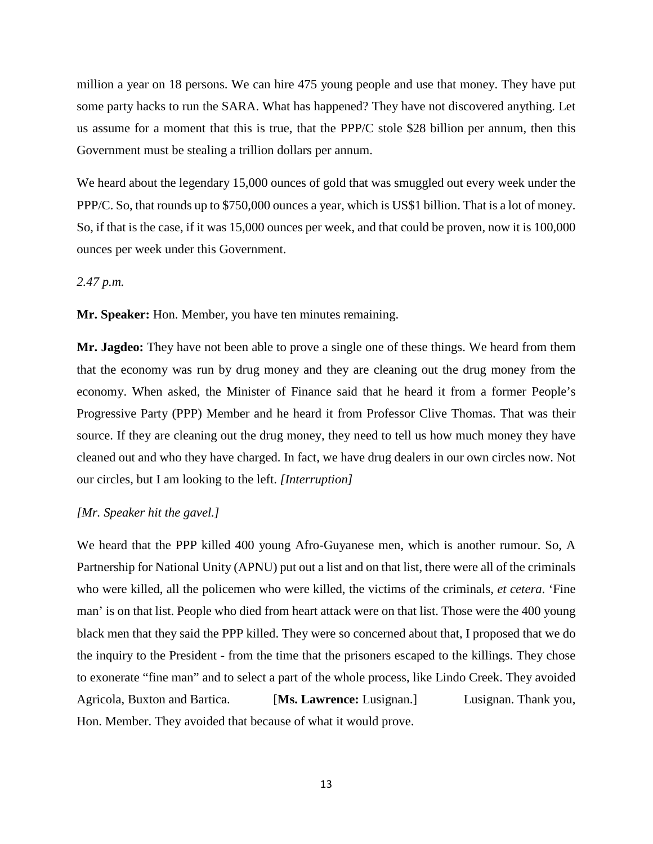million a year on 18 persons. We can hire 475 young people and use that money. They have put some party hacks to run the SARA. What has happened? They have not discovered anything. Let us assume for a moment that this is true, that the PPP/C stole \$28 billion per annum, then this Government must be stealing a trillion dollars per annum.

We heard about the legendary 15,000 ounces of gold that was smuggled out every week under the PPP/C. So, that rounds up to \$750,000 ounces a year, which is US\$1 billion. That is a lot of money. So, if that is the case, if it was 15,000 ounces per week, and that could be proven, now it is 100,000 ounces per week under this Government.

# *2.47 p.m.*

**Mr. Speaker:** Hon. Member, you have ten minutes remaining.

**Mr. Jagdeo:** They have not been able to prove a single one of these things. We heard from them that the economy was run by drug money and they are cleaning out the drug money from the economy. When asked, the Minister of Finance said that he heard it from a former People's Progressive Party (PPP) Member and he heard it from Professor Clive Thomas. That was their source. If they are cleaning out the drug money, they need to tell us how much money they have cleaned out and who they have charged. In fact, we have drug dealers in our own circles now. Not our circles, but I am looking to the left. *[Interruption]*

#### *[Mr. Speaker hit the gavel.]*

We heard that the PPP killed 400 young Afro-Guyanese men, which is another rumour. So, A Partnership for National Unity (APNU) put out a list and on that list, there were all of the criminals who were killed, all the policemen who were killed, the victims of the criminals, *et cetera*. 'Fine man' is on that list. People who died from heart attack were on that list. Those were the 400 young black men that they said the PPP killed. They were so concerned about that, I proposed that we do the inquiry to the President - from the time that the prisoners escaped to the killings. They chose to exonerate "fine man" and to select a part of the whole process, like Lindo Creek. They avoided Agricola, Buxton and Bartica. [**Ms. Lawrence:** Lusignan.] Lusignan. Thank you, Hon. Member. They avoided that because of what it would prove.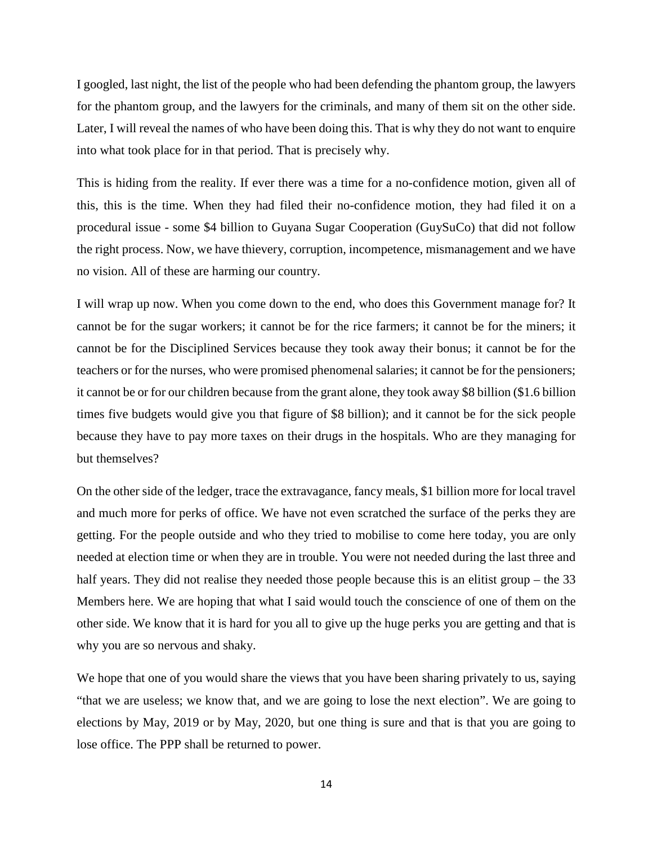I googled, last night, the list of the people who had been defending the phantom group, the lawyers for the phantom group, and the lawyers for the criminals, and many of them sit on the other side. Later, I will reveal the names of who have been doing this. That is why they do not want to enquire into what took place for in that period. That is precisely why.

This is hiding from the reality. If ever there was a time for a no-confidence motion, given all of this, this is the time. When they had filed their no-confidence motion, they had filed it on a procedural issue - some \$4 billion to Guyana Sugar Cooperation (GuySuCo) that did not follow the right process. Now, we have thievery, corruption, incompetence, mismanagement and we have no vision. All of these are harming our country.

I will wrap up now. When you come down to the end, who does this Government manage for? It cannot be for the sugar workers; it cannot be for the rice farmers; it cannot be for the miners; it cannot be for the Disciplined Services because they took away their bonus; it cannot be for the teachers or for the nurses, who were promised phenomenal salaries; it cannot be for the pensioners; it cannot be or for our children because from the grant alone, they took away \$8 billion (\$1.6 billion times five budgets would give you that figure of \$8 billion); and it cannot be for the sick people because they have to pay more taxes on their drugs in the hospitals. Who are they managing for but themselves?

On the other side of the ledger, trace the extravagance, fancy meals, \$1 billion more for local travel and much more for perks of office. We have not even scratched the surface of the perks they are getting. For the people outside and who they tried to mobilise to come here today, you are only needed at election time or when they are in trouble. You were not needed during the last three and half years. They did not realise they needed those people because this is an elitist group – the 33 Members here. We are hoping that what I said would touch the conscience of one of them on the other side. We know that it is hard for you all to give up the huge perks you are getting and that is why you are so nervous and shaky.

We hope that one of you would share the views that you have been sharing privately to us, saying "that we are useless; we know that, and we are going to lose the next election". We are going to elections by May, 2019 or by May, 2020, but one thing is sure and that is that you are going to lose office. The PPP shall be returned to power.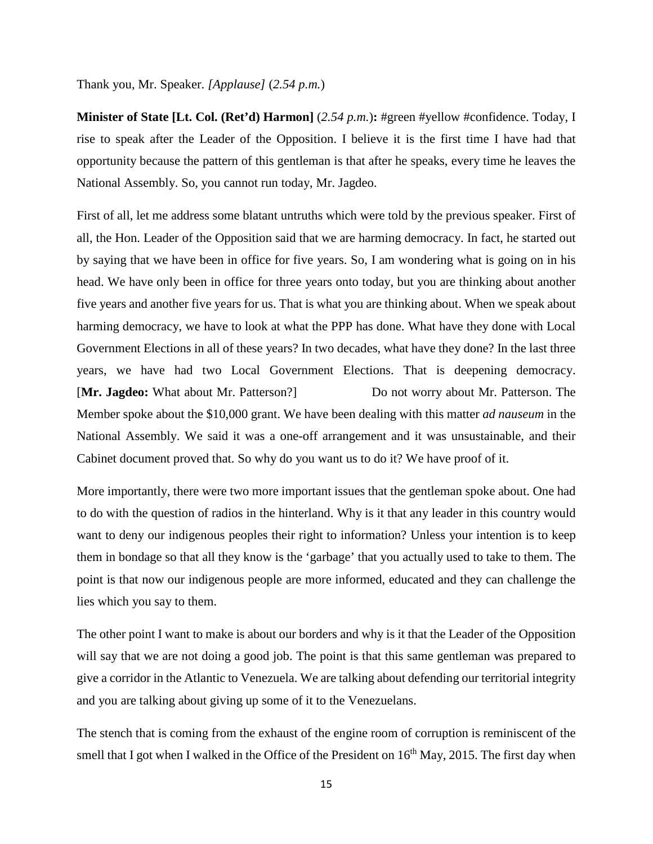Thank you, Mr. Speaker. *[Applause]* (*2.54 p.m.*)

**Minister of State [Lt. Col. (Ret'd) Harmon]** (*2.54 p.m.*)**:** #green #yellow #confidence. Today, I rise to speak after the Leader of the Opposition. I believe it is the first time I have had that opportunity because the pattern of this gentleman is that after he speaks, every time he leaves the National Assembly. So, you cannot run today, Mr. Jagdeo.

First of all, let me address some blatant untruths which were told by the previous speaker. First of all, the Hon. Leader of the Opposition said that we are harming democracy. In fact, he started out by saying that we have been in office for five years. So, I am wondering what is going on in his head. We have only been in office for three years onto today, but you are thinking about another five years and another five years for us. That is what you are thinking about. When we speak about harming democracy, we have to look at what the PPP has done. What have they done with Local Government Elections in all of these years? In two decades, what have they done? In the last three years, we have had two Local Government Elections. That is deepening democracy. [Mr. Jagdeo: What about Mr. Patterson?] Do not worry about Mr. Patterson. The Member spoke about the \$10,000 grant. We have been dealing with this matter *ad nauseum* in the National Assembly. We said it was a one-off arrangement and it was unsustainable, and their Cabinet document proved that. So why do you want us to do it? We have proof of it.

More importantly, there were two more important issues that the gentleman spoke about. One had to do with the question of radios in the hinterland. Why is it that any leader in this country would want to deny our indigenous peoples their right to information? Unless your intention is to keep them in bondage so that all they know is the 'garbage' that you actually used to take to them. The point is that now our indigenous people are more informed, educated and they can challenge the lies which you say to them.

The other point I want to make is about our borders and why is it that the Leader of the Opposition will say that we are not doing a good job. The point is that this same gentleman was prepared to give a corridor in the Atlantic to Venezuela. We are talking about defending our territorial integrity and you are talking about giving up some of it to the Venezuelans.

The stench that is coming from the exhaust of the engine room of corruption is reminiscent of the smell that I got when I walked in the Office of the President on  $16<sup>th</sup>$  May, 2015. The first day when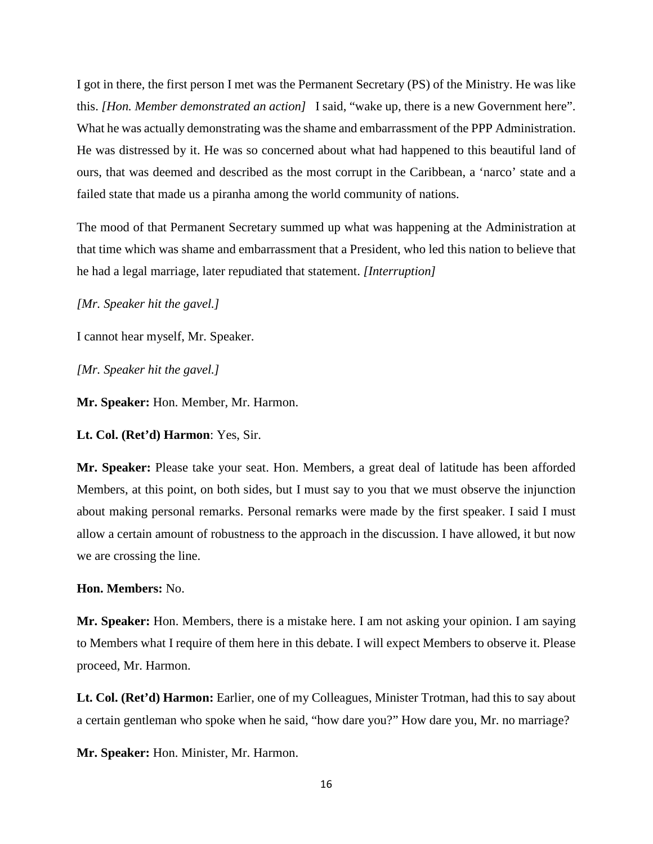I got in there, the first person I met was the Permanent Secretary (PS) of the Ministry. He was like this. *[Hon. Member demonstrated an action]* I said, "wake up, there is a new Government here". What he was actually demonstrating was the shame and embarrassment of the PPP Administration. He was distressed by it. He was so concerned about what had happened to this beautiful land of ours, that was deemed and described as the most corrupt in the Caribbean, a 'narco' state and a failed state that made us a piranha among the world community of nations.

The mood of that Permanent Secretary summed up what was happening at the Administration at that time which was shame and embarrassment that a President, who led this nation to believe that he had a legal marriage, later repudiated that statement. *[Interruption]*

*[Mr. Speaker hit the gavel.]*

I cannot hear myself, Mr. Speaker.

*[Mr. Speaker hit the gavel.]*

**Mr. Speaker:** Hon. Member, Mr. Harmon.

**Lt. Col. (Ret'd) Harmon**: Yes, Sir.

**Mr. Speaker:** Please take your seat. Hon. Members, a great deal of latitude has been afforded Members, at this point, on both sides, but I must say to you that we must observe the injunction about making personal remarks. Personal remarks were made by the first speaker. I said I must allow a certain amount of robustness to the approach in the discussion. I have allowed, it but now we are crossing the line.

#### **Hon. Members:** No.

**Mr. Speaker:** Hon. Members, there is a mistake here. I am not asking your opinion. I am saying to Members what I require of them here in this debate. I will expect Members to observe it. Please proceed, Mr. Harmon.

**Lt. Col. (Ret'd) Harmon:** Earlier, one of my Colleagues, Minister Trotman, had this to say about a certain gentleman who spoke when he said, "how dare you?" How dare you, Mr. no marriage?

**Mr. Speaker:** Hon. Minister, Mr. Harmon.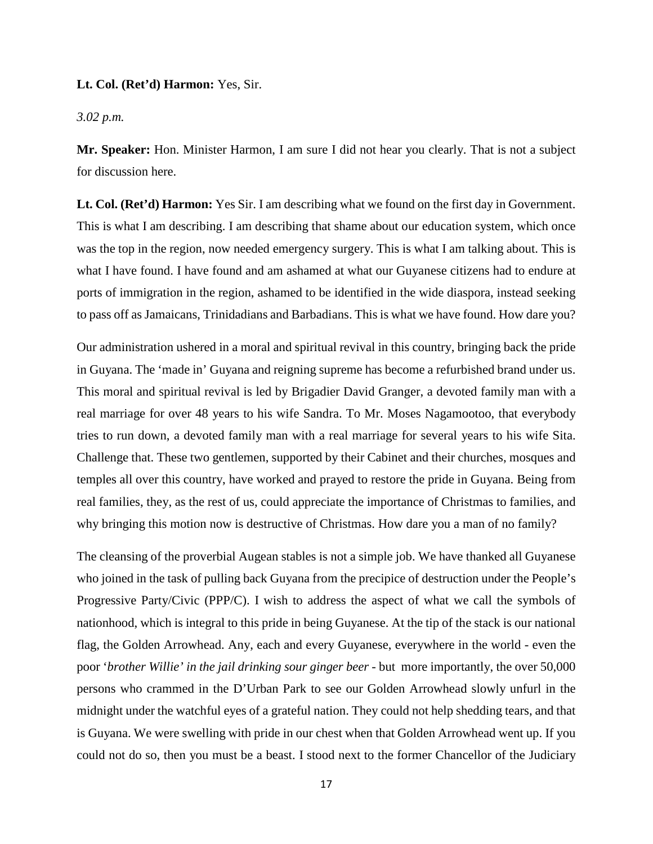# **Lt. Col. (Ret'd) Harmon:** Yes, Sir.

### *3.02 p.m.*

**Mr. Speaker:** Hon. Minister Harmon, I am sure I did not hear you clearly. That is not a subject for discussion here.

**Lt. Col. (Ret'd) Harmon:** Yes Sir. I am describing what we found on the first day in Government. This is what I am describing. I am describing that shame about our education system, which once was the top in the region, now needed emergency surgery. This is what I am talking about. This is what I have found. I have found and am ashamed at what our Guyanese citizens had to endure at ports of immigration in the region, ashamed to be identified in the wide diaspora, instead seeking to pass off as Jamaicans, Trinidadians and Barbadians. This is what we have found. How dare you?

Our administration ushered in a moral and spiritual revival in this country, bringing back the pride in Guyana. The 'made in' Guyana and reigning supreme has become a refurbished brand under us. This moral and spiritual revival is led by Brigadier David Granger, a devoted family man with a real marriage for over 48 years to his wife Sandra. To Mr. Moses Nagamootoo, that everybody tries to run down, a devoted family man with a real marriage for several years to his wife Sita. Challenge that. These two gentlemen, supported by their Cabinet and their churches, mosques and temples all over this country, have worked and prayed to restore the pride in Guyana. Being from real families, they, as the rest of us, could appreciate the importance of Christmas to families, and why bringing this motion now is destructive of Christmas. How dare you a man of no family?

The cleansing of the proverbial Augean stables is not a simple job. We have thanked all Guyanese who joined in the task of pulling back Guyana from the precipice of destruction under the People's Progressive Party/Civic (PPP/C). I wish to address the aspect of what we call the symbols of nationhood, which is integral to this pride in being Guyanese. At the tip of the stack is our national flag, the Golden Arrowhead. Any, each and every Guyanese, everywhere in the world - even the poor '*brother Willie' in the jail drinking sour ginger beer -* but more importantly, the over 50,000 persons who crammed in the D'Urban Park to see our Golden Arrowhead slowly unfurl in the midnight under the watchful eyes of a grateful nation. They could not help shedding tears, and that is Guyana. We were swelling with pride in our chest when that Golden Arrowhead went up. If you could not do so, then you must be a beast. I stood next to the former Chancellor of the Judiciary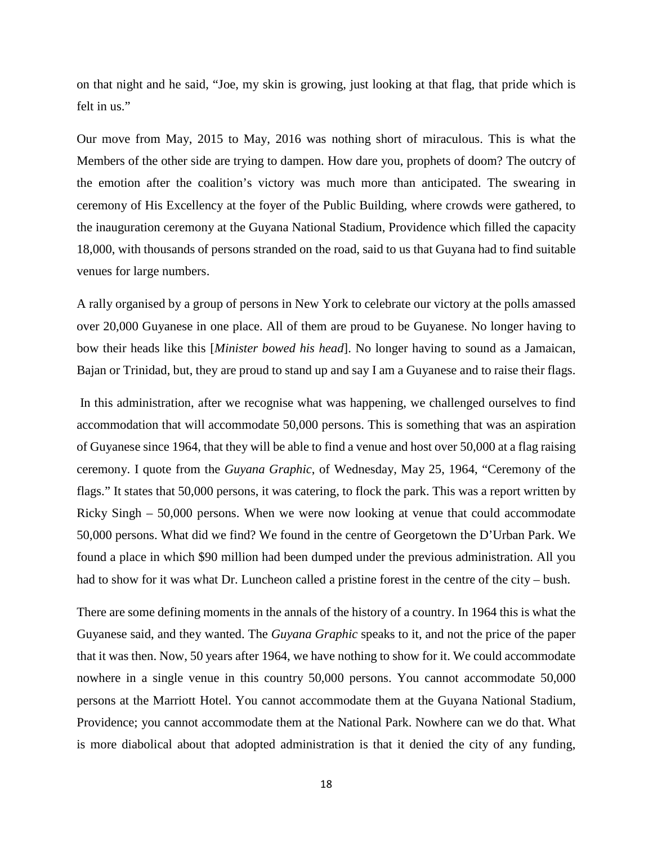on that night and he said, "Joe, my skin is growing, just looking at that flag, that pride which is felt in us."

Our move from May, 2015 to May, 2016 was nothing short of miraculous. This is what the Members of the other side are trying to dampen. How dare you, prophets of doom? The outcry of the emotion after the coalition's victory was much more than anticipated. The swearing in ceremony of His Excellency at the foyer of the Public Building, where crowds were gathered, to the inauguration ceremony at the Guyana National Stadium, Providence which filled the capacity 18,000, with thousands of persons stranded on the road, said to us that Guyana had to find suitable venues for large numbers.

A rally organised by a group of persons in New York to celebrate our victory at the polls amassed over 20,000 Guyanese in one place. All of them are proud to be Guyanese. No longer having to bow their heads like this [*Minister bowed his head*]. No longer having to sound as a Jamaican, Bajan or Trinidad, but, they are proud to stand up and say I am a Guyanese and to raise their flags.

In this administration, after we recognise what was happening, we challenged ourselves to find accommodation that will accommodate 50,000 persons. This is something that was an aspiration of Guyanese since 1964, that they will be able to find a venue and host over 50,000 at a flag raising ceremony. I quote from the *Guyana Graphic*, of Wednesday, May 25, 1964, "Ceremony of the flags." It states that 50,000 persons, it was catering, to flock the park. This was a report written by Ricky Singh – 50,000 persons. When we were now looking at venue that could accommodate 50,000 persons. What did we find? We found in the centre of Georgetown the D'Urban Park. We found a place in which \$90 million had been dumped under the previous administration. All you had to show for it was what Dr. Luncheon called a pristine forest in the centre of the city – bush.

There are some defining moments in the annals of the history of a country. In 1964 this is what the Guyanese said, and they wanted. The *Guyana Graphic* speaks to it, and not the price of the paper that it was then. Now, 50 years after 1964, we have nothing to show for it. We could accommodate nowhere in a single venue in this country 50,000 persons. You cannot accommodate 50,000 persons at the Marriott Hotel. You cannot accommodate them at the Guyana National Stadium, Providence; you cannot accommodate them at the National Park. Nowhere can we do that. What is more diabolical about that adopted administration is that it denied the city of any funding,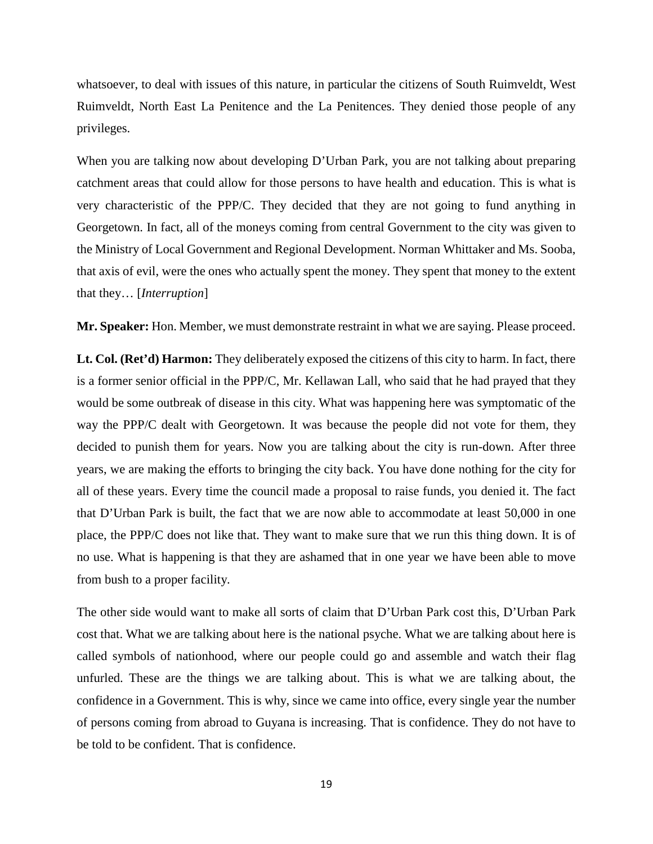whatsoever, to deal with issues of this nature, in particular the citizens of South Ruimveldt, West Ruimveldt, North East La Penitence and the La Penitences. They denied those people of any privileges.

When you are talking now about developing D'Urban Park, you are not talking about preparing catchment areas that could allow for those persons to have health and education. This is what is very characteristic of the PPP/C. They decided that they are not going to fund anything in Georgetown. In fact, all of the moneys coming from central Government to the city was given to the Ministry of Local Government and Regional Development. Norman Whittaker and Ms. Sooba, that axis of evil, were the ones who actually spent the money. They spent that money to the extent that they… [*Interruption*]

**Mr. Speaker:** Hon. Member, we must demonstrate restraint in what we are saying. Please proceed.

**Lt. Col. (Ret'd) Harmon:** They deliberately exposed the citizens of this city to harm. In fact, there is a former senior official in the PPP/C, Mr. Kellawan Lall, who said that he had prayed that they would be some outbreak of disease in this city. What was happening here was symptomatic of the way the PPP/C dealt with Georgetown. It was because the people did not vote for them, they decided to punish them for years. Now you are talking about the city is run-down. After three years, we are making the efforts to bringing the city back. You have done nothing for the city for all of these years. Every time the council made a proposal to raise funds, you denied it. The fact that D'Urban Park is built, the fact that we are now able to accommodate at least 50,000 in one place, the PPP/C does not like that. They want to make sure that we run this thing down. It is of no use. What is happening is that they are ashamed that in one year we have been able to move from bush to a proper facility.

The other side would want to make all sorts of claim that D'Urban Park cost this, D'Urban Park cost that. What we are talking about here is the national psyche. What we are talking about here is called symbols of nationhood, where our people could go and assemble and watch their flag unfurled. These are the things we are talking about. This is what we are talking about, the confidence in a Government. This is why, since we came into office, every single year the number of persons coming from abroad to Guyana is increasing. That is confidence. They do not have to be told to be confident. That is confidence.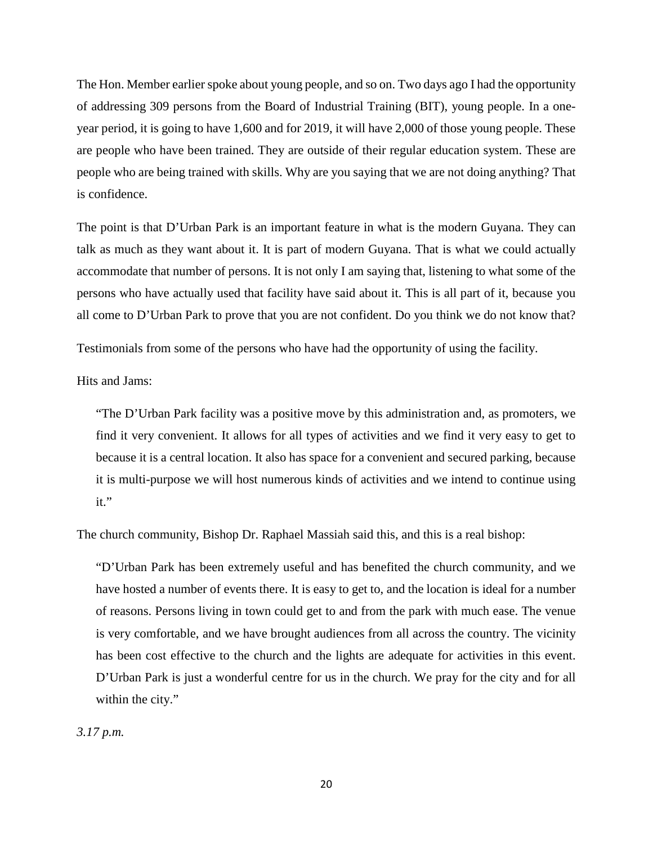The Hon. Member earlier spoke about young people, and so on. Two days ago I had the opportunity of addressing 309 persons from the Board of Industrial Training (BIT), young people. In a oneyear period, it is going to have 1,600 and for 2019, it will have 2,000 of those young people. These are people who have been trained. They are outside of their regular education system. These are people who are being trained with skills. Why are you saying that we are not doing anything? That is confidence.

The point is that D'Urban Park is an important feature in what is the modern Guyana. They can talk as much as they want about it. It is part of modern Guyana. That is what we could actually accommodate that number of persons. It is not only I am saying that, listening to what some of the persons who have actually used that facility have said about it. This is all part of it, because you all come to D'Urban Park to prove that you are not confident. Do you think we do not know that?

Testimonials from some of the persons who have had the opportunity of using the facility.

Hits and Jams:

"The D'Urban Park facility was a positive move by this administration and, as promoters, we find it very convenient. It allows for all types of activities and we find it very easy to get to because it is a central location. It also has space for a convenient and secured parking, because it is multi-purpose we will host numerous kinds of activities and we intend to continue using it."

The church community, Bishop Dr. Raphael Massiah said this, and this is a real bishop:

"D'Urban Park has been extremely useful and has benefited the church community, and we have hosted a number of events there. It is easy to get to, and the location is ideal for a number of reasons. Persons living in town could get to and from the park with much ease. The venue is very comfortable, and we have brought audiences from all across the country. The vicinity has been cost effective to the church and the lights are adequate for activities in this event. D'Urban Park is just a wonderful centre for us in the church. We pray for the city and for all within the city."

*3.17 p.m.*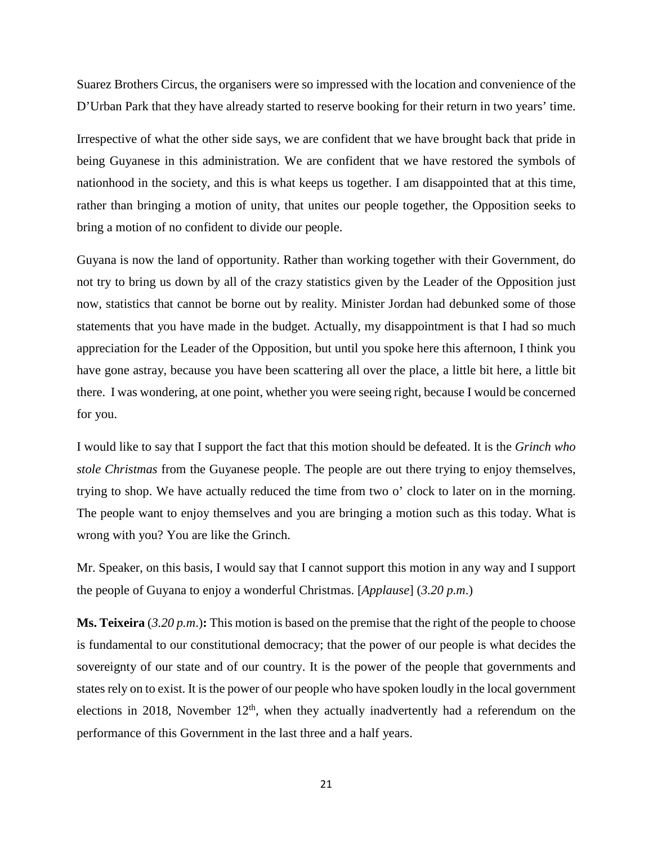Suarez Brothers Circus, the organisers were so impressed with the location and convenience of the D'Urban Park that they have already started to reserve booking for their return in two years' time.

Irrespective of what the other side says, we are confident that we have brought back that pride in being Guyanese in this administration. We are confident that we have restored the symbols of nationhood in the society, and this is what keeps us together. I am disappointed that at this time, rather than bringing a motion of unity, that unites our people together, the Opposition seeks to bring a motion of no confident to divide our people.

Guyana is now the land of opportunity. Rather than working together with their Government, do not try to bring us down by all of the crazy statistics given by the Leader of the Opposition just now, statistics that cannot be borne out by reality. Minister Jordan had debunked some of those statements that you have made in the budget. Actually, my disappointment is that I had so much appreciation for the Leader of the Opposition, but until you spoke here this afternoon, I think you have gone astray, because you have been scattering all over the place, a little bit here, a little bit there. I was wondering, at one point, whether you were seeing right, because I would be concerned for you.

I would like to say that I support the fact that this motion should be defeated. It is the *Grinch who stole Christmas* from the Guyanese people. The people are out there trying to enjoy themselves, trying to shop. We have actually reduced the time from two o' clock to later on in the morning. The people want to enjoy themselves and you are bringing a motion such as this today. What is wrong with you? You are like the Grinch.

Mr. Speaker, on this basis, I would say that I cannot support this motion in any way and I support the people of Guyana to enjoy a wonderful Christmas. [*Applause*] (*3.20 p.m*.)

**Ms. Teixeira** (3.20 p.m.): This motion is based on the premise that the right of the people to choose is fundamental to our constitutional democracy; that the power of our people is what decides the sovereignty of our state and of our country. It is the power of the people that governments and states rely on to exist. It is the power of our people who have spoken loudly in the local government elections in 2018, November  $12<sup>th</sup>$ , when they actually inadvertently had a referendum on the performance of this Government in the last three and a half years.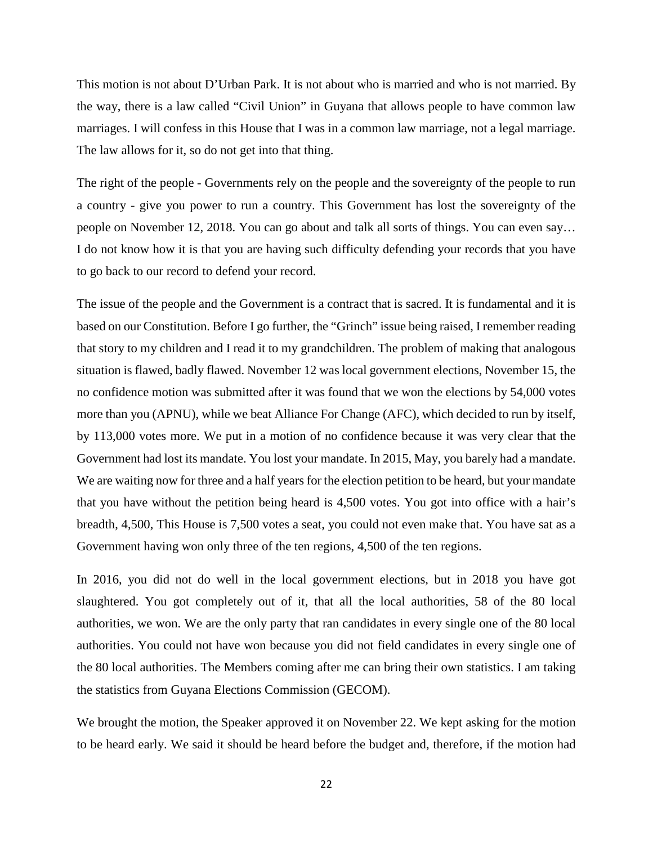This motion is not about D'Urban Park. It is not about who is married and who is not married. By the way, there is a law called "Civil Union" in Guyana that allows people to have common law marriages. I will confess in this House that I was in a common law marriage, not a legal marriage. The law allows for it, so do not get into that thing.

The right of the people - Governments rely on the people and the sovereignty of the people to run a country - give you power to run a country. This Government has lost the sovereignty of the people on November 12, 2018. You can go about and talk all sorts of things. You can even say… I do not know how it is that you are having such difficulty defending your records that you have to go back to our record to defend your record.

The issue of the people and the Government is a contract that is sacred. It is fundamental and it is based on our Constitution. Before I go further, the "Grinch" issue being raised, I remember reading that story to my children and I read it to my grandchildren. The problem of making that analogous situation is flawed, badly flawed. November 12 was local government elections, November 15, the no confidence motion was submitted after it was found that we won the elections by 54,000 votes more than you (APNU), while we beat Alliance For Change (AFC), which decided to run by itself, by 113,000 votes more. We put in a motion of no confidence because it was very clear that the Government had lost its mandate. You lost your mandate. In 2015, May, you barely had a mandate. We are waiting now for three and a half years for the election petition to be heard, but your mandate that you have without the petition being heard is 4,500 votes. You got into office with a hair's breadth, 4,500, This House is 7,500 votes a seat, you could not even make that. You have sat as a Government having won only three of the ten regions, 4,500 of the ten regions.

In 2016, you did not do well in the local government elections, but in 2018 you have got slaughtered. You got completely out of it, that all the local authorities, 58 of the 80 local authorities, we won. We are the only party that ran candidates in every single one of the 80 local authorities. You could not have won because you did not field candidates in every single one of the 80 local authorities. The Members coming after me can bring their own statistics. I am taking the statistics from Guyana Elections Commission (GECOM).

We brought the motion, the Speaker approved it on November 22. We kept asking for the motion to be heard early. We said it should be heard before the budget and, therefore, if the motion had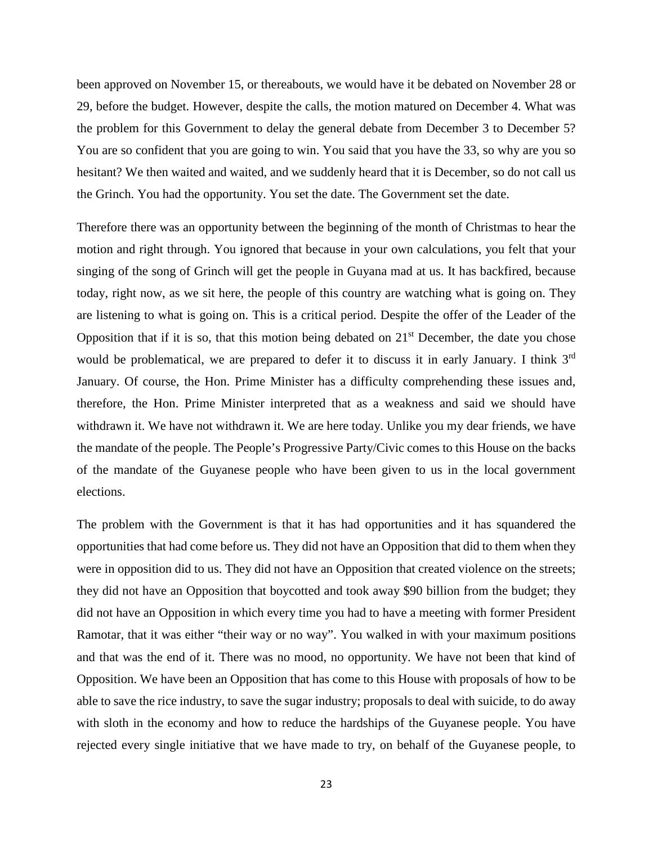been approved on November 15, or thereabouts, we would have it be debated on November 28 or 29, before the budget. However, despite the calls, the motion matured on December 4. What was the problem for this Government to delay the general debate from December 3 to December 5? You are so confident that you are going to win. You said that you have the 33, so why are you so hesitant? We then waited and waited, and we suddenly heard that it is December, so do not call us the Grinch. You had the opportunity. You set the date. The Government set the date.

Therefore there was an opportunity between the beginning of the month of Christmas to hear the motion and right through. You ignored that because in your own calculations, you felt that your singing of the song of Grinch will get the people in Guyana mad at us. It has backfired, because today, right now, as we sit here, the people of this country are watching what is going on. They are listening to what is going on. This is a critical period. Despite the offer of the Leader of the Opposition that if it is so, that this motion being debated on  $21<sup>st</sup>$  December, the date you chose would be problematical, we are prepared to defer it to discuss it in early January. I think 3<sup>rd</sup> January. Of course, the Hon. Prime Minister has a difficulty comprehending these issues and, therefore, the Hon. Prime Minister interpreted that as a weakness and said we should have withdrawn it. We have not withdrawn it. We are here today. Unlike you my dear friends, we have the mandate of the people. The People's Progressive Party/Civic comes to this House on the backs of the mandate of the Guyanese people who have been given to us in the local government elections.

The problem with the Government is that it has had opportunities and it has squandered the opportunities that had come before us. They did not have an Opposition that did to them when they were in opposition did to us. They did not have an Opposition that created violence on the streets; they did not have an Opposition that boycotted and took away \$90 billion from the budget; they did not have an Opposition in which every time you had to have a meeting with former President Ramotar, that it was either "their way or no way". You walked in with your maximum positions and that was the end of it. There was no mood, no opportunity. We have not been that kind of Opposition. We have been an Opposition that has come to this House with proposals of how to be able to save the rice industry, to save the sugar industry; proposals to deal with suicide, to do away with sloth in the economy and how to reduce the hardships of the Guyanese people. You have rejected every single initiative that we have made to try, on behalf of the Guyanese people, to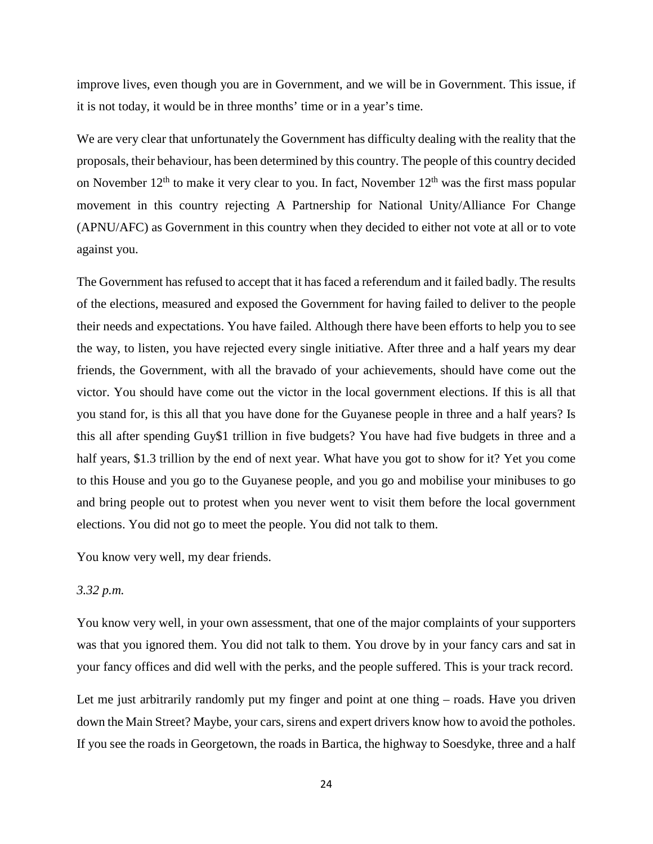improve lives, even though you are in Government, and we will be in Government. This issue, if it is not today, it would be in three months' time or in a year's time.

We are very clear that unfortunately the Government has difficulty dealing with the reality that the proposals, their behaviour, has been determined by this country. The people of this country decided on November  $12<sup>th</sup>$  to make it very clear to you. In fact, November  $12<sup>th</sup>$  was the first mass popular movement in this country rejecting A Partnership for National Unity/Alliance For Change (APNU/AFC) as Government in this country when they decided to either not vote at all or to vote against you.

The Government has refused to accept that it has faced a referendum and it failed badly. The results of the elections, measured and exposed the Government for having failed to deliver to the people their needs and expectations. You have failed. Although there have been efforts to help you to see the way, to listen, you have rejected every single initiative. After three and a half years my dear friends, the Government, with all the bravado of your achievements, should have come out the victor. You should have come out the victor in the local government elections. If this is all that you stand for, is this all that you have done for the Guyanese people in three and a half years? Is this all after spending Guy\$1 trillion in five budgets? You have had five budgets in three and a half years, \$1.3 trillion by the end of next year. What have you got to show for it? Yet you come to this House and you go to the Guyanese people, and you go and mobilise your minibuses to go and bring people out to protest when you never went to visit them before the local government elections. You did not go to meet the people. You did not talk to them.

You know very well, my dear friends.

#### *3.32 p.m.*

You know very well, in your own assessment, that one of the major complaints of your supporters was that you ignored them. You did not talk to them. You drove by in your fancy cars and sat in your fancy offices and did well with the perks, and the people suffered. This is your track record.

Let me just arbitrarily randomly put my finger and point at one thing – roads. Have you driven down the Main Street? Maybe, your cars, sirens and expert drivers know how to avoid the potholes. If you see the roads in Georgetown, the roads in Bartica, the highway to Soesdyke, three and a half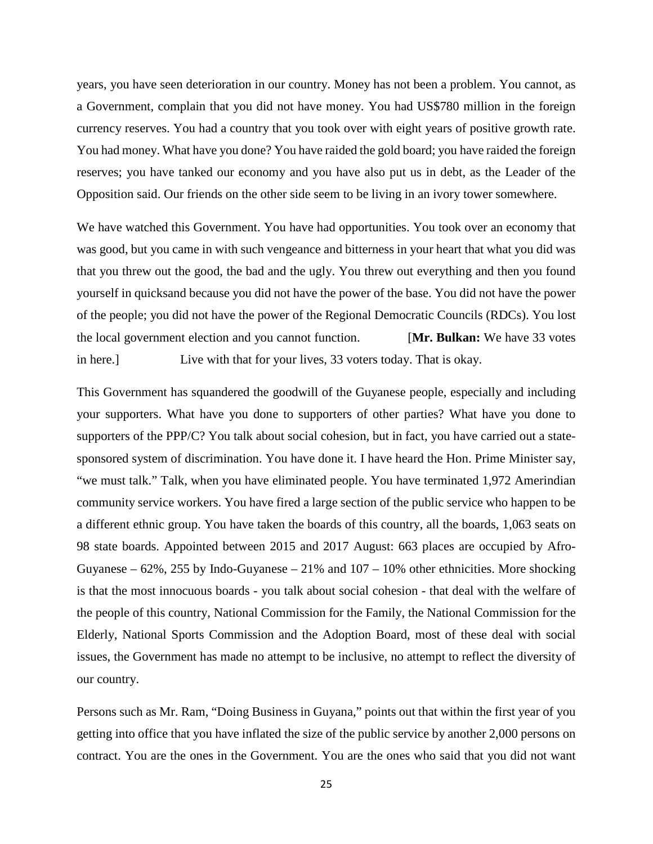years, you have seen deterioration in our country. Money has not been a problem. You cannot, as a Government, complain that you did not have money. You had US\$780 million in the foreign currency reserves. You had a country that you took over with eight years of positive growth rate. You had money. What have you done? You have raided the gold board; you have raided the foreign reserves; you have tanked our economy and you have also put us in debt, as the Leader of the Opposition said. Our friends on the other side seem to be living in an ivory tower somewhere.

We have watched this Government. You have had opportunities. You took over an economy that was good, but you came in with such vengeance and bitterness in your heart that what you did was that you threw out the good, the bad and the ugly. You threw out everything and then you found yourself in quicksand because you did not have the power of the base. You did not have the power of the people; you did not have the power of the Regional Democratic Councils (RDCs). You lost the local government election and you cannot function. [**Mr. Bulkan:** We have 33 votes in here.] Live with that for your lives, 33 voters today. That is okay.

This Government has squandered the goodwill of the Guyanese people, especially and including your supporters. What have you done to supporters of other parties? What have you done to supporters of the PPP/C? You talk about social cohesion, but in fact, you have carried out a statesponsored system of discrimination. You have done it. I have heard the Hon. Prime Minister say, "we must talk." Talk, when you have eliminated people. You have terminated 1,972 Amerindian community service workers. You have fired a large section of the public service who happen to be a different ethnic group. You have taken the boards of this country, all the boards, 1,063 seats on 98 state boards. Appointed between 2015 and 2017 August: 663 places are occupied by Afro-Guyanese –  $62\%$ ,  $255$  by Indo-Guyanese –  $21\%$  and  $107 - 10\%$  other ethnicities. More shocking is that the most innocuous boards - you talk about social cohesion - that deal with the welfare of the people of this country, National Commission for the Family, the National Commission for the Elderly, National Sports Commission and the Adoption Board, most of these deal with social issues, the Government has made no attempt to be inclusive, no attempt to reflect the diversity of our country.

Persons such as Mr. Ram, "Doing Business in Guyana," points out that within the first year of you getting into office that you have inflated the size of the public service by another 2,000 persons on contract. You are the ones in the Government. You are the ones who said that you did not want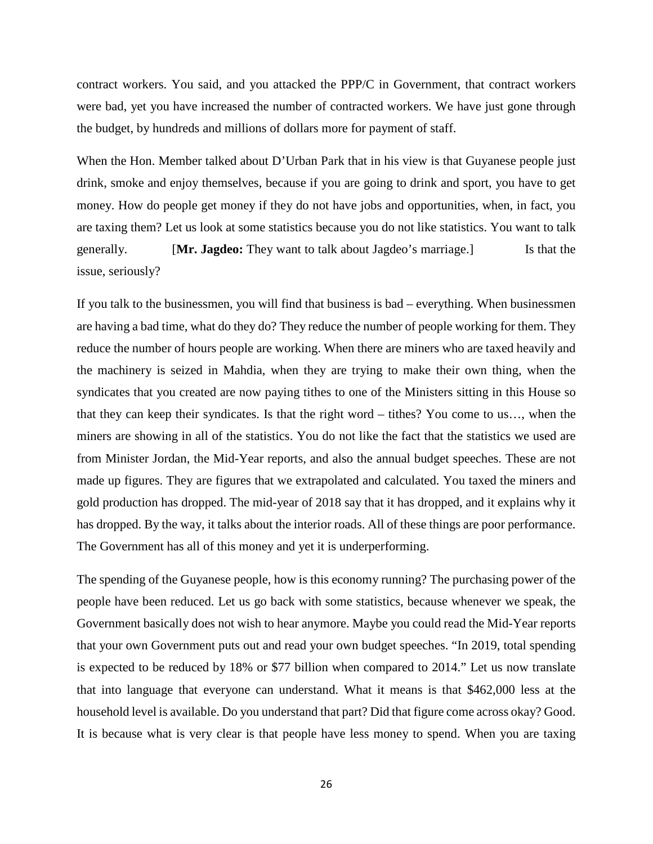contract workers. You said, and you attacked the PPP/C in Government, that contract workers were bad, yet you have increased the number of contracted workers. We have just gone through the budget, by hundreds and millions of dollars more for payment of staff.

When the Hon. Member talked about D'Urban Park that in his view is that Guyanese people just drink, smoke and enjoy themselves, because if you are going to drink and sport, you have to get money. How do people get money if they do not have jobs and opportunities, when, in fact, you are taxing them? Let us look at some statistics because you do not like statistics. You want to talk generally. [**Mr. Jagdeo:** They want to talk about Jagdeo's marriage.] Is that the issue, seriously?

If you talk to the businessmen, you will find that business is bad – everything. When businessmen are having a bad time, what do they do? They reduce the number of people working for them. They reduce the number of hours people are working. When there are miners who are taxed heavily and the machinery is seized in Mahdia, when they are trying to make their own thing, when the syndicates that you created are now paying tithes to one of the Ministers sitting in this House so that they can keep their syndicates. Is that the right word – tithes? You come to us…, when the miners are showing in all of the statistics. You do not like the fact that the statistics we used are from Minister Jordan, the Mid-Year reports, and also the annual budget speeches. These are not made up figures. They are figures that we extrapolated and calculated. You taxed the miners and gold production has dropped. The mid-year of 2018 say that it has dropped, and it explains why it has dropped. By the way, it talks about the interior roads. All of these things are poor performance. The Government has all of this money and yet it is underperforming.

The spending of the Guyanese people, how is this economy running? The purchasing power of the people have been reduced. Let us go back with some statistics, because whenever we speak, the Government basically does not wish to hear anymore. Maybe you could read the Mid-Year reports that your own Government puts out and read your own budget speeches. "In 2019, total spending is expected to be reduced by 18% or \$77 billion when compared to 2014." Let us now translate that into language that everyone can understand. What it means is that \$462,000 less at the household level is available. Do you understand that part? Did that figure come across okay? Good. It is because what is very clear is that people have less money to spend. When you are taxing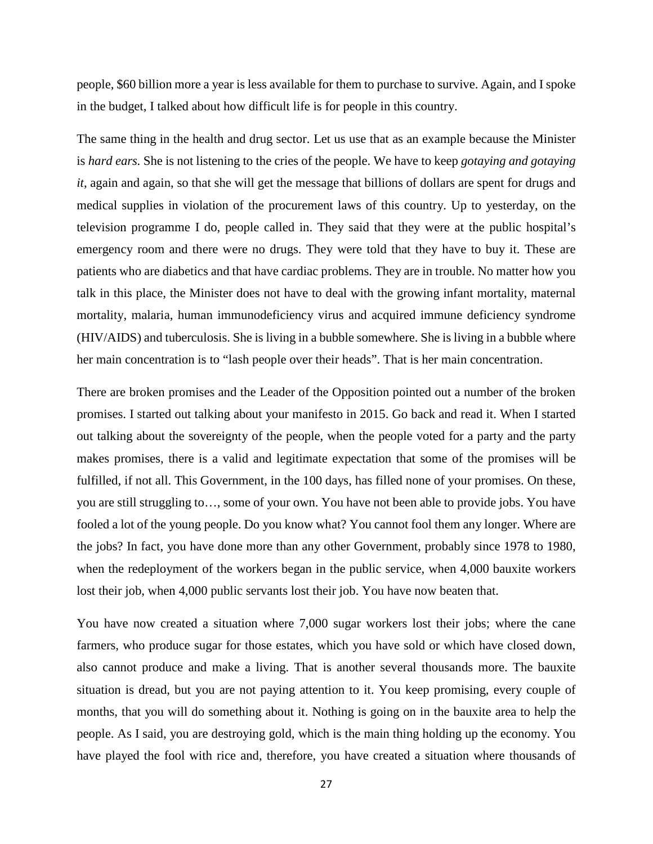people, \$60 billion more a year is less available for them to purchase to survive. Again, and I spoke in the budget, I talked about how difficult life is for people in this country.

The same thing in the health and drug sector. Let us use that as an example because the Minister is *hard ears.* She is not listening to the cries of the people. We have to keep *gotaying and gotaying it*, again and again, so that she will get the message that billions of dollars are spent for drugs and medical supplies in violation of the procurement laws of this country. Up to yesterday, on the television programme I do, people called in. They said that they were at the public hospital's emergency room and there were no drugs. They were told that they have to buy it. These are patients who are diabetics and that have cardiac problems. They are in trouble. No matter how you talk in this place, the Minister does not have to deal with the growing infant mortality, maternal mortality, malaria, human immunodeficiency virus and acquired immune deficiency syndrome (HIV/AIDS) and tuberculosis. She is living in a bubble somewhere. She is living in a bubble where her main concentration is to "lash people over their heads". That is her main concentration.

There are broken promises and the Leader of the Opposition pointed out a number of the broken promises. I started out talking about your manifesto in 2015. Go back and read it. When I started out talking about the sovereignty of the people, when the people voted for a party and the party makes promises, there is a valid and legitimate expectation that some of the promises will be fulfilled, if not all. This Government, in the 100 days, has filled none of your promises. On these, you are still struggling to…, some of your own. You have not been able to provide jobs. You have fooled a lot of the young people. Do you know what? You cannot fool them any longer. Where are the jobs? In fact, you have done more than any other Government, probably since 1978 to 1980, when the redeployment of the workers began in the public service, when 4,000 bauxite workers lost their job, when 4,000 public servants lost their job. You have now beaten that.

You have now created a situation where 7,000 sugar workers lost their jobs; where the cane farmers, who produce sugar for those estates, which you have sold or which have closed down, also cannot produce and make a living. That is another several thousands more. The bauxite situation is dread, but you are not paying attention to it. You keep promising, every couple of months, that you will do something about it. Nothing is going on in the bauxite area to help the people. As I said, you are destroying gold, which is the main thing holding up the economy. You have played the fool with rice and, therefore, you have created a situation where thousands of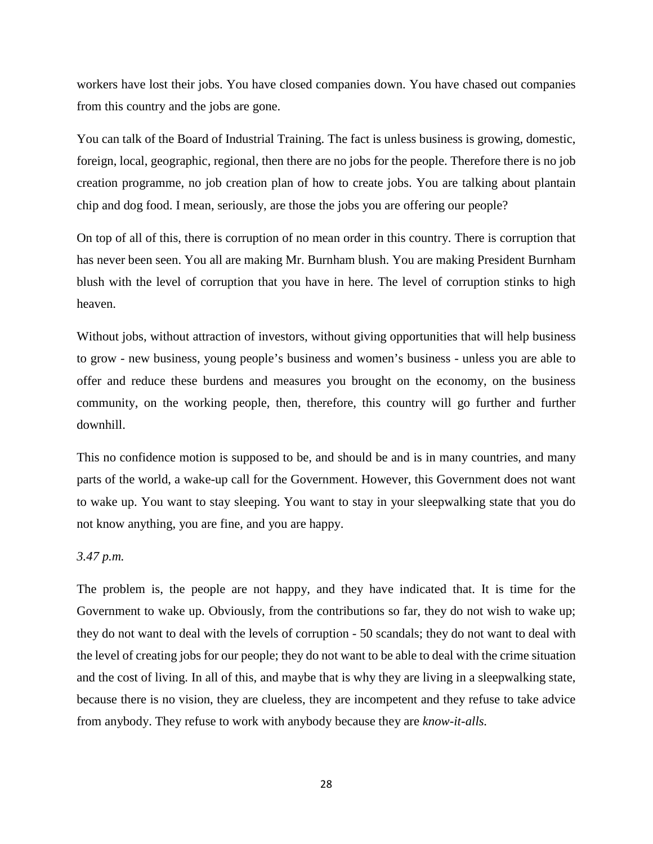workers have lost their jobs. You have closed companies down. You have chased out companies from this country and the jobs are gone.

You can talk of the Board of Industrial Training. The fact is unless business is growing, domestic, foreign, local, geographic, regional, then there are no jobs for the people. Therefore there is no job creation programme, no job creation plan of how to create jobs. You are talking about plantain chip and dog food. I mean, seriously, are those the jobs you are offering our people?

On top of all of this, there is corruption of no mean order in this country. There is corruption that has never been seen. You all are making Mr. Burnham blush. You are making President Burnham blush with the level of corruption that you have in here. The level of corruption stinks to high heaven.

Without jobs, without attraction of investors, without giving opportunities that will help business to grow - new business, young people's business and women's business - unless you are able to offer and reduce these burdens and measures you brought on the economy, on the business community, on the working people, then, therefore, this country will go further and further downhill.

This no confidence motion is supposed to be, and should be and is in many countries, and many parts of the world, a wake-up call for the Government. However, this Government does not want to wake up. You want to stay sleeping. You want to stay in your sleepwalking state that you do not know anything, you are fine, and you are happy.

# *3.47 p.m.*

The problem is, the people are not happy, and they have indicated that. It is time for the Government to wake up. Obviously, from the contributions so far, they do not wish to wake up; they do not want to deal with the levels of corruption - 50 scandals; they do not want to deal with the level of creating jobs for our people; they do not want to be able to deal with the crime situation and the cost of living. In all of this, and maybe that is why they are living in a sleepwalking state, because there is no vision, they are clueless, they are incompetent and they refuse to take advice from anybody. They refuse to work with anybody because they are *know-it-alls.*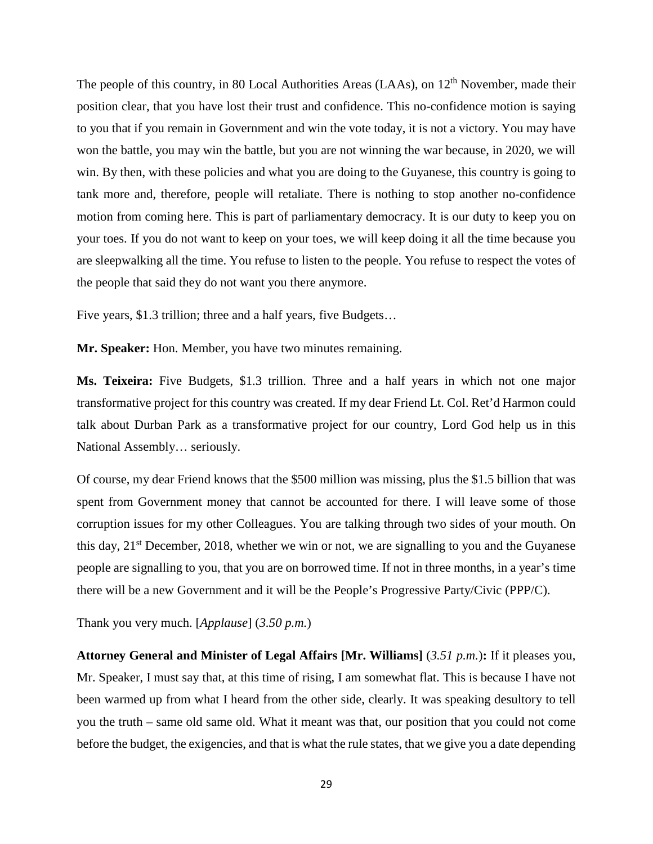The people of this country, in 80 Local Authorities Areas (LAAs), on 12<sup>th</sup> November, made their position clear, that you have lost their trust and confidence. This no-confidence motion is saying to you that if you remain in Government and win the vote today, it is not a victory. You may have won the battle, you may win the battle, but you are not winning the war because, in 2020, we will win. By then, with these policies and what you are doing to the Guyanese, this country is going to tank more and, therefore, people will retaliate. There is nothing to stop another no-confidence motion from coming here. This is part of parliamentary democracy. It is our duty to keep you on your toes. If you do not want to keep on your toes, we will keep doing it all the time because you are sleepwalking all the time. You refuse to listen to the people. You refuse to respect the votes of the people that said they do not want you there anymore.

Five years, \$1.3 trillion; three and a half years, five Budgets…

**Mr. Speaker:** Hon. Member, you have two minutes remaining.

**Ms. Teixeira:** Five Budgets, \$1.3 trillion. Three and a half years in which not one major transformative project for this country was created. If my dear Friend Lt. Col. Ret'd Harmon could talk about Durban Park as a transformative project for our country, Lord God help us in this National Assembly… seriously.

Of course, my dear Friend knows that the \$500 million was missing, plus the \$1.5 billion that was spent from Government money that cannot be accounted for there. I will leave some of those corruption issues for my other Colleagues. You are talking through two sides of your mouth. On this day,  $21<sup>st</sup>$  December, 2018, whether we win or not, we are signalling to you and the Guyanese people are signalling to you, that you are on borrowed time. If not in three months, in a year's time there will be a new Government and it will be the People's Progressive Party/Civic (PPP/C).

Thank you very much. [*Applause*] (*3.50 p.m.*)

**Attorney General and Minister of Legal Affairs [Mr. Williams]** (*3.51 p.m.*)**:** If it pleases you, Mr. Speaker, I must say that, at this time of rising, I am somewhat flat. This is because I have not been warmed up from what I heard from the other side, clearly. It was speaking desultory to tell you the truth – same old same old. What it meant was that, our position that you could not come before the budget, the exigencies, and that is what the rule states, that we give you a date depending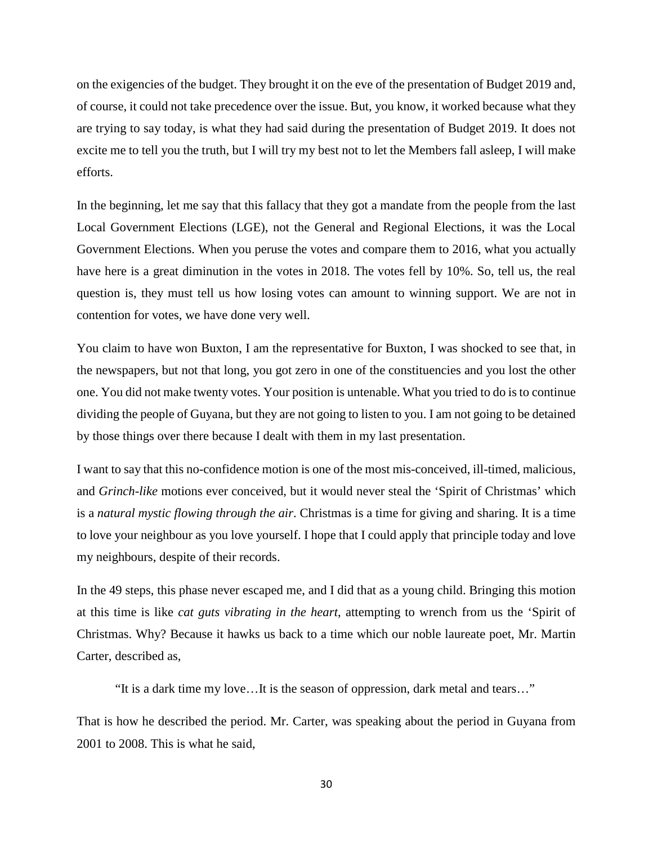on the exigencies of the budget. They brought it on the eve of the presentation of Budget 2019 and, of course, it could not take precedence over the issue. But, you know, it worked because what they are trying to say today, is what they had said during the presentation of Budget 2019. It does not excite me to tell you the truth, but I will try my best not to let the Members fall asleep, I will make efforts.

In the beginning, let me say that this fallacy that they got a mandate from the people from the last Local Government Elections (LGE), not the General and Regional Elections, it was the Local Government Elections. When you peruse the votes and compare them to 2016, what you actually have here is a great diminution in the votes in 2018. The votes fell by 10%. So, tell us, the real question is, they must tell us how losing votes can amount to winning support. We are not in contention for votes, we have done very well.

You claim to have won Buxton, I am the representative for Buxton, I was shocked to see that, in the newspapers, but not that long, you got zero in one of the constituencies and you lost the other one. You did not make twenty votes. Your position is untenable. What you tried to do is to continue dividing the people of Guyana, but they are not going to listen to you. I am not going to be detained by those things over there because I dealt with them in my last presentation.

I want to say that this no-confidence motion is one of the most mis-conceived, ill-timed, malicious, and *Grinch-like* motions ever conceived, but it would never steal the 'Spirit of Christmas' which is a *natural mystic flowing through the air*. Christmas is a time for giving and sharing. It is a time to love your neighbour as you love yourself. I hope that I could apply that principle today and love my neighbours, despite of their records.

In the 49 steps, this phase never escaped me, and I did that as a young child. Bringing this motion at this time is like *cat guts vibrating in the heart*, attempting to wrench from us the 'Spirit of Christmas. Why? Because it hawks us back to a time which our noble laureate poet, Mr. Martin Carter, described as,

"It is a dark time my love…It is the season of oppression, dark metal and tears…"

That is how he described the period. Mr. Carter, was speaking about the period in Guyana from 2001 to 2008. This is what he said,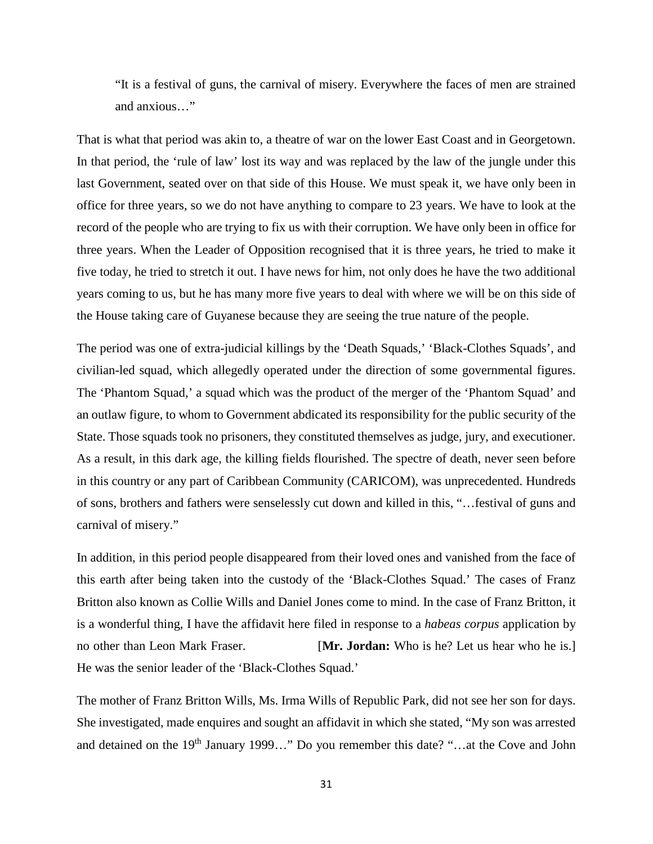"It is a festival of guns, the carnival of misery. Everywhere the faces of men are strained and anxious…"

That is what that period was akin to, a theatre of war on the lower East Coast and in Georgetown. In that period, the 'rule of law' lost its way and was replaced by the law of the jungle under this last Government, seated over on that side of this House. We must speak it, we have only been in office for three years, so we do not have anything to compare to 23 years. We have to look at the record of the people who are trying to fix us with their corruption. We have only been in office for three years. When the Leader of Opposition recognised that it is three years, he tried to make it five today, he tried to stretch it out. I have news for him, not only does he have the two additional years coming to us, but he has many more five years to deal with where we will be on this side of the House taking care of Guyanese because they are seeing the true nature of the people.

The period was one of extra-judicial killings by the 'Death Squads,' 'Black-Clothes Squads', and civilian-led squad, which allegedly operated under the direction of some governmental figures. The 'Phantom Squad,' a squad which was the product of the merger of the 'Phantom Squad' and an outlaw figure, to whom to Government abdicated its responsibility for the public security of the State. Those squads took no prisoners, they constituted themselves as judge, jury, and executioner. As a result, in this dark age, the killing fields flourished. The spectre of death, never seen before in this country or any part of Caribbean Community (CARICOM), was unprecedented. Hundreds of sons, brothers and fathers were senselessly cut down and killed in this, "…festival of guns and carnival of misery."

In addition, in this period people disappeared from their loved ones and vanished from the face of this earth after being taken into the custody of the 'Black-Clothes Squad.' The cases of Franz Britton also known as Collie Wills and Daniel Jones come to mind. In the case of Franz Britton, it is a wonderful thing, I have the affidavit here filed in response to a *habeas corpus* application by no other than Leon Mark Fraser. [**Mr. Jordan:** Who is he? Let us hear who he is.] He was the senior leader of the 'Black-Clothes Squad.'

The mother of Franz Britton Wills, Ms. Irma Wills of Republic Park, did not see her son for days. She investigated, made enquires and sought an affidavit in which she stated, "My son was arrested and detained on the 19<sup>th</sup> January 1999…" Do you remember this date? "…at the Cove and John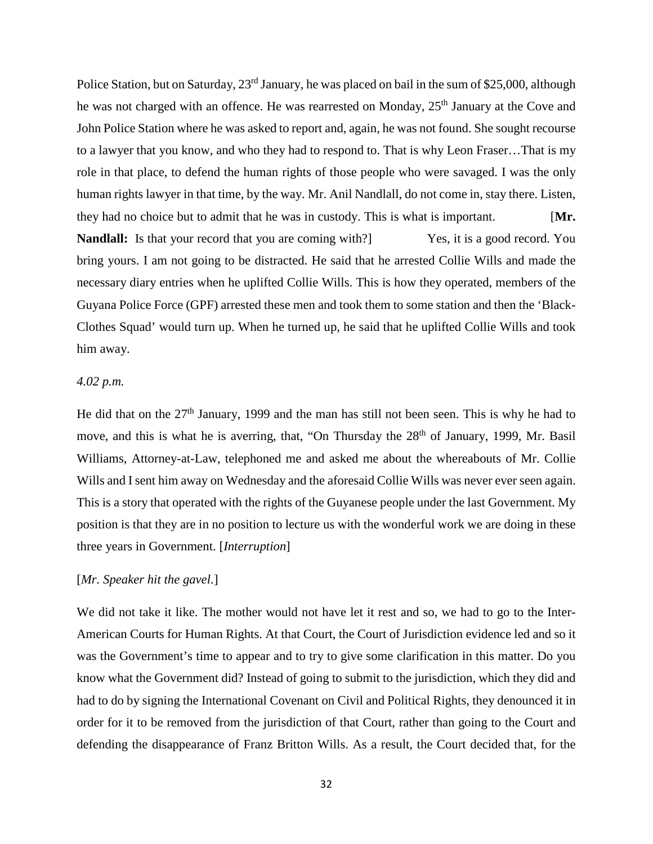Police Station, but on Saturday, 23<sup>rd</sup> January, he was placed on bail in the sum of \$25,000, although he was not charged with an offence. He was rearrested on Monday, 25<sup>th</sup> January at the Cove and John Police Station where he was asked to report and, again, he was not found. She sought recourse to a lawyer that you know, and who they had to respond to. That is why Leon Fraser…That is my role in that place, to defend the human rights of those people who were savaged. I was the only human rights lawyer in that time, by the way. Mr. Anil Nandlall, do not come in, stay there. Listen, they had no choice but to admit that he was in custody. This is what is important. [**Mr. Nandlall:** Is that your record that you are coming with?] Yes, it is a good record. You bring yours. I am not going to be distracted. He said that he arrested Collie Wills and made the necessary diary entries when he uplifted Collie Wills. This is how they operated, members of the Guyana Police Force (GPF) arrested these men and took them to some station and then the 'Black-Clothes Squad' would turn up. When he turned up, he said that he uplifted Collie Wills and took him away.

# *4.02 p.m.*

He did that on the  $27<sup>th</sup>$  January, 1999 and the man has still not been seen. This is why he had to move, and this is what he is averring, that, "On Thursday the 28<sup>th</sup> of January, 1999, Mr. Basil Williams, Attorney-at-Law, telephoned me and asked me about the whereabouts of Mr. Collie Wills and I sent him away on Wednesday and the aforesaid Collie Wills was never ever seen again. This is a story that operated with the rights of the Guyanese people under the last Government. My position is that they are in no position to lecture us with the wonderful work we are doing in these three years in Government. [*Interruption*]

# [*Mr. Speaker hit the gavel.*]

We did not take it like. The mother would not have let it rest and so, we had to go to the Inter-American Courts for Human Rights. At that Court, the Court of Jurisdiction evidence led and so it was the Government's time to appear and to try to give some clarification in this matter. Do you know what the Government did? Instead of going to submit to the jurisdiction, which they did and had to do by signing the International Covenant on Civil and Political Rights, they denounced it in order for it to be removed from the jurisdiction of that Court, rather than going to the Court and defending the disappearance of Franz Britton Wills. As a result, the Court decided that, for the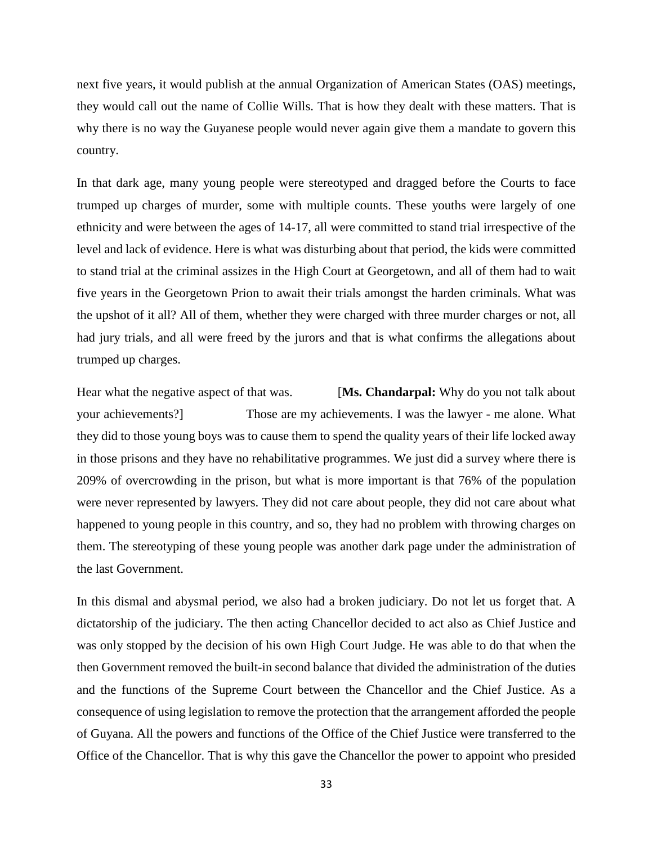next five years, it would publish at the annual Organization of American States (OAS) meetings, they would call out the name of Collie Wills. That is how they dealt with these matters. That is why there is no way the Guyanese people would never again give them a mandate to govern this country.

In that dark age, many young people were stereotyped and dragged before the Courts to face trumped up charges of murder, some with multiple counts. These youths were largely of one ethnicity and were between the ages of 14-17, all were committed to stand trial irrespective of the level and lack of evidence. Here is what was disturbing about that period, the kids were committed to stand trial at the criminal assizes in the High Court at Georgetown, and all of them had to wait five years in the Georgetown Prion to await their trials amongst the harden criminals. What was the upshot of it all? All of them, whether they were charged with three murder charges or not, all had jury trials, and all were freed by the jurors and that is what confirms the allegations about trumped up charges.

Hear what the negative aspect of that was. [**Ms. Chandarpal:** Why do you not talk about your achievements?] Those are my achievements. I was the lawyer - me alone. What they did to those young boys was to cause them to spend the quality years of their life locked away in those prisons and they have no rehabilitative programmes. We just did a survey where there is 209% of overcrowding in the prison, but what is more important is that 76% of the population were never represented by lawyers. They did not care about people, they did not care about what happened to young people in this country, and so, they had no problem with throwing charges on them. The stereotyping of these young people was another dark page under the administration of the last Government.

In this dismal and abysmal period, we also had a broken judiciary. Do not let us forget that. A dictatorship of the judiciary. The then acting Chancellor decided to act also as Chief Justice and was only stopped by the decision of his own High Court Judge. He was able to do that when the then Government removed the built-in second balance that divided the administration of the duties and the functions of the Supreme Court between the Chancellor and the Chief Justice. As a consequence of using legislation to remove the protection that the arrangement afforded the people of Guyana. All the powers and functions of the Office of the Chief Justice were transferred to the Office of the Chancellor. That is why this gave the Chancellor the power to appoint who presided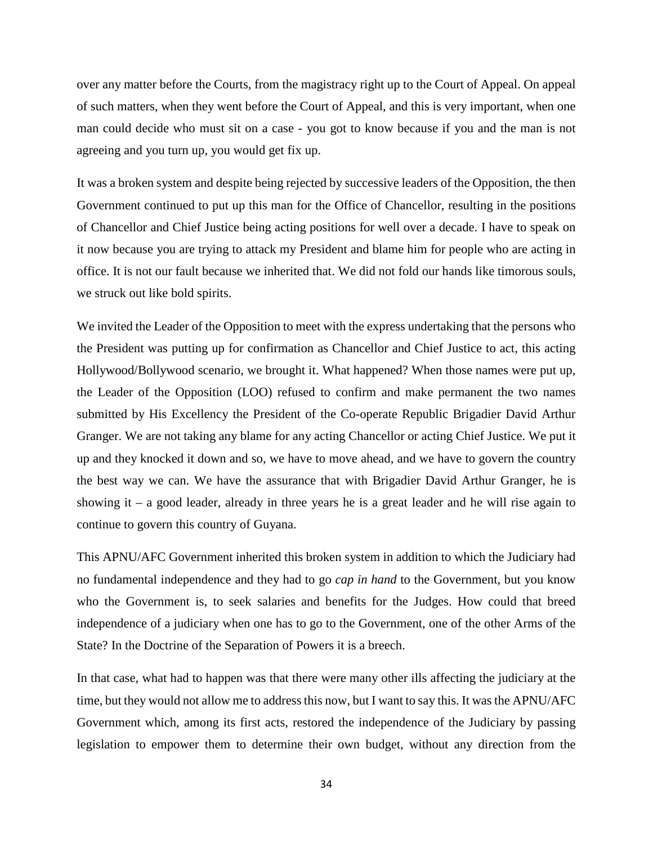over any matter before the Courts, from the magistracy right up to the Court of Appeal. On appeal of such matters, when they went before the Court of Appeal, and this is very important, when one man could decide who must sit on a case - you got to know because if you and the man is not agreeing and you turn up, you would get fix up.

It was a broken system and despite being rejected by successive leaders of the Opposition, the then Government continued to put up this man for the Office of Chancellor, resulting in the positions of Chancellor and Chief Justice being acting positions for well over a decade. I have to speak on it now because you are trying to attack my President and blame him for people who are acting in office. It is not our fault because we inherited that. We did not fold our hands like timorous souls, we struck out like bold spirits.

We invited the Leader of the Opposition to meet with the express undertaking that the persons who the President was putting up for confirmation as Chancellor and Chief Justice to act, this acting Hollywood/Bollywood scenario, we brought it. What happened? When those names were put up, the Leader of the Opposition (LOO) refused to confirm and make permanent the two names submitted by His Excellency the President of the Co-operate Republic Brigadier David Arthur Granger. We are not taking any blame for any acting Chancellor or acting Chief Justice. We put it up and they knocked it down and so, we have to move ahead, and we have to govern the country the best way we can. We have the assurance that with Brigadier David Arthur Granger, he is showing it – a good leader, already in three years he is a great leader and he will rise again to continue to govern this country of Guyana.

This APNU/AFC Government inherited this broken system in addition to which the Judiciary had no fundamental independence and they had to go *cap in hand* to the Government, but you know who the Government is, to seek salaries and benefits for the Judges. How could that breed independence of a judiciary when one has to go to the Government, one of the other Arms of the State? In the Doctrine of the Separation of Powers it is a breech.

In that case, what had to happen was that there were many other ills affecting the judiciary at the time, but they would not allow me to address this now, but I want to say this. It was the APNU/AFC Government which, among its first acts, restored the independence of the Judiciary by passing legislation to empower them to determine their own budget, without any direction from the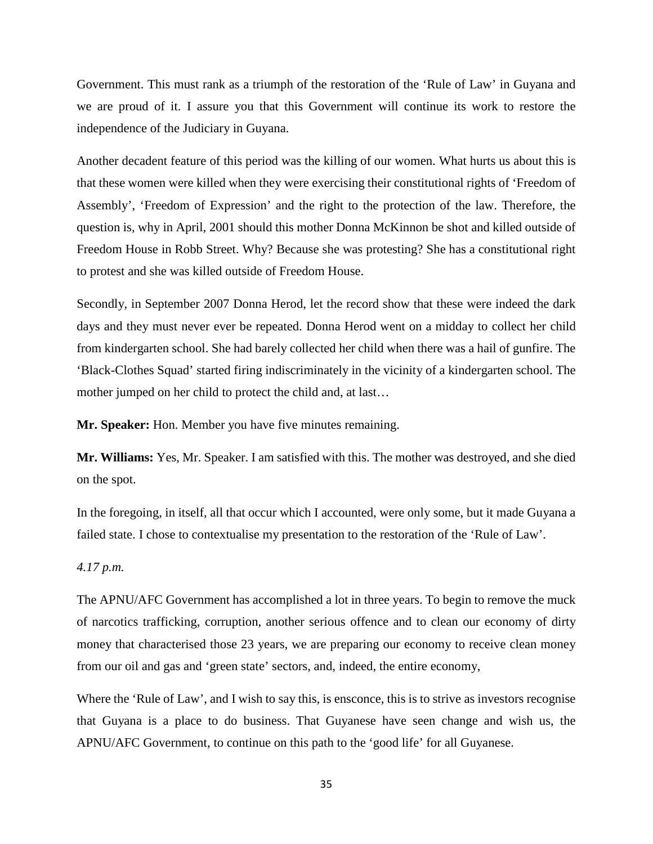Government. This must rank as a triumph of the restoration of the 'Rule of Law' in Guyana and we are proud of it. I assure you that this Government will continue its work to restore the independence of the Judiciary in Guyana.

Another decadent feature of this period was the killing of our women. What hurts us about this is that these women were killed when they were exercising their constitutional rights of 'Freedom of Assembly', 'Freedom of Expression' and the right to the protection of the law. Therefore, the question is, why in April, 2001 should this mother Donna McKinnon be shot and killed outside of Freedom House in Robb Street. Why? Because she was protesting? She has a constitutional right to protest and she was killed outside of Freedom House.

Secondly, in September 2007 Donna Herod, let the record show that these were indeed the dark days and they must never ever be repeated. Donna Herod went on a midday to collect her child from kindergarten school. She had barely collected her child when there was a hail of gunfire. The 'Black-Clothes Squad' started firing indiscriminately in the vicinity of a kindergarten school. The mother jumped on her child to protect the child and, at last…

**Mr. Speaker:** Hon. Member you have five minutes remaining.

**Mr. Williams:** Yes, Mr. Speaker. I am satisfied with this. The mother was destroyed, and she died on the spot.

In the foregoing, in itself, all that occur which I accounted, were only some, but it made Guyana a failed state. I chose to contextualise my presentation to the restoration of the 'Rule of Law'.

#### *4.17 p.m.*

The APNU/AFC Government has accomplished a lot in three years. To begin to remove the muck of narcotics trafficking, corruption, another serious offence and to clean our economy of dirty money that characterised those 23 years, we are preparing our economy to receive clean money from our oil and gas and 'green state' sectors, and, indeed, the entire economy,

Where the 'Rule of Law', and I wish to say this, is ensconce, this is to strive as investors recognise that Guyana is a place to do business. That Guyanese have seen change and wish us, the APNU/AFC Government, to continue on this path to the 'good life' for all Guyanese.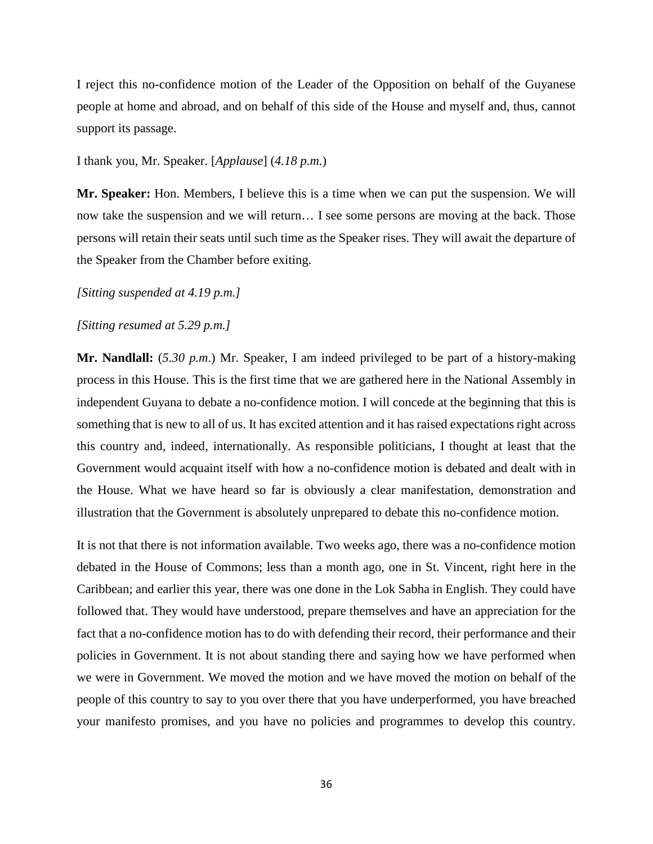I reject this no-confidence motion of the Leader of the Opposition on behalf of the Guyanese people at home and abroad, and on behalf of this side of the House and myself and, thus, cannot support its passage.

## I thank you, Mr. Speaker. [*Applause*] (*4.18 p.m.*)

**Mr. Speaker:** Hon. Members, I believe this is a time when we can put the suspension. We will now take the suspension and we will return… I see some persons are moving at the back. Those persons will retain their seats until such time as the Speaker rises. They will await the departure of the Speaker from the Chamber before exiting.

# *[Sitting suspended at 4.19 p.m.]*

# *[Sitting resumed at 5.29 p.m.]*

**Mr. Nandlall:** (*5.30 p.m*.) Mr. Speaker, I am indeed privileged to be part of a history-making process in this House. This is the first time that we are gathered here in the National Assembly in independent Guyana to debate a no-confidence motion. I will concede at the beginning that this is something that is new to all of us. It has excited attention and it has raised expectations right across this country and, indeed, internationally. As responsible politicians, I thought at least that the Government would acquaint itself with how a no-confidence motion is debated and dealt with in the House. What we have heard so far is obviously a clear manifestation, demonstration and illustration that the Government is absolutely unprepared to debate this no-confidence motion.

It is not that there is not information available. Two weeks ago, there was a no-confidence motion debated in the House of Commons; less than a month ago, one in St. Vincent, right here in the Caribbean; and earlier this year, there was one done in the Lok Sabha in English. They could have followed that. They would have understood, prepare themselves and have an appreciation for the fact that a no-confidence motion has to do with defending their record, their performance and their policies in Government. It is not about standing there and saying how we have performed when we were in Government. We moved the motion and we have moved the motion on behalf of the people of this country to say to you over there that you have underperformed, you have breached your manifesto promises, and you have no policies and programmes to develop this country.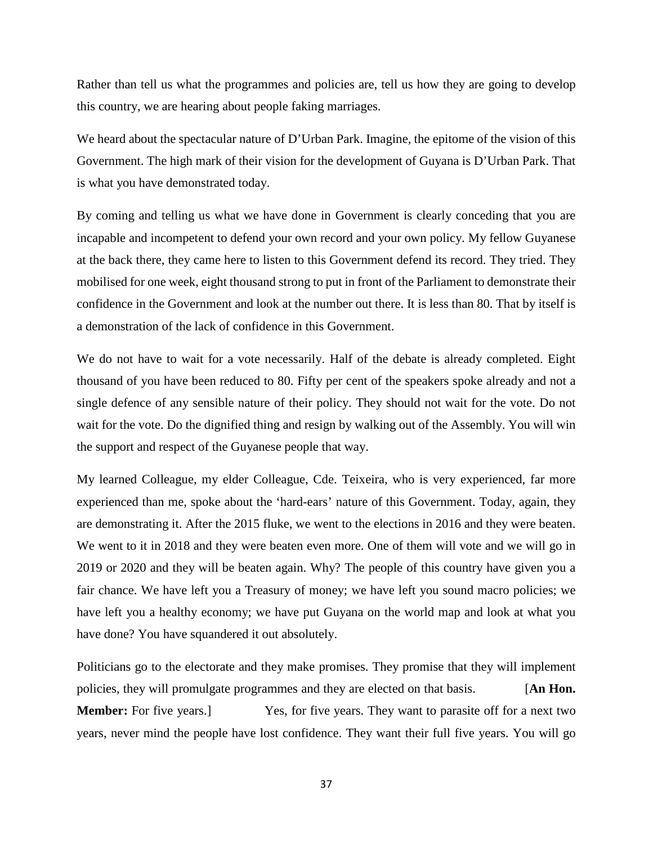Rather than tell us what the programmes and policies are, tell us how they are going to develop this country, we are hearing about people faking marriages.

We heard about the spectacular nature of D'Urban Park. Imagine, the epitome of the vision of this Government. The high mark of their vision for the development of Guyana is D'Urban Park. That is what you have demonstrated today.

By coming and telling us what we have done in Government is clearly conceding that you are incapable and incompetent to defend your own record and your own policy. My fellow Guyanese at the back there, they came here to listen to this Government defend its record. They tried. They mobilised for one week, eight thousand strong to put in front of the Parliament to demonstrate their confidence in the Government and look at the number out there. It is less than 80. That by itself is a demonstration of the lack of confidence in this Government.

We do not have to wait for a vote necessarily. Half of the debate is already completed. Eight thousand of you have been reduced to 80. Fifty per cent of the speakers spoke already and not a single defence of any sensible nature of their policy. They should not wait for the vote. Do not wait for the vote. Do the dignified thing and resign by walking out of the Assembly. You will win the support and respect of the Guyanese people that way.

My learned Colleague, my elder Colleague, Cde. Teixeira, who is very experienced, far more experienced than me, spoke about the 'hard-ears' nature of this Government. Today, again, they are demonstrating it. After the 2015 fluke, we went to the elections in 2016 and they were beaten. We went to it in 2018 and they were beaten even more. One of them will vote and we will go in 2019 or 2020 and they will be beaten again. Why? The people of this country have given you a fair chance. We have left you a Treasury of money; we have left you sound macro policies; we have left you a healthy economy; we have put Guyana on the world map and look at what you have done? You have squandered it out absolutely.

Politicians go to the electorate and they make promises. They promise that they will implement policies, they will promulgate programmes and they are elected on that basis. [**An Hon. Member:** For five years. They want to parasite off for a next two series of  $\epsilon$  is a next two series of  $\epsilon$  is a next two series of  $\epsilon$  is a next two series of  $\epsilon$  is a next two series of  $\epsilon$  is a next two series of years, never mind the people have lost confidence. They want their full five years. You will go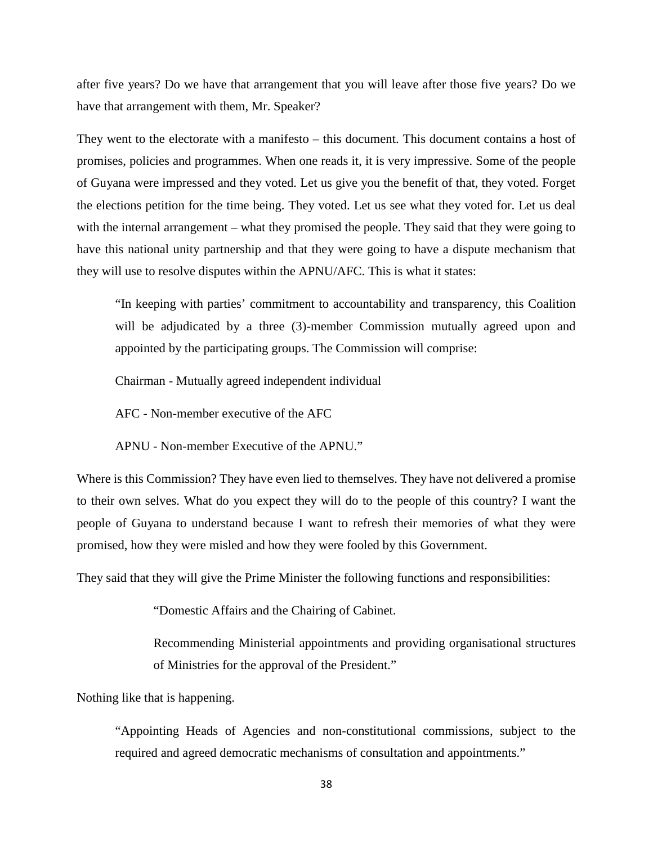after five years? Do we have that arrangement that you will leave after those five years? Do we have that arrangement with them, Mr. Speaker?

They went to the electorate with a manifesto – this document. This document contains a host of promises, policies and programmes. When one reads it, it is very impressive. Some of the people of Guyana were impressed and they voted. Let us give you the benefit of that, they voted. Forget the elections petition for the time being. They voted. Let us see what they voted for. Let us deal with the internal arrangement – what they promised the people. They said that they were going to have this national unity partnership and that they were going to have a dispute mechanism that they will use to resolve disputes within the APNU/AFC. This is what it states:

"In keeping with parties' commitment to accountability and transparency, this Coalition will be adjudicated by a three (3)-member Commission mutually agreed upon and appointed by the participating groups. The Commission will comprise:

Chairman - Mutually agreed independent individual

AFC - Non-member executive of the AFC

APNU - Non-member Executive of the APNU."

Where is this Commission? They have even lied to themselves. They have not delivered a promise to their own selves. What do you expect they will do to the people of this country? I want the people of Guyana to understand because I want to refresh their memories of what they were promised, how they were misled and how they were fooled by this Government.

They said that they will give the Prime Minister the following functions and responsibilities:

"Domestic Affairs and the Chairing of Cabinet.

Recommending Ministerial appointments and providing organisational structures of Ministries for the approval of the President."

Nothing like that is happening.

"Appointing Heads of Agencies and non-constitutional commissions, subject to the required and agreed democratic mechanisms of consultation and appointments."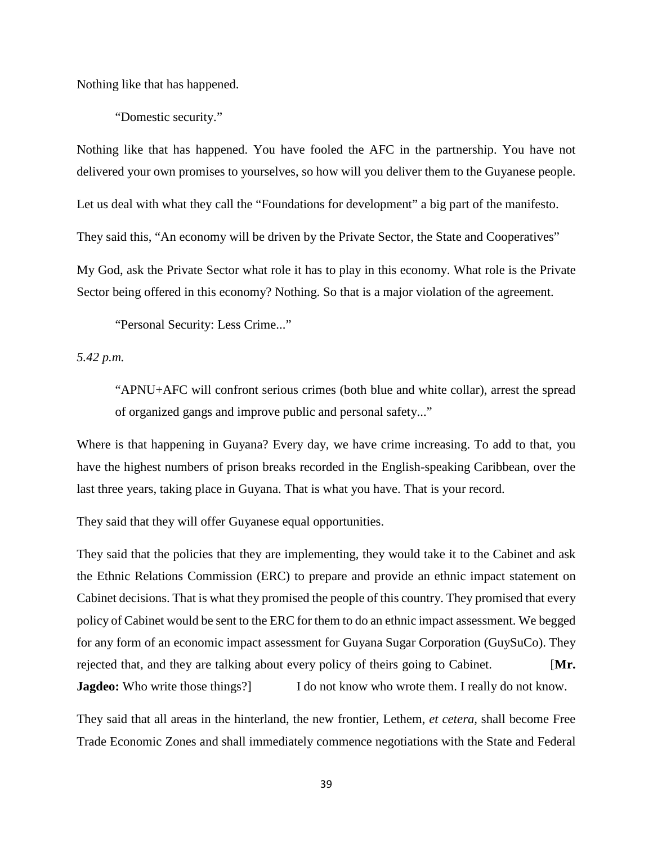Nothing like that has happened.

"Domestic security."

Nothing like that has happened. You have fooled the AFC in the partnership. You have not delivered your own promises to yourselves, so how will you deliver them to the Guyanese people. Let us deal with what they call the "Foundations for development" a big part of the manifesto. They said this, "An economy will be driven by the Private Sector, the State and Cooperatives" My God, ask the Private Sector what role it has to play in this economy. What role is the Private Sector being offered in this economy? Nothing. So that is a major violation of the agreement.

"Personal Security: Less Crime..."

*5.42 p.m.* 

"APNU+AFC will confront serious crimes (both blue and white collar), arrest the spread of organized gangs and improve public and personal safety..."

Where is that happening in Guyana? Every day, we have crime increasing. To add to that, you have the highest numbers of prison breaks recorded in the English-speaking Caribbean, over the last three years, taking place in Guyana. That is what you have. That is your record.

They said that they will offer Guyanese equal opportunities.

They said that the policies that they are implementing, they would take it to the Cabinet and ask the Ethnic Relations Commission (ERC) to prepare and provide an ethnic impact statement on Cabinet decisions. That is what they promised the people of this country. They promised that every policy of Cabinet would be sent to the ERC for them to do an ethnic impact assessment. We begged for any form of an economic impact assessment for Guyana Sugar Corporation (GuySuCo). They rejected that, and they are talking about every policy of theirs going to Cabinet. [**Mr. Jagdeo:** Who write those things?] I do not know who wrote them. I really do not know.

They said that all areas in the hinterland, the new frontier, Lethem, *et cetera,* shall become Free Trade Economic Zones and shall immediately commence negotiations with the State and Federal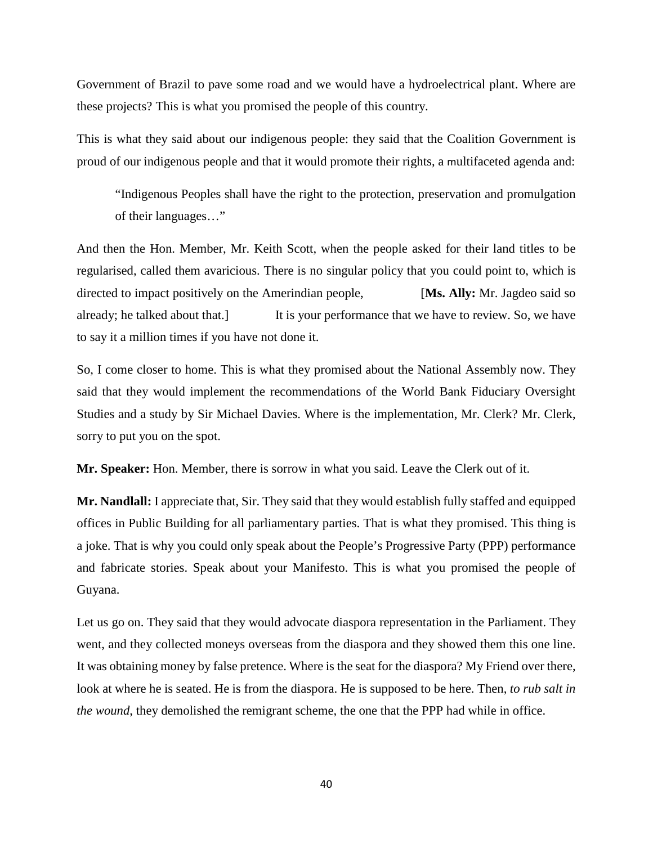Government of Brazil to pave some road and we would have a hydroelectrical plant. Where are these projects? This is what you promised the people of this country.

This is what they said about our indigenous people: they said that the Coalition Government is proud of our indigenous people and that it would promote their rights, a multifaceted agenda and:

"Indigenous Peoples shall have the right to the protection, preservation and promulgation of their languages…"

And then the Hon. Member, Mr. Keith Scott, when the people asked for their land titles to be regularised, called them avaricious. There is no singular policy that you could point to, which is directed to impact positively on the Amerindian people, [**Ms. Ally:** Mr. Jagdeo said so already; he talked about that.] It is your performance that we have to review. So, we have to say it a million times if you have not done it.

So, I come closer to home. This is what they promised about the National Assembly now. They said that they would implement the recommendations of the World Bank Fiduciary Oversight Studies and a study by Sir Michael Davies. Where is the implementation, Mr. Clerk? Mr. Clerk, sorry to put you on the spot.

**Mr. Speaker:** Hon. Member, there is sorrow in what you said. Leave the Clerk out of it.

**Mr. Nandlall:** I appreciate that, Sir. They said that they would establish fully staffed and equipped offices in Public Building for all parliamentary parties. That is what they promised. This thing is a joke. That is why you could only speak about the People's Progressive Party (PPP) performance and fabricate stories. Speak about your Manifesto. This is what you promised the people of Guyana.

Let us go on. They said that they would advocate diaspora representation in the Parliament. They went, and they collected moneys overseas from the diaspora and they showed them this one line. It was obtaining money by false pretence. Where is the seat for the diaspora? My Friend over there, look at where he is seated. He is from the diaspora. He is supposed to be here. Then, *to rub salt in the wound*, they demolished the remigrant scheme, the one that the PPP had while in office.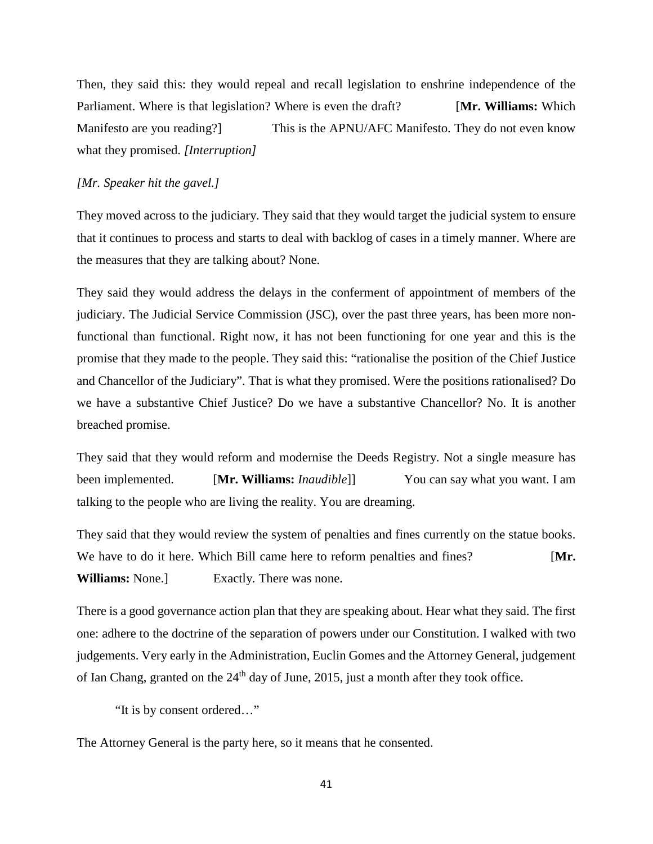Then, they said this: they would repeal and recall legislation to enshrine independence of the Parliament. Where is that legislation? Where is even the draft? [**Mr. Williams:** Which Manifesto are you reading? This is the APNU/AFC Manifesto. They do not even know what they promised. *[Interruption]*

# *[Mr. Speaker hit the gavel.]*

They moved across to the judiciary. They said that they would target the judicial system to ensure that it continues to process and starts to deal with backlog of cases in a timely manner. Where are the measures that they are talking about? None.

They said they would address the delays in the conferment of appointment of members of the judiciary. The Judicial Service Commission (JSC), over the past three years, has been more nonfunctional than functional. Right now, it has not been functioning for one year and this is the promise that they made to the people. They said this: "rationalise the position of the Chief Justice and Chancellor of the Judiciary". That is what they promised. Were the positions rationalised? Do we have a substantive Chief Justice? Do we have a substantive Chancellor? No. It is another breached promise.

They said that they would reform and modernise the Deeds Registry. Not a single measure has been implemented. [**Mr. Williams:** *Inaudible*]] You can say what you want. I am talking to the people who are living the reality. You are dreaming.

They said that they would review the system of penalties and fines currently on the statue books. We have to do it here. Which Bill came here to reform penalties and fines? [Mr. **Williams:** None.] Exactly. There was none.

There is a good governance action plan that they are speaking about. Hear what they said. The first one: adhere to the doctrine of the separation of powers under our Constitution. I walked with two judgements. Very early in the Administration, Euclin Gomes and the Attorney General, judgement of Ian Chang, granted on the 24<sup>th</sup> day of June, 2015, just a month after they took office.

"It is by consent ordered…"

The Attorney General is the party here, so it means that he consented.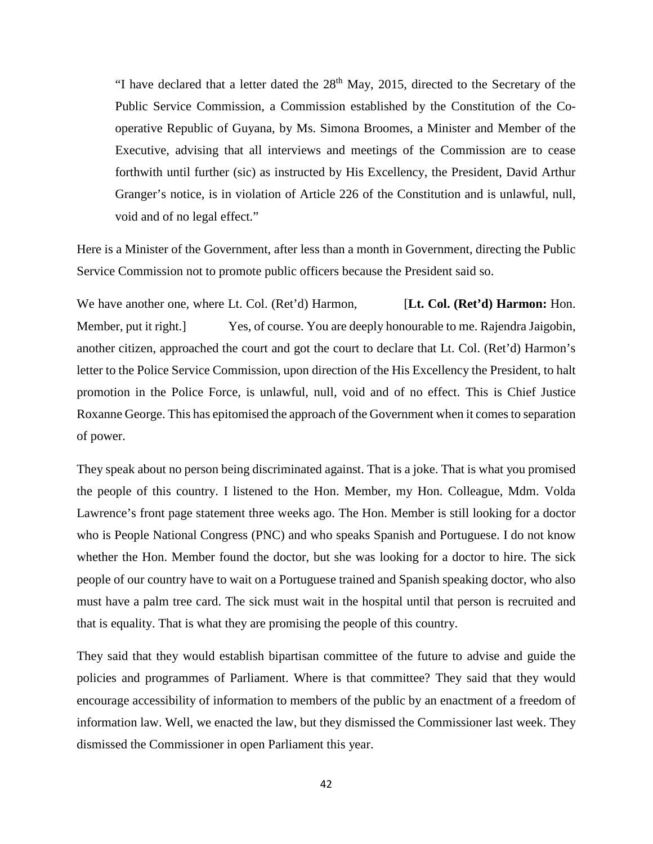"I have declared that a letter dated the  $28<sup>th</sup>$  May, 2015, directed to the Secretary of the Public Service Commission, a Commission established by the Constitution of the Cooperative Republic of Guyana, by Ms. Simona Broomes, a Minister and Member of the Executive, advising that all interviews and meetings of the Commission are to cease forthwith until further (sic) as instructed by His Excellency, the President, David Arthur Granger's notice, is in violation of Article 226 of the Constitution and is unlawful, null, void and of no legal effect."

Here is a Minister of the Government, after less than a month in Government, directing the Public Service Commission not to promote public officers because the President said so.

We have another one, where Lt. Col. (Ret'd) Harmon, [**Lt. Col. (Ret'd) Harmon:** Hon. Member, put it right.] Yes, of course. You are deeply honourable to me. Rajendra Jaigobin, another citizen, approached the court and got the court to declare that Lt. Col. (Ret'd) Harmon's letter to the Police Service Commission, upon direction of the His Excellency the President, to halt promotion in the Police Force, is unlawful, null, void and of no effect. This is Chief Justice Roxanne George. This has epitomised the approach of the Government when it comes to separation of power.

They speak about no person being discriminated against. That is a joke. That is what you promised the people of this country. I listened to the Hon. Member, my Hon. Colleague, Mdm. Volda Lawrence's front page statement three weeks ago. The Hon. Member is still looking for a doctor who is People National Congress (PNC) and who speaks Spanish and Portuguese. I do not know whether the Hon. Member found the doctor, but she was looking for a doctor to hire. The sick people of our country have to wait on a Portuguese trained and Spanish speaking doctor, who also must have a palm tree card. The sick must wait in the hospital until that person is recruited and that is equality. That is what they are promising the people of this country.

They said that they would establish bipartisan committee of the future to advise and guide the policies and programmes of Parliament. Where is that committee? They said that they would encourage accessibility of information to members of the public by an enactment of a freedom of information law. Well, we enacted the law, but they dismissed the Commissioner last week. They dismissed the Commissioner in open Parliament this year.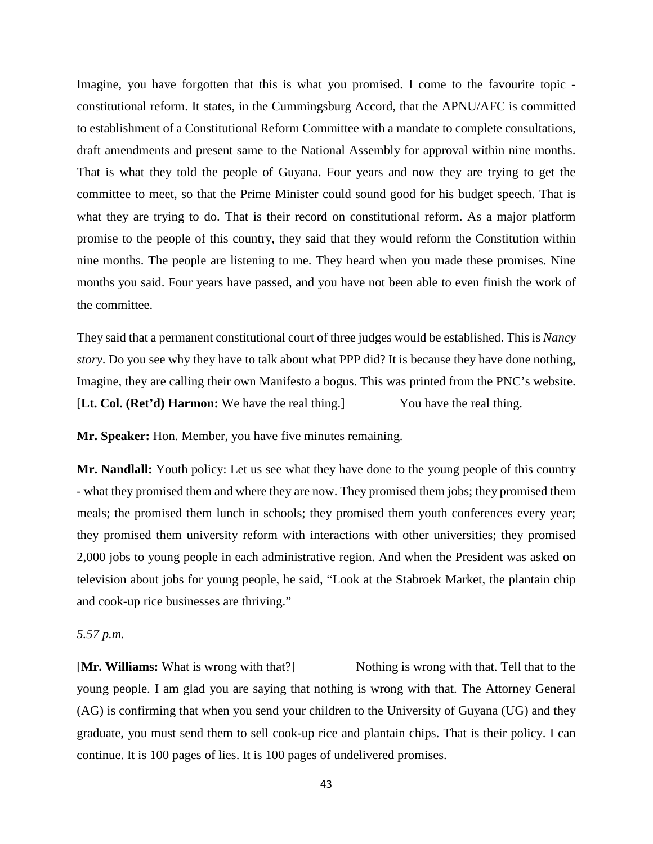Imagine, you have forgotten that this is what you promised. I come to the favourite topic constitutional reform. It states, in the Cummingsburg Accord, that the APNU/AFC is committed to establishment of a Constitutional Reform Committee with a mandate to complete consultations, draft amendments and present same to the National Assembly for approval within nine months. That is what they told the people of Guyana. Four years and now they are trying to get the committee to meet, so that the Prime Minister could sound good for his budget speech. That is what they are trying to do. That is their record on constitutional reform. As a major platform promise to the people of this country, they said that they would reform the Constitution within nine months. The people are listening to me. They heard when you made these promises. Nine months you said. Four years have passed, and you have not been able to even finish the work of the committee.

They said that a permanent constitutional court of three judges would be established. This is *Nancy story*. Do you see why they have to talk about what PPP did? It is because they have done nothing, Imagine, they are calling their own Manifesto a bogus. This was printed from the PNC's website. [**Lt. Col. (Ret'd) Harmon:** We have the real thing.] You have the real thing.

**Mr. Speaker:** Hon. Member, you have five minutes remaining.

**Mr. Nandlall:** Youth policy: Let us see what they have done to the young people of this country - what they promised them and where they are now. They promised them jobs; they promised them meals; the promised them lunch in schools; they promised them youth conferences every year; they promised them university reform with interactions with other universities; they promised 2,000 jobs to young people in each administrative region. And when the President was asked on television about jobs for young people, he said, "Look at the Stabroek Market, the plantain chip and cook-up rice businesses are thriving."

*5.57 p.m.* 

[Mr. Williams: What is wrong with that?] Nothing is wrong with that. Tell that to the young people. I am glad you are saying that nothing is wrong with that. The Attorney General (AG) is confirming that when you send your children to the University of Guyana (UG) and they graduate, you must send them to sell cook-up rice and plantain chips. That is their policy. I can continue. It is 100 pages of lies. It is 100 pages of undelivered promises.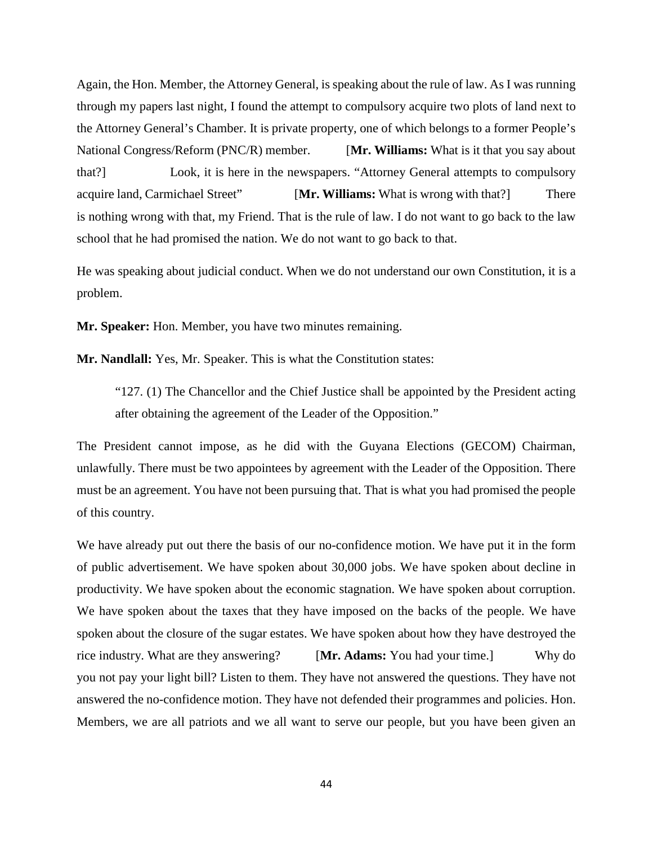Again, the Hon. Member, the Attorney General, is speaking about the rule of law. As I was running through my papers last night, I found the attempt to compulsory acquire two plots of land next to the Attorney General's Chamber. It is private property, one of which belongs to a former People's National Congress/Reform (PNC/R) member. [**Mr. Williams:** What is it that you say about that?] Look, it is here in the newspapers. "Attorney General attempts to compulsory acquire land, Carmichael Street" [**Mr. Williams:** What is wrong with that?] There is nothing wrong with that, my Friend. That is the rule of law. I do not want to go back to the law school that he had promised the nation. We do not want to go back to that.

He was speaking about judicial conduct. When we do not understand our own Constitution, it is a problem.

**Mr. Speaker:** Hon. Member, you have two minutes remaining.

**Mr. Nandlall:** Yes, Mr. Speaker. This is what the Constitution states:

"127. (1) The Chancellor and the Chief Justice shall be appointed by the President acting after obtaining the agreement of the Leader of the Opposition."

The President cannot impose, as he did with the Guyana Elections (GECOM) Chairman, unlawfully. There must be two appointees by agreement with the Leader of the Opposition. There must be an agreement. You have not been pursuing that. That is what you had promised the people of this country.

We have already put out there the basis of our no-confidence motion. We have put it in the form of public advertisement. We have spoken about 30,000 jobs. We have spoken about decline in productivity. We have spoken about the economic stagnation. We have spoken about corruption. We have spoken about the taxes that they have imposed on the backs of the people. We have spoken about the closure of the sugar estates. We have spoken about how they have destroyed the rice industry. What are they answering? [**Mr. Adams:** You had your time.] Why do you not pay your light bill? Listen to them. They have not answered the questions. They have not answered the no-confidence motion. They have not defended their programmes and policies. Hon. Members, we are all patriots and we all want to serve our people, but you have been given an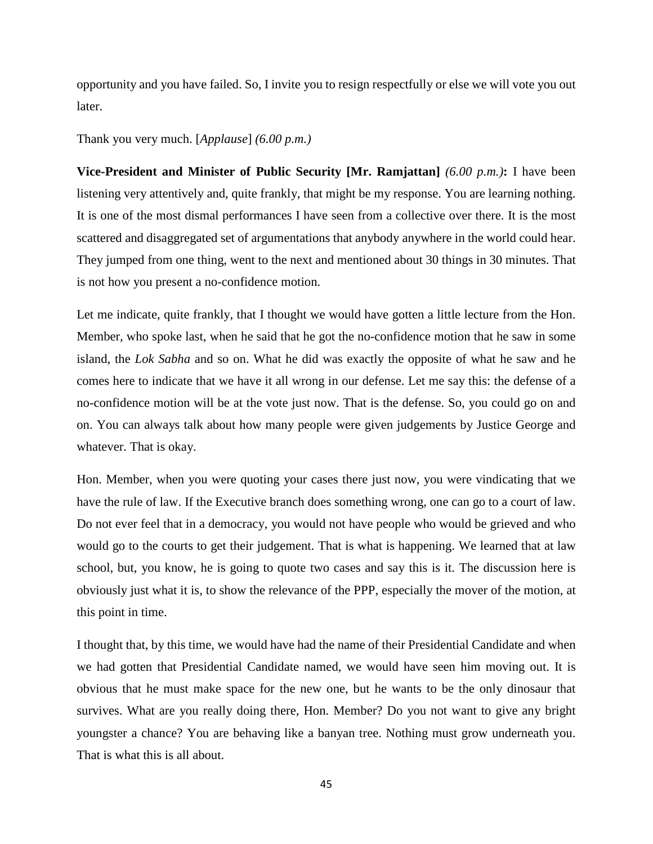opportunity and you have failed. So, I invite you to resign respectfully or else we will vote you out later.

Thank you very much. [*Applause*] *(6.00 p.m.)*

**Vice-President and Minister of Public Security [Mr. Ramjattan]** *(6.00 p.m.)***:** I have been listening very attentively and, quite frankly, that might be my response. You are learning nothing. It is one of the most dismal performances I have seen from a collective over there. It is the most scattered and disaggregated set of argumentations that anybody anywhere in the world could hear. They jumped from one thing, went to the next and mentioned about 30 things in 30 minutes. That is not how you present a no-confidence motion.

Let me indicate, quite frankly, that I thought we would have gotten a little lecture from the Hon. Member, who spoke last, when he said that he got the no-confidence motion that he saw in some island, the *Lok Sabha* and so on. What he did was exactly the opposite of what he saw and he comes here to indicate that we have it all wrong in our defense. Let me say this: the defense of a no-confidence motion will be at the vote just now. That is the defense. So, you could go on and on. You can always talk about how many people were given judgements by Justice George and whatever. That is okay.

Hon. Member, when you were quoting your cases there just now, you were vindicating that we have the rule of law. If the Executive branch does something wrong, one can go to a court of law. Do not ever feel that in a democracy, you would not have people who would be grieved and who would go to the courts to get their judgement. That is what is happening. We learned that at law school, but, you know, he is going to quote two cases and say this is it. The discussion here is obviously just what it is, to show the relevance of the PPP, especially the mover of the motion, at this point in time.

I thought that, by this time, we would have had the name of their Presidential Candidate and when we had gotten that Presidential Candidate named, we would have seen him moving out. It is obvious that he must make space for the new one, but he wants to be the only dinosaur that survives. What are you really doing there, Hon. Member? Do you not want to give any bright youngster a chance? You are behaving like a banyan tree. Nothing must grow underneath you. That is what this is all about.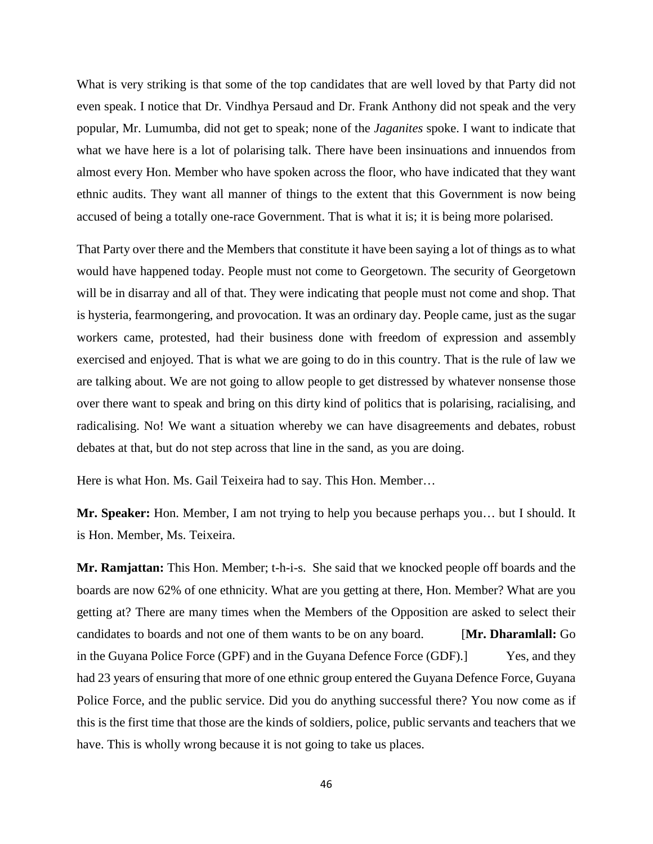What is very striking is that some of the top candidates that are well loved by that Party did not even speak. I notice that Dr. Vindhya Persaud and Dr. Frank Anthony did not speak and the very popular, Mr. Lumumba, did not get to speak; none of the *Jaganites* spoke. I want to indicate that what we have here is a lot of polarising talk. There have been insinuations and innuendos from almost every Hon. Member who have spoken across the floor, who have indicated that they want ethnic audits. They want all manner of things to the extent that this Government is now being accused of being a totally one-race Government. That is what it is; it is being more polarised.

That Party over there and the Members that constitute it have been saying a lot of things as to what would have happened today. People must not come to Georgetown. The security of Georgetown will be in disarray and all of that. They were indicating that people must not come and shop. That is hysteria, fearmongering, and provocation. It was an ordinary day. People came, just as the sugar workers came, protested, had their business done with freedom of expression and assembly exercised and enjoyed. That is what we are going to do in this country. That is the rule of law we are talking about. We are not going to allow people to get distressed by whatever nonsense those over there want to speak and bring on this dirty kind of politics that is polarising, racialising, and radicalising. No! We want a situation whereby we can have disagreements and debates, robust debates at that, but do not step across that line in the sand, as you are doing.

Here is what Hon. Ms. Gail Teixeira had to say. This Hon. Member…

**Mr. Speaker:** Hon. Member, I am not trying to help you because perhaps you… but I should. It is Hon. Member, Ms. Teixeira.

**Mr. Ramjattan:** This Hon. Member; t-h-i-s. She said that we knocked people off boards and the boards are now 62% of one ethnicity. What are you getting at there, Hon. Member? What are you getting at? There are many times when the Members of the Opposition are asked to select their candidates to boards and not one of them wants to be on any board. [**Mr. Dharamlall:** Go in the Guyana Police Force (GPF) and in the Guyana Defence Force (GDF).] Yes, and they had 23 years of ensuring that more of one ethnic group entered the Guyana Defence Force, Guyana Police Force, and the public service. Did you do anything successful there? You now come as if this is the first time that those are the kinds of soldiers, police, public servants and teachers that we have. This is wholly wrong because it is not going to take us places.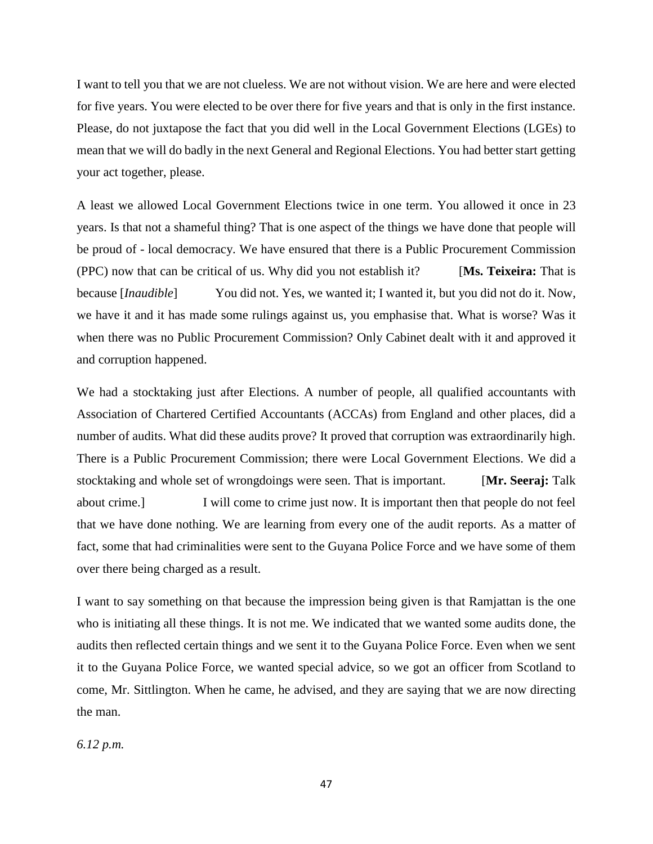I want to tell you that we are not clueless. We are not without vision. We are here and were elected for five years. You were elected to be over there for five years and that is only in the first instance. Please, do not juxtapose the fact that you did well in the Local Government Elections (LGEs) to mean that we will do badly in the next General and Regional Elections. You had better start getting your act together, please.

A least we allowed Local Government Elections twice in one term. You allowed it once in 23 years. Is that not a shameful thing? That is one aspect of the things we have done that people will be proud of - local democracy. We have ensured that there is a Public Procurement Commission (PPC) now that can be critical of us. Why did you not establish it? [**Ms. Teixeira:** That is because [*Inaudible*] You did not. Yes, we wanted it; I wanted it, but you did not do it. Now, we have it and it has made some rulings against us, you emphasise that. What is worse? Was it when there was no Public Procurement Commission? Only Cabinet dealt with it and approved it and corruption happened.

We had a stocktaking just after Elections. A number of people, all qualified accountants with Association of Chartered Certified Accountants (ACCAs) from England and other places, did a number of audits. What did these audits prove? It proved that corruption was extraordinarily high. There is a Public Procurement Commission; there were Local Government Elections. We did a stocktaking and whole set of wrongdoings were seen. That is important. [**Mr. Seeraj:** Talk about crime.] I will come to crime just now. It is important then that people do not feel that we have done nothing. We are learning from every one of the audit reports. As a matter of fact, some that had criminalities were sent to the Guyana Police Force and we have some of them over there being charged as a result.

I want to say something on that because the impression being given is that Ramjattan is the one who is initiating all these things. It is not me. We indicated that we wanted some audits done, the audits then reflected certain things and we sent it to the Guyana Police Force. Even when we sent it to the Guyana Police Force, we wanted special advice, so we got an officer from Scotland to come, Mr. Sittlington. When he came, he advised, and they are saying that we are now directing the man.

*6.12 p.m.*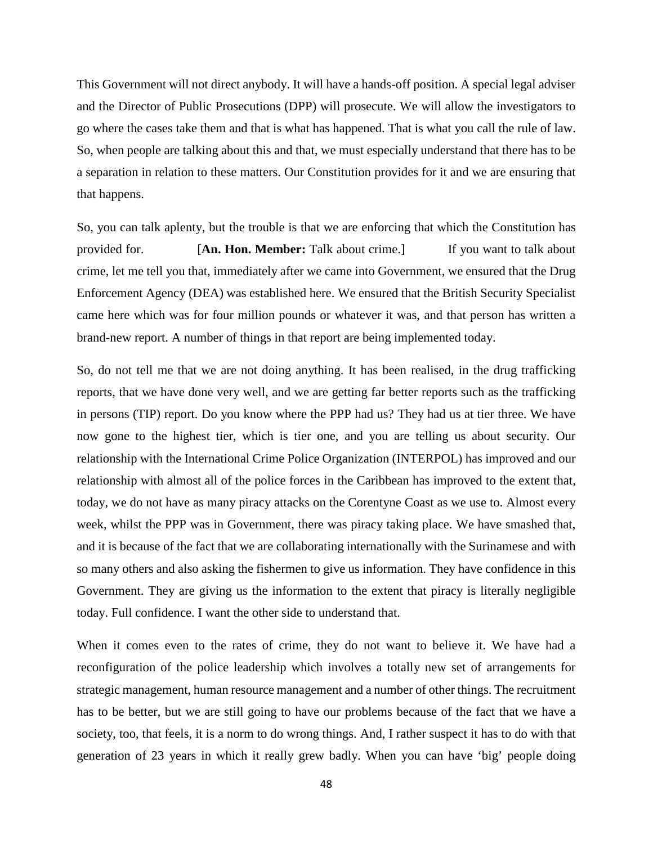This Government will not direct anybody. It will have a hands-off position. A special legal adviser and the Director of Public Prosecutions (DPP) will prosecute. We will allow the investigators to go where the cases take them and that is what has happened. That is what you call the rule of law. So, when people are talking about this and that, we must especially understand that there has to be a separation in relation to these matters. Our Constitution provides for it and we are ensuring that that happens.

So, you can talk aplenty, but the trouble is that we are enforcing that which the Constitution has provided for. [**An. Hon. Member:** Talk about crime.] If you want to talk about crime, let me tell you that, immediately after we came into Government, we ensured that the Drug Enforcement Agency (DEA) was established here. We ensured that the British Security Specialist came here which was for four million pounds or whatever it was, and that person has written a brand-new report. A number of things in that report are being implemented today.

So, do not tell me that we are not doing anything. It has been realised, in the drug trafficking reports, that we have done very well, and we are getting far better reports such as the trafficking in persons (TIP) report. Do you know where the PPP had us? They had us at tier three. We have now gone to the highest tier, which is tier one, and you are telling us about security. Our relationship with the International Crime Police Organization (INTERPOL) has improved and our relationship with almost all of the police forces in the Caribbean has improved to the extent that, today, we do not have as many piracy attacks on the Corentyne Coast as we use to. Almost every week, whilst the PPP was in Government, there was piracy taking place. We have smashed that, and it is because of the fact that we are collaborating internationally with the Surinamese and with so many others and also asking the fishermen to give us information. They have confidence in this Government. They are giving us the information to the extent that piracy is literally negligible today. Full confidence. I want the other side to understand that.

When it comes even to the rates of crime, they do not want to believe it. We have had a reconfiguration of the police leadership which involves a totally new set of arrangements for strategic management, human resource management and a number of other things. The recruitment has to be better, but we are still going to have our problems because of the fact that we have a society, too, that feels, it is a norm to do wrong things. And, I rather suspect it has to do with that generation of 23 years in which it really grew badly. When you can have 'big' people doing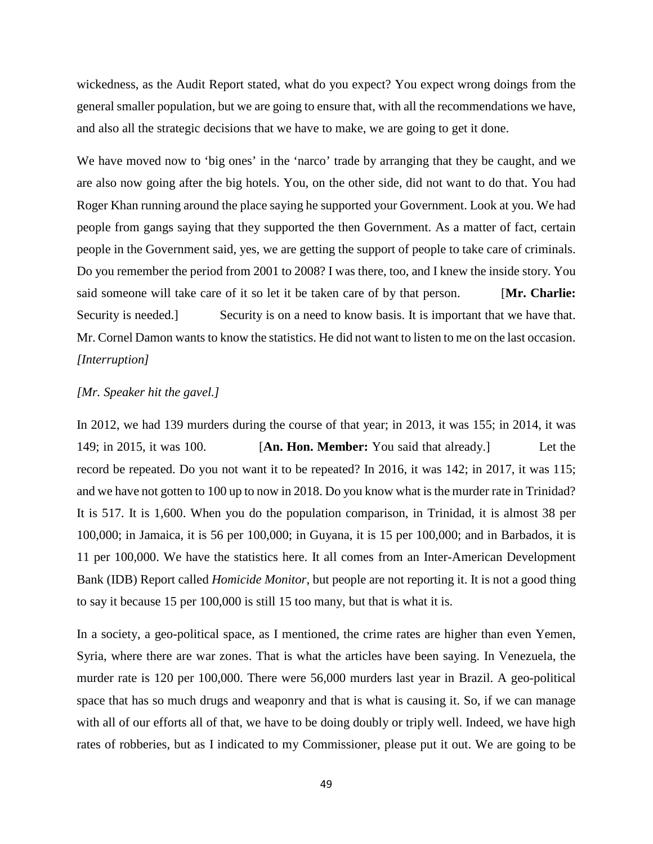wickedness, as the Audit Report stated, what do you expect? You expect wrong doings from the general smaller population, but we are going to ensure that, with all the recommendations we have, and also all the strategic decisions that we have to make, we are going to get it done.

We have moved now to 'big ones' in the 'narco' trade by arranging that they be caught, and we are also now going after the big hotels. You, on the other side, did not want to do that. You had Roger Khan running around the place saying he supported your Government. Look at you. We had people from gangs saying that they supported the then Government. As a matter of fact, certain people in the Government said, yes, we are getting the support of people to take care of criminals. Do you remember the period from 2001 to 2008? I was there, too, and I knew the inside story. You said someone will take care of it so let it be taken care of by that person. [**Mr. Charlie:** Security is needed.] Security is on a need to know basis. It is important that we have that. Mr. Cornel Damon wants to know the statistics. He did not want to listen to me on the last occasion. *[Interruption]*

# *[Mr. Speaker hit the gavel.]*

In 2012, we had 139 murders during the course of that year; in 2013, it was 155; in 2014, it was 149; in 2015, it was 100. [**An. Hon. Member:** You said that already.] Let the record be repeated. Do you not want it to be repeated? In 2016, it was 142; in 2017, it was 115; and we have not gotten to 100 up to now in 2018. Do you know what is the murder rate in Trinidad? It is 517. It is 1,600. When you do the population comparison, in Trinidad, it is almost 38 per 100,000; in Jamaica, it is 56 per 100,000; in Guyana, it is 15 per 100,000; and in Barbados, it is 11 per 100,000. We have the statistics here. It all comes from an Inter-American Development Bank (IDB) Report called *Homicide Monitor*, but people are not reporting it. It is not a good thing to say it because 15 per 100,000 is still 15 too many, but that is what it is.

In a society, a geo-political space, as I mentioned, the crime rates are higher than even Yemen, Syria, where there are war zones. That is what the articles have been saying. In Venezuela, the murder rate is 120 per 100,000. There were 56,000 murders last year in Brazil. A geo-political space that has so much drugs and weaponry and that is what is causing it. So, if we can manage with all of our efforts all of that, we have to be doing doubly or triply well. Indeed, we have high rates of robberies, but as I indicated to my Commissioner, please put it out. We are going to be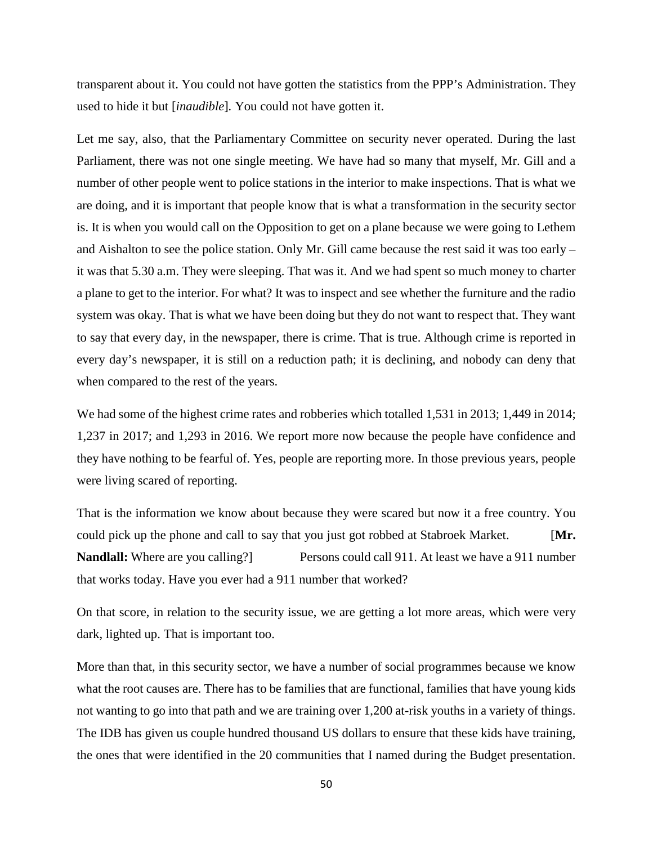transparent about it. You could not have gotten the statistics from the PPP's Administration. They used to hide it but [*inaudible*]*.* You could not have gotten it.

Let me say, also, that the Parliamentary Committee on security never operated. During the last Parliament, there was not one single meeting. We have had so many that myself, Mr. Gill and a number of other people went to police stations in the interior to make inspections. That is what we are doing, and it is important that people know that is what a transformation in the security sector is. It is when you would call on the Opposition to get on a plane because we were going to Lethem and Aishalton to see the police station. Only Mr. Gill came because the rest said it was too early – it was that 5.30 a.m. They were sleeping. That was it. And we had spent so much money to charter a plane to get to the interior. For what? It was to inspect and see whether the furniture and the radio system was okay. That is what we have been doing but they do not want to respect that. They want to say that every day, in the newspaper, there is crime. That is true. Although crime is reported in every day's newspaper, it is still on a reduction path; it is declining, and nobody can deny that when compared to the rest of the years.

We had some of the highest crime rates and robberies which totalled 1,531 in 2013; 1,449 in 2014; 1,237 in 2017; and 1,293 in 2016. We report more now because the people have confidence and they have nothing to be fearful of. Yes, people are reporting more. In those previous years, people were living scared of reporting.

That is the information we know about because they were scared but now it a free country. You could pick up the phone and call to say that you just got robbed at Stabroek Market. [**Mr. Nandlall:** Where are you calling?] Persons could call 911. At least we have a 911 number that works today. Have you ever had a 911 number that worked?

On that score, in relation to the security issue, we are getting a lot more areas, which were very dark, lighted up. That is important too.

More than that, in this security sector, we have a number of social programmes because we know what the root causes are. There has to be families that are functional, families that have young kids not wanting to go into that path and we are training over 1,200 at-risk youths in a variety of things. The IDB has given us couple hundred thousand US dollars to ensure that these kids have training, the ones that were identified in the 20 communities that I named during the Budget presentation.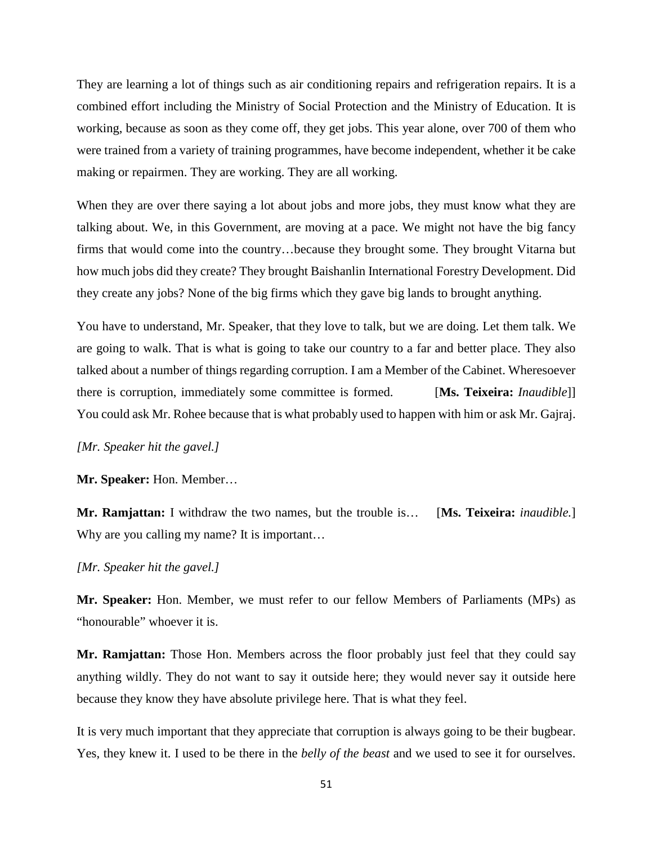They are learning a lot of things such as air conditioning repairs and refrigeration repairs. It is a combined effort including the Ministry of Social Protection and the Ministry of Education. It is working, because as soon as they come off, they get jobs. This year alone, over 700 of them who were trained from a variety of training programmes, have become independent, whether it be cake making or repairmen. They are working. They are all working.

When they are over there saying a lot about jobs and more jobs, they must know what they are talking about. We, in this Government, are moving at a pace. We might not have the big fancy firms that would come into the country…because they brought some. They brought Vitarna but how much jobs did they create? They brought Baishanlin International Forestry Development. Did they create any jobs? None of the big firms which they gave big lands to brought anything.

You have to understand, Mr. Speaker, that they love to talk, but we are doing. Let them talk. We are going to walk. That is what is going to take our country to a far and better place. They also talked about a number of things regarding corruption. I am a Member of the Cabinet. Wheresoever there is corruption, immediately some committee is formed. [**Ms. Teixeira:** *Inaudible*]] You could ask Mr. Rohee because that is what probably used to happen with him or ask Mr. Gajraj.

*[Mr. Speaker hit the gavel.]*

**Mr. Speaker:** Hon. Member…

**Mr. Ramjattan:** I withdraw the two names, but the trouble is… [**Ms. Teixeira:** *inaudible.*] Why are you calling my name? It is important...

## *[Mr. Speaker hit the gavel.]*

**Mr. Speaker:** Hon. Member, we must refer to our fellow Members of Parliaments (MPs) as "honourable" whoever it is.

**Mr. Ramjattan:** Those Hon. Members across the floor probably just feel that they could say anything wildly. They do not want to say it outside here; they would never say it outside here because they know they have absolute privilege here. That is what they feel.

It is very much important that they appreciate that corruption is always going to be their bugbear. Yes, they knew it. I used to be there in the *belly of the beast* and we used to see it for ourselves.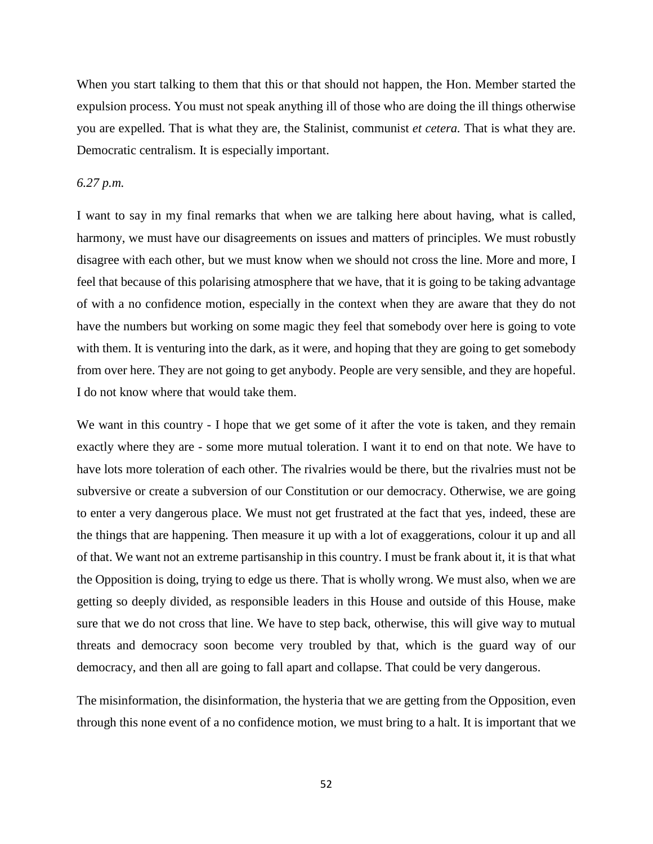When you start talking to them that this or that should not happen, the Hon. Member started the expulsion process. You must not speak anything ill of those who are doing the ill things otherwise you are expelled. That is what they are, the Stalinist, communist *et cetera.* That is what they are. Democratic centralism. It is especially important.

## *6.27 p.m.*

I want to say in my final remarks that when we are talking here about having, what is called, harmony, we must have our disagreements on issues and matters of principles. We must robustly disagree with each other, but we must know when we should not cross the line. More and more, I feel that because of this polarising atmosphere that we have, that it is going to be taking advantage of with a no confidence motion, especially in the context when they are aware that they do not have the numbers but working on some magic they feel that somebody over here is going to vote with them. It is venturing into the dark, as it were, and hoping that they are going to get somebody from over here. They are not going to get anybody. People are very sensible, and they are hopeful. I do not know where that would take them.

We want in this country - I hope that we get some of it after the vote is taken, and they remain exactly where they are - some more mutual toleration. I want it to end on that note. We have to have lots more toleration of each other. The rivalries would be there, but the rivalries must not be subversive or create a subversion of our Constitution or our democracy. Otherwise, we are going to enter a very dangerous place. We must not get frustrated at the fact that yes, indeed, these are the things that are happening. Then measure it up with a lot of exaggerations, colour it up and all of that. We want not an extreme partisanship in this country. I must be frank about it, it is that what the Opposition is doing, trying to edge us there. That is wholly wrong. We must also, when we are getting so deeply divided, as responsible leaders in this House and outside of this House, make sure that we do not cross that line. We have to step back, otherwise, this will give way to mutual threats and democracy soon become very troubled by that, which is the guard way of our democracy, and then all are going to fall apart and collapse. That could be very dangerous.

The misinformation, the disinformation, the hysteria that we are getting from the Opposition, even through this none event of a no confidence motion, we must bring to a halt. It is important that we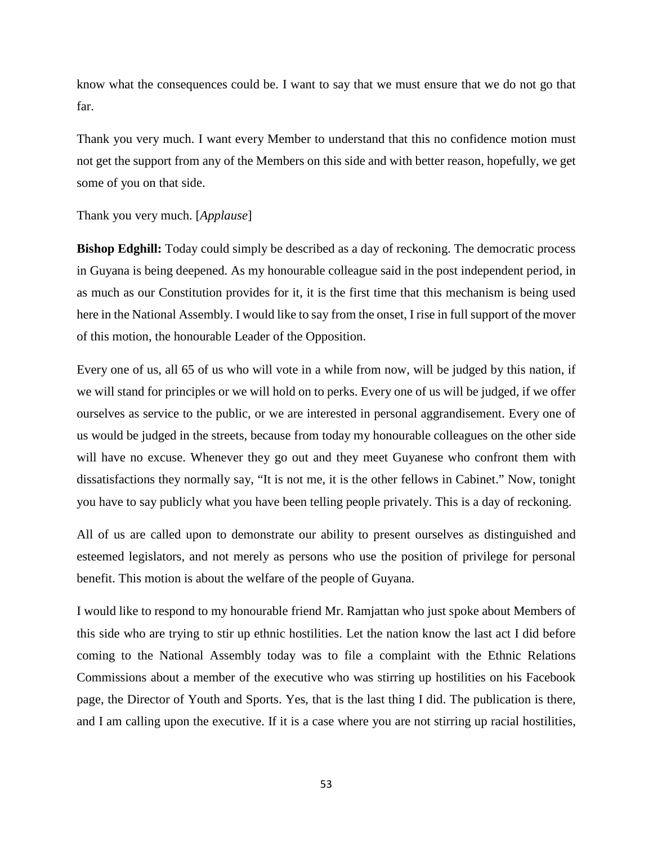know what the consequences could be. I want to say that we must ensure that we do not go that far.

Thank you very much. I want every Member to understand that this no confidence motion must not get the support from any of the Members on this side and with better reason, hopefully, we get some of you on that side.

### Thank you very much. [*Applause*]

**Bishop Edghill:** Today could simply be described as a day of reckoning. The democratic process in Guyana is being deepened. As my honourable colleague said in the post independent period, in as much as our Constitution provides for it, it is the first time that this mechanism is being used here in the National Assembly. I would like to say from the onset, I rise in full support of the mover of this motion, the honourable Leader of the Opposition.

Every one of us, all 65 of us who will vote in a while from now, will be judged by this nation, if we will stand for principles or we will hold on to perks. Every one of us will be judged, if we offer ourselves as service to the public, or we are interested in personal aggrandisement. Every one of us would be judged in the streets, because from today my honourable colleagues on the other side will have no excuse. Whenever they go out and they meet Guyanese who confront them with dissatisfactions they normally say, "It is not me, it is the other fellows in Cabinet." Now, tonight you have to say publicly what you have been telling people privately. This is a day of reckoning.

All of us are called upon to demonstrate our ability to present ourselves as distinguished and esteemed legislators, and not merely as persons who use the position of privilege for personal benefit. This motion is about the welfare of the people of Guyana.

I would like to respond to my honourable friend Mr. Ramjattan who just spoke about Members of this side who are trying to stir up ethnic hostilities. Let the nation know the last act I did before coming to the National Assembly today was to file a complaint with the Ethnic Relations Commissions about a member of the executive who was stirring up hostilities on his Facebook page, the Director of Youth and Sports. Yes, that is the last thing I did. The publication is there, and I am calling upon the executive. If it is a case where you are not stirring up racial hostilities,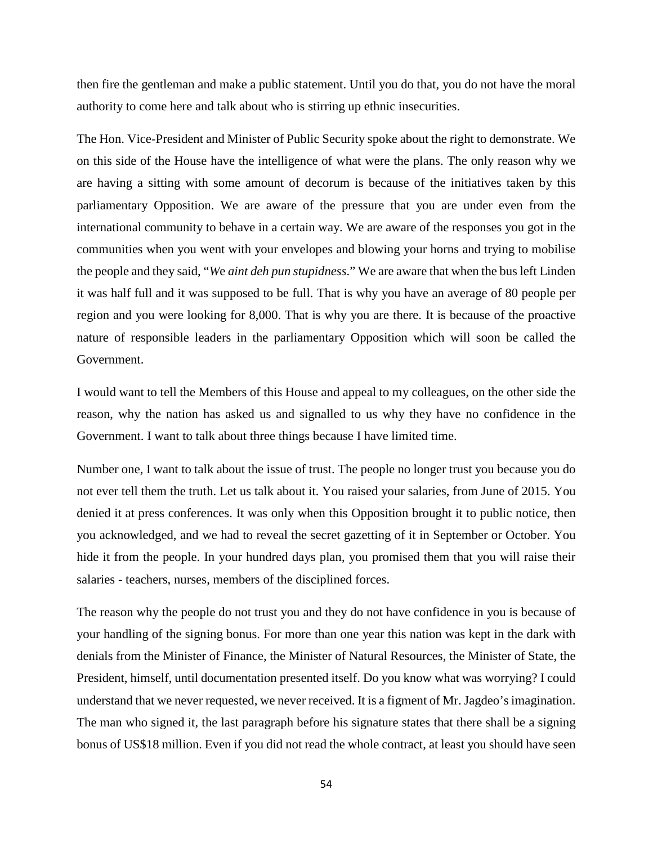then fire the gentleman and make a public statement. Until you do that, you do not have the moral authority to come here and talk about who is stirring up ethnic insecurities.

The Hon. Vice-President and Minister of Public Security spoke about the right to demonstrate. We on this side of the House have the intelligence of what were the plans. The only reason why we are having a sitting with some amount of decorum is because of the initiatives taken by this parliamentary Opposition. We are aware of the pressure that you are under even from the international community to behave in a certain way. We are aware of the responses you got in the communities when you went with your envelopes and blowing your horns and trying to mobilise the people and they said, "*W*e *aint deh pun stupidness*." We are aware that when the bus left Linden it was half full and it was supposed to be full. That is why you have an average of 80 people per region and you were looking for 8,000. That is why you are there. It is because of the proactive nature of responsible leaders in the parliamentary Opposition which will soon be called the Government.

I would want to tell the Members of this House and appeal to my colleagues, on the other side the reason, why the nation has asked us and signalled to us why they have no confidence in the Government. I want to talk about three things because I have limited time.

Number one, I want to talk about the issue of trust. The people no longer trust you because you do not ever tell them the truth. Let us talk about it. You raised your salaries, from June of 2015. You denied it at press conferences. It was only when this Opposition brought it to public notice, then you acknowledged, and we had to reveal the secret gazetting of it in September or October. You hide it from the people. In your hundred days plan, you promised them that you will raise their salaries - teachers, nurses, members of the disciplined forces.

The reason why the people do not trust you and they do not have confidence in you is because of your handling of the signing bonus. For more than one year this nation was kept in the dark with denials from the Minister of Finance, the Minister of Natural Resources, the Minister of State, the President, himself, until documentation presented itself. Do you know what was worrying? I could understand that we never requested, we never received. It is a figment of Mr. Jagdeo's imagination. The man who signed it, the last paragraph before his signature states that there shall be a signing bonus of US\$18 million. Even if you did not read the whole contract, at least you should have seen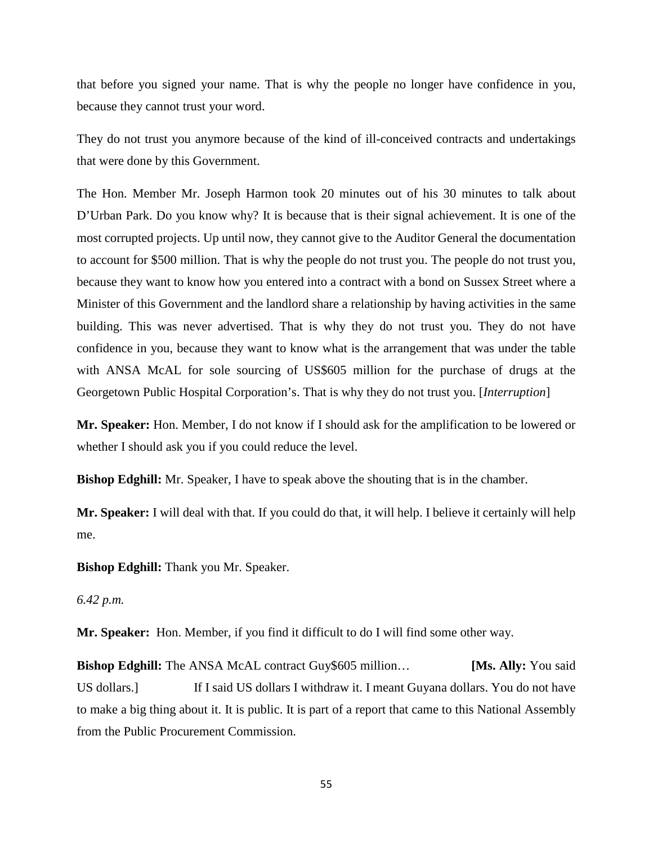that before you signed your name. That is why the people no longer have confidence in you, because they cannot trust your word.

They do not trust you anymore because of the kind of ill-conceived contracts and undertakings that were done by this Government.

The Hon. Member Mr. Joseph Harmon took 20 minutes out of his 30 minutes to talk about D'Urban Park. Do you know why? It is because that is their signal achievement. It is one of the most corrupted projects. Up until now, they cannot give to the Auditor General the documentation to account for \$500 million. That is why the people do not trust you. The people do not trust you, because they want to know how you entered into a contract with a bond on Sussex Street where a Minister of this Government and the landlord share a relationship by having activities in the same building. This was never advertised. That is why they do not trust you. They do not have confidence in you, because they want to know what is the arrangement that was under the table with ANSA McAL for sole sourcing of US\$605 million for the purchase of drugs at the Georgetown Public Hospital Corporation's. That is why they do not trust you. [*Interruption*]

**Mr. Speaker:** Hon. Member, I do not know if I should ask for the amplification to be lowered or whether I should ask you if you could reduce the level.

**Bishop Edghill:** Mr. Speaker, I have to speak above the shouting that is in the chamber.

**Mr. Speaker:** I will deal with that. If you could do that, it will help. I believe it certainly will help me.

**Bishop Edghill:** Thank you Mr. Speaker.

*6.42 p.m.* 

**Mr. Speaker:** Hon. Member, if you find it difficult to do I will find some other way.

**Bishop Edghill:** The ANSA McAL contract Guy\$605 million... [Ms. Ally: You said US dollars. If I said US dollars I withdraw it. I meant Guyana dollars. You do not have to make a big thing about it. It is public. It is part of a report that came to this National Assembly from the Public Procurement Commission.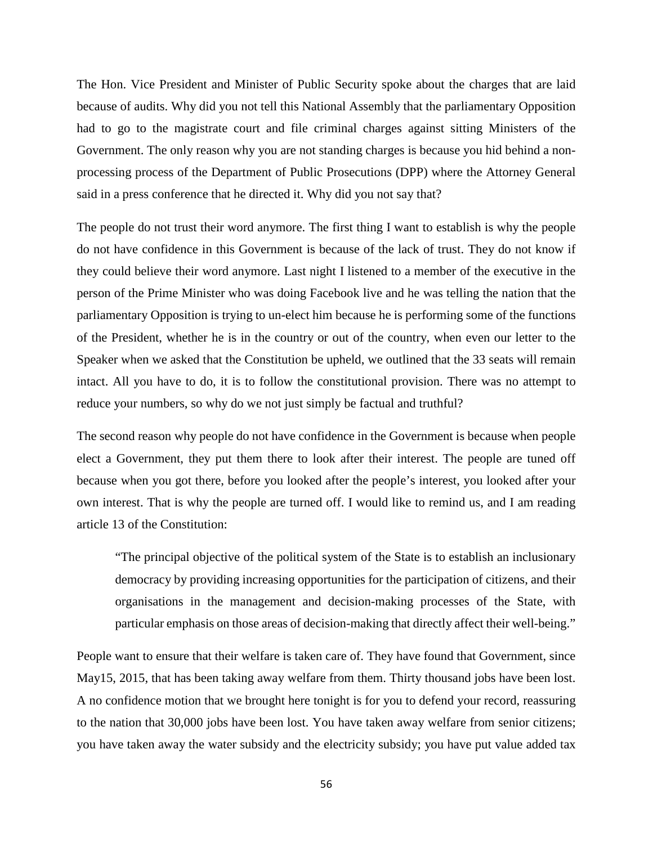The Hon. Vice President and Minister of Public Security spoke about the charges that are laid because of audits. Why did you not tell this National Assembly that the parliamentary Opposition had to go to the magistrate court and file criminal charges against sitting Ministers of the Government. The only reason why you are not standing charges is because you hid behind a nonprocessing process of the Department of Public Prosecutions (DPP) where the Attorney General said in a press conference that he directed it. Why did you not say that?

The people do not trust their word anymore. The first thing I want to establish is why the people do not have confidence in this Government is because of the lack of trust. They do not know if they could believe their word anymore. Last night I listened to a member of the executive in the person of the Prime Minister who was doing Facebook live and he was telling the nation that the parliamentary Opposition is trying to un-elect him because he is performing some of the functions of the President, whether he is in the country or out of the country, when even our letter to the Speaker when we asked that the Constitution be upheld, we outlined that the 33 seats will remain intact. All you have to do, it is to follow the constitutional provision. There was no attempt to reduce your numbers, so why do we not just simply be factual and truthful?

The second reason why people do not have confidence in the Government is because when people elect a Government, they put them there to look after their interest. The people are tuned off because when you got there, before you looked after the people's interest, you looked after your own interest. That is why the people are turned off. I would like to remind us, and I am reading article 13 of the Constitution:

"The principal objective of the political system of the State is to establish an inclusionary democracy by providing increasing opportunities for the participation of citizens, and their organisations in the management and decision-making processes of the State, with particular emphasis on those areas of decision-making that directly affect their well-being."

People want to ensure that their welfare is taken care of. They have found that Government, since May15, 2015, that has been taking away welfare from them. Thirty thousand jobs have been lost. A no confidence motion that we brought here tonight is for you to defend your record, reassuring to the nation that 30,000 jobs have been lost. You have taken away welfare from senior citizens; you have taken away the water subsidy and the electricity subsidy; you have put value added tax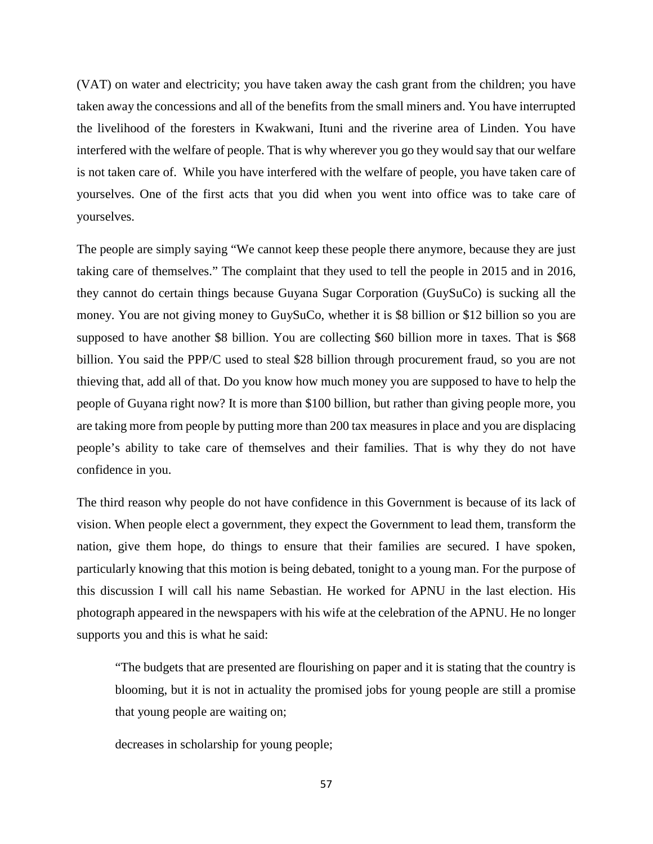(VAT) on water and electricity; you have taken away the cash grant from the children; you have taken away the concessions and all of the benefits from the small miners and. You have interrupted the livelihood of the foresters in Kwakwani, Ituni and the riverine area of Linden. You have interfered with the welfare of people. That is why wherever you go they would say that our welfare is not taken care of. While you have interfered with the welfare of people, you have taken care of yourselves. One of the first acts that you did when you went into office was to take care of yourselves.

The people are simply saying "We cannot keep these people there anymore, because they are just taking care of themselves." The complaint that they used to tell the people in 2015 and in 2016, they cannot do certain things because Guyana Sugar Corporation (GuySuCo) is sucking all the money. You are not giving money to GuySuCo, whether it is \$8 billion or \$12 billion so you are supposed to have another \$8 billion. You are collecting \$60 billion more in taxes. That is \$68 billion. You said the PPP/C used to steal \$28 billion through procurement fraud, so you are not thieving that, add all of that. Do you know how much money you are supposed to have to help the people of Guyana right now? It is more than \$100 billion, but rather than giving people more, you are taking more from people by putting more than 200 tax measures in place and you are displacing people's ability to take care of themselves and their families. That is why they do not have confidence in you.

The third reason why people do not have confidence in this Government is because of its lack of vision. When people elect a government, they expect the Government to lead them, transform the nation, give them hope, do things to ensure that their families are secured. I have spoken, particularly knowing that this motion is being debated, tonight to a young man. For the purpose of this discussion I will call his name Sebastian. He worked for APNU in the last election. His photograph appeared in the newspapers with his wife at the celebration of the APNU. He no longer supports you and this is what he said:

"The budgets that are presented are flourishing on paper and it is stating that the country is blooming, but it is not in actuality the promised jobs for young people are still a promise that young people are waiting on;

decreases in scholarship for young people;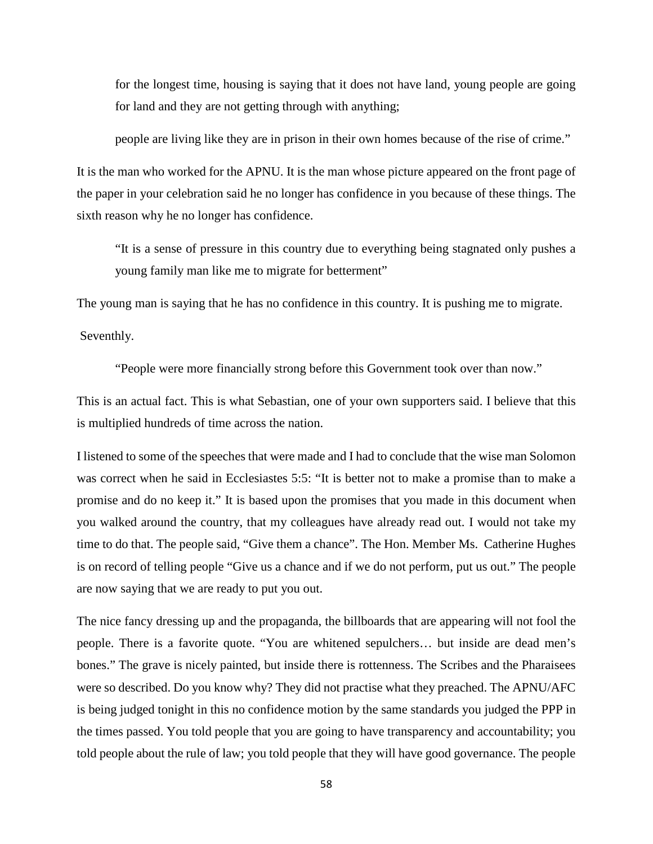for the longest time, housing is saying that it does not have land, young people are going for land and they are not getting through with anything;

people are living like they are in prison in their own homes because of the rise of crime."

It is the man who worked for the APNU. It is the man whose picture appeared on the front page of the paper in your celebration said he no longer has confidence in you because of these things. The sixth reason why he no longer has confidence.

"It is a sense of pressure in this country due to everything being stagnated only pushes a young family man like me to migrate for betterment"

The young man is saying that he has no confidence in this country. It is pushing me to migrate.

Seventhly.

"People were more financially strong before this Government took over than now."

This is an actual fact. This is what Sebastian, one of your own supporters said. I believe that this is multiplied hundreds of time across the nation.

I listened to some of the speeches that were made and I had to conclude that the wise man Solomon was correct when he said in Ecclesiastes 5:5: "It is better not to make a promise than to make a promise and do no keep it." It is based upon the promises that you made in this document when you walked around the country, that my colleagues have already read out. I would not take my time to do that. The people said, "Give them a chance". The Hon. Member Ms. Catherine Hughes is on record of telling people "Give us a chance and if we do not perform, put us out." The people are now saying that we are ready to put you out.

The nice fancy dressing up and the propaganda, the billboards that are appearing will not fool the people. There is a favorite quote. "You are whitened sepulchers… but inside are dead men's bones." The grave is nicely painted, but inside there is rottenness. The Scribes and the Pharaisees were so described. Do you know why? They did not practise what they preached. The APNU/AFC is being judged tonight in this no confidence motion by the same standards you judged the PPP in the times passed. You told people that you are going to have transparency and accountability; you told people about the rule of law; you told people that they will have good governance. The people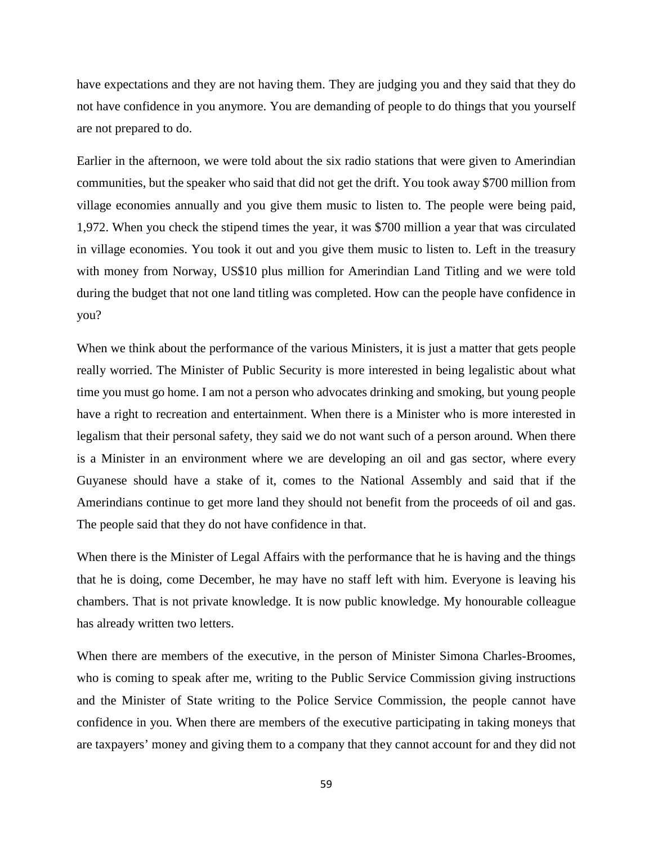have expectations and they are not having them. They are judging you and they said that they do not have confidence in you anymore. You are demanding of people to do things that you yourself are not prepared to do.

Earlier in the afternoon, we were told about the six radio stations that were given to Amerindian communities, but the speaker who said that did not get the drift. You took away \$700 million from village economies annually and you give them music to listen to. The people were being paid, 1,972. When you check the stipend times the year, it was \$700 million a year that was circulated in village economies. You took it out and you give them music to listen to. Left in the treasury with money from Norway, US\$10 plus million for Amerindian Land Titling and we were told during the budget that not one land titling was completed. How can the people have confidence in you?

When we think about the performance of the various Ministers, it is just a matter that gets people really worried. The Minister of Public Security is more interested in being legalistic about what time you must go home. I am not a person who advocates drinking and smoking, but young people have a right to recreation and entertainment. When there is a Minister who is more interested in legalism that their personal safety, they said we do not want such of a person around. When there is a Minister in an environment where we are developing an oil and gas sector, where every Guyanese should have a stake of it, comes to the National Assembly and said that if the Amerindians continue to get more land they should not benefit from the proceeds of oil and gas. The people said that they do not have confidence in that.

When there is the Minister of Legal Affairs with the performance that he is having and the things that he is doing, come December, he may have no staff left with him. Everyone is leaving his chambers. That is not private knowledge. It is now public knowledge. My honourable colleague has already written two letters.

When there are members of the executive, in the person of Minister Simona Charles-Broomes, who is coming to speak after me, writing to the Public Service Commission giving instructions and the Minister of State writing to the Police Service Commission, the people cannot have confidence in you. When there are members of the executive participating in taking moneys that are taxpayers' money and giving them to a company that they cannot account for and they did not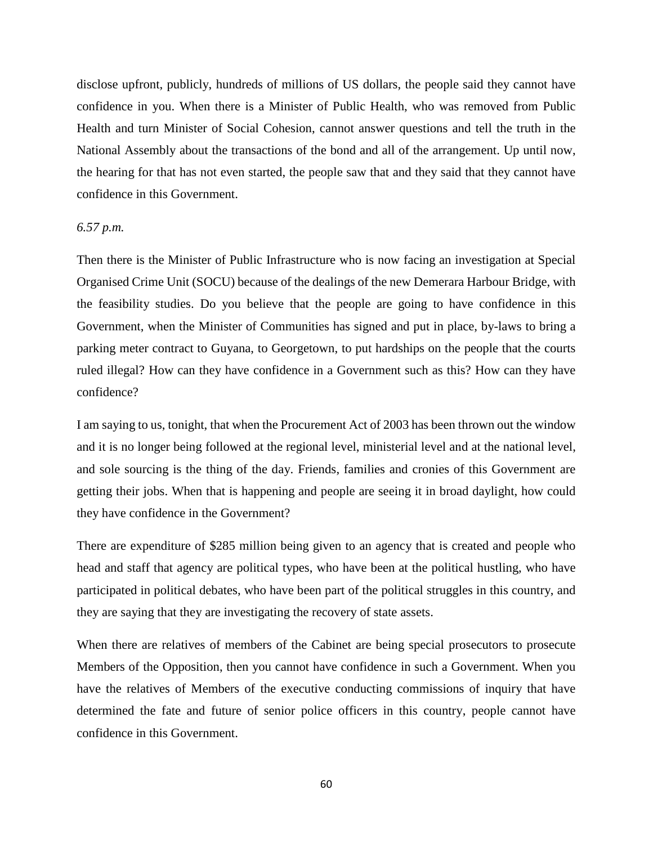disclose upfront, publicly, hundreds of millions of US dollars, the people said they cannot have confidence in you. When there is a Minister of Public Health, who was removed from Public Health and turn Minister of Social Cohesion, cannot answer questions and tell the truth in the National Assembly about the transactions of the bond and all of the arrangement. Up until now, the hearing for that has not even started, the people saw that and they said that they cannot have confidence in this Government.

#### *6.57 p.m.*

Then there is the Minister of Public Infrastructure who is now facing an investigation at Special Organised Crime Unit (SOCU) because of the dealings of the new Demerara Harbour Bridge, with the feasibility studies. Do you believe that the people are going to have confidence in this Government, when the Minister of Communities has signed and put in place, by-laws to bring a parking meter contract to Guyana, to Georgetown, to put hardships on the people that the courts ruled illegal? How can they have confidence in a Government such as this? How can they have confidence?

I am saying to us, tonight, that when the Procurement Act of 2003 has been thrown out the window and it is no longer being followed at the regional level, ministerial level and at the national level, and sole sourcing is the thing of the day. Friends, families and cronies of this Government are getting their jobs. When that is happening and people are seeing it in broad daylight, how could they have confidence in the Government?

There are expenditure of \$285 million being given to an agency that is created and people who head and staff that agency are political types, who have been at the political hustling, who have participated in political debates, who have been part of the political struggles in this country, and they are saying that they are investigating the recovery of state assets.

When there are relatives of members of the Cabinet are being special prosecutors to prosecute Members of the Opposition, then you cannot have confidence in such a Government. When you have the relatives of Members of the executive conducting commissions of inquiry that have determined the fate and future of senior police officers in this country, people cannot have confidence in this Government.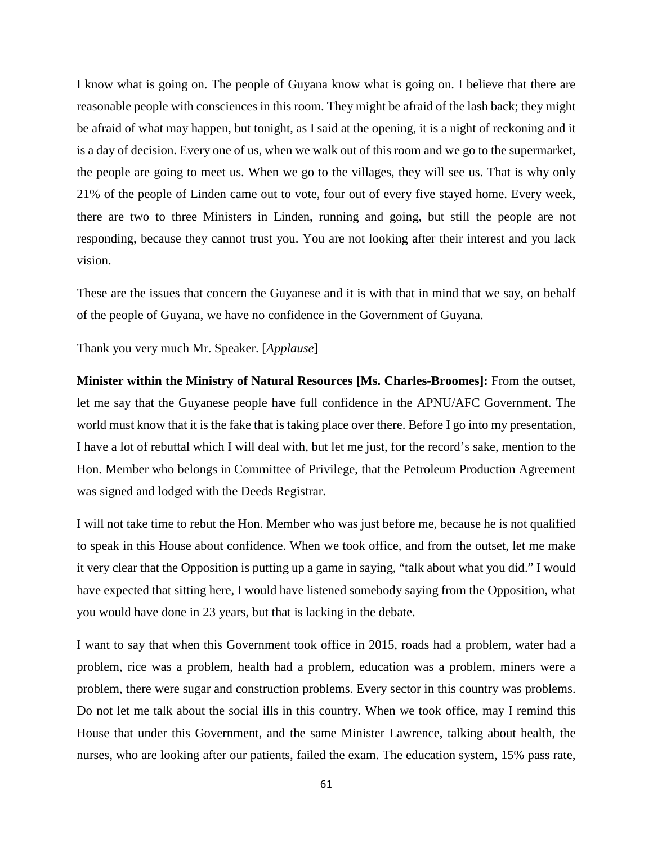I know what is going on. The people of Guyana know what is going on. I believe that there are reasonable people with consciences in this room. They might be afraid of the lash back; they might be afraid of what may happen, but tonight, as I said at the opening, it is a night of reckoning and it is a day of decision. Every one of us, when we walk out of this room and we go to the supermarket, the people are going to meet us. When we go to the villages, they will see us. That is why only 21% of the people of Linden came out to vote, four out of every five stayed home. Every week, there are two to three Ministers in Linden, running and going, but still the people are not responding, because they cannot trust you. You are not looking after their interest and you lack vision.

These are the issues that concern the Guyanese and it is with that in mind that we say, on behalf of the people of Guyana, we have no confidence in the Government of Guyana.

Thank you very much Mr. Speaker. [*Applause*]

**Minister within the Ministry of Natural Resources [Ms. Charles-Broomes]:** From the outset, let me say that the Guyanese people have full confidence in the APNU/AFC Government. The world must know that it is the fake that is taking place over there. Before I go into my presentation, I have a lot of rebuttal which I will deal with, but let me just, for the record's sake, mention to the Hon. Member who belongs in Committee of Privilege, that the Petroleum Production Agreement was signed and lodged with the Deeds Registrar.

I will not take time to rebut the Hon. Member who was just before me, because he is not qualified to speak in this House about confidence. When we took office, and from the outset, let me make it very clear that the Opposition is putting up a game in saying, "talk about what you did." I would have expected that sitting here, I would have listened somebody saying from the Opposition, what you would have done in 23 years, but that is lacking in the debate.

I want to say that when this Government took office in 2015, roads had a problem, water had a problem, rice was a problem, health had a problem, education was a problem, miners were a problem, there were sugar and construction problems. Every sector in this country was problems. Do not let me talk about the social ills in this country. When we took office, may I remind this House that under this Government, and the same Minister Lawrence, talking about health, the nurses, who are looking after our patients, failed the exam. The education system, 15% pass rate,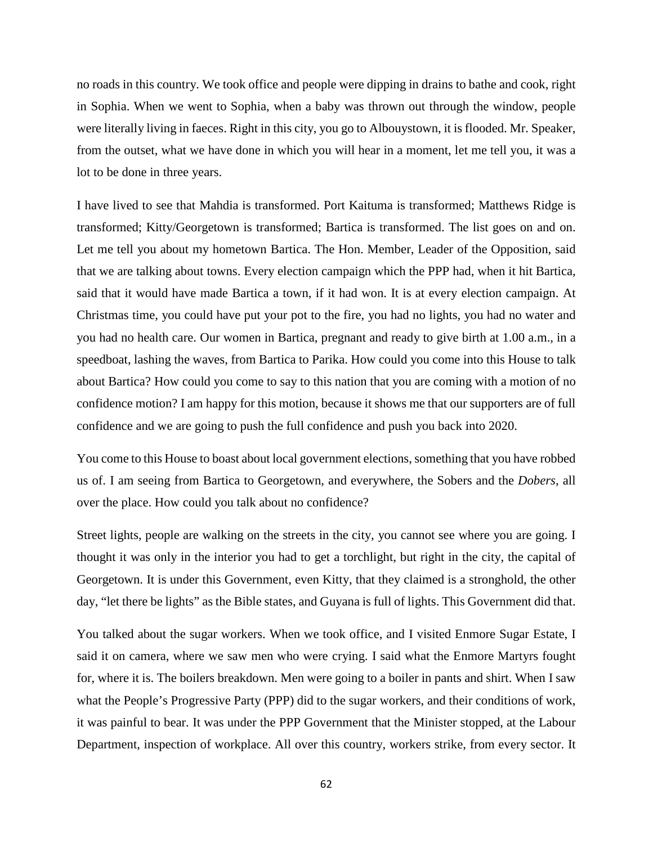no roads in this country. We took office and people were dipping in drains to bathe and cook, right in Sophia. When we went to Sophia, when a baby was thrown out through the window, people were literally living in faeces. Right in this city, you go to Albouystown, it is flooded. Mr. Speaker, from the outset, what we have done in which you will hear in a moment, let me tell you, it was a lot to be done in three years.

I have lived to see that Mahdia is transformed. Port Kaituma is transformed; Matthews Ridge is transformed; Kitty/Georgetown is transformed; Bartica is transformed. The list goes on and on. Let me tell you about my hometown Bartica. The Hon. Member, Leader of the Opposition, said that we are talking about towns. Every election campaign which the PPP had, when it hit Bartica, said that it would have made Bartica a town, if it had won. It is at every election campaign. At Christmas time, you could have put your pot to the fire, you had no lights, you had no water and you had no health care. Our women in Bartica, pregnant and ready to give birth at 1.00 a.m., in a speedboat, lashing the waves, from Bartica to Parika. How could you come into this House to talk about Bartica? How could you come to say to this nation that you are coming with a motion of no confidence motion? I am happy for this motion, because it shows me that our supporters are of full confidence and we are going to push the full confidence and push you back into 2020.

You come to this House to boast about local government elections, something that you have robbed us of. I am seeing from Bartica to Georgetown, and everywhere, the Sobers and the *Dobers*, all over the place. How could you talk about no confidence?

Street lights, people are walking on the streets in the city, you cannot see where you are going. I thought it was only in the interior you had to get a torchlight, but right in the city, the capital of Georgetown. It is under this Government, even Kitty, that they claimed is a stronghold, the other day, "let there be lights" as the Bible states, and Guyana is full of lights. This Government did that.

You talked about the sugar workers. When we took office, and I visited Enmore Sugar Estate, I said it on camera, where we saw men who were crying. I said what the Enmore Martyrs fought for, where it is. The boilers breakdown. Men were going to a boiler in pants and shirt. When I saw what the People's Progressive Party (PPP) did to the sugar workers, and their conditions of work, it was painful to bear. It was under the PPP Government that the Minister stopped, at the Labour Department, inspection of workplace. All over this country, workers strike, from every sector. It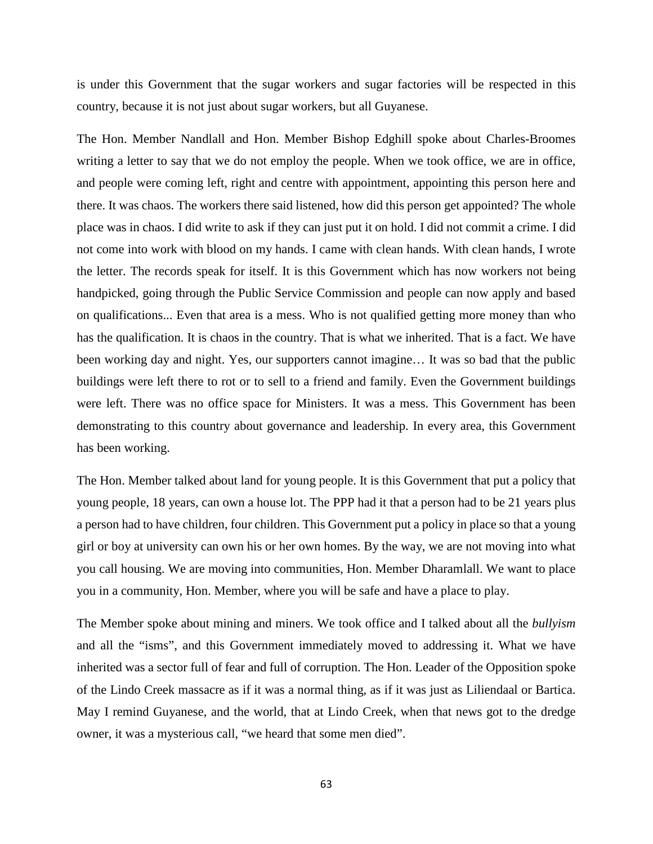is under this Government that the sugar workers and sugar factories will be respected in this country, because it is not just about sugar workers, but all Guyanese.

The Hon. Member Nandlall and Hon. Member Bishop Edghill spoke about Charles-Broomes writing a letter to say that we do not employ the people. When we took office, we are in office, and people were coming left, right and centre with appointment, appointing this person here and there. It was chaos. The workers there said listened, how did this person get appointed? The whole place was in chaos. I did write to ask if they can just put it on hold. I did not commit a crime. I did not come into work with blood on my hands. I came with clean hands. With clean hands, I wrote the letter. The records speak for itself. It is this Government which has now workers not being handpicked, going through the Public Service Commission and people can now apply and based on qualifications... Even that area is a mess. Who is not qualified getting more money than who has the qualification. It is chaos in the country. That is what we inherited. That is a fact. We have been working day and night. Yes, our supporters cannot imagine… It was so bad that the public buildings were left there to rot or to sell to a friend and family. Even the Government buildings were left. There was no office space for Ministers. It was a mess. This Government has been demonstrating to this country about governance and leadership. In every area, this Government has been working.

The Hon. Member talked about land for young people. It is this Government that put a policy that young people, 18 years, can own a house lot. The PPP had it that a person had to be 21 years plus a person had to have children, four children. This Government put a policy in place so that a young girl or boy at university can own his or her own homes. By the way, we are not moving into what you call housing. We are moving into communities, Hon. Member Dharamlall. We want to place you in a community, Hon. Member, where you will be safe and have a place to play.

The Member spoke about mining and miners. We took office and I talked about all the *bullyism*  and all the "isms", and this Government immediately moved to addressing it. What we have inherited was a sector full of fear and full of corruption. The Hon. Leader of the Opposition spoke of the Lindo Creek massacre as if it was a normal thing, as if it was just as Liliendaal or Bartica. May I remind Guyanese, and the world, that at Lindo Creek, when that news got to the dredge owner, it was a mysterious call, "we heard that some men died".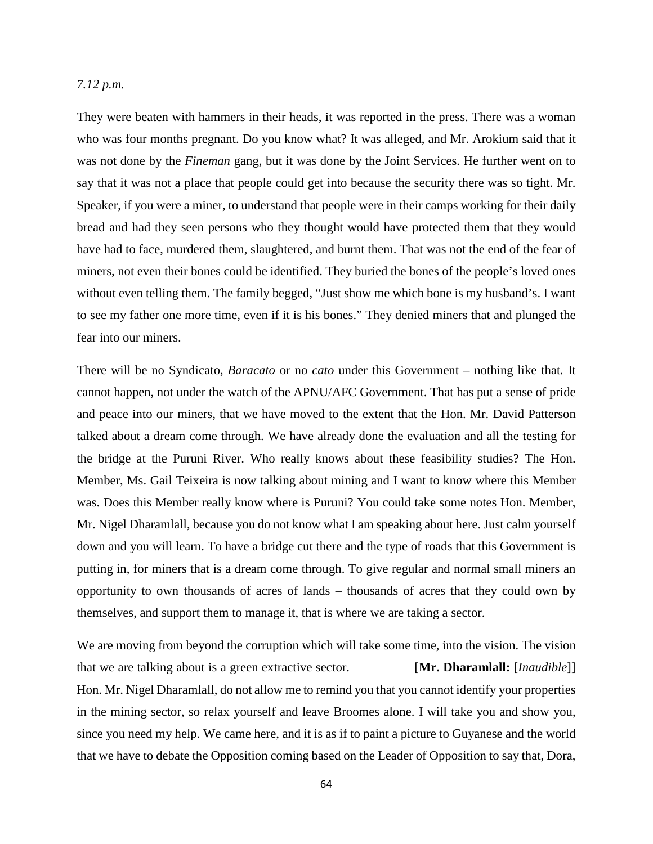### *7.12 p.m.*

They were beaten with hammers in their heads, it was reported in the press. There was a woman who was four months pregnant. Do you know what? It was alleged, and Mr. Arokium said that it was not done by the *Fineman* gang, but it was done by the Joint Services. He further went on to say that it was not a place that people could get into because the security there was so tight. Mr. Speaker, if you were a miner, to understand that people were in their camps working for their daily bread and had they seen persons who they thought would have protected them that they would have had to face, murdered them, slaughtered, and burnt them. That was not the end of the fear of miners, not even their bones could be identified. They buried the bones of the people's loved ones without even telling them. The family begged, "Just show me which bone is my husband's. I want to see my father one more time, even if it is his bones." They denied miners that and plunged the fear into our miners.

There will be no Syndicato, *Baracato* or no *cato* under this Government – nothing like that*.* It cannot happen, not under the watch of the APNU/AFC Government. That has put a sense of pride and peace into our miners, that we have moved to the extent that the Hon. Mr. David Patterson talked about a dream come through. We have already done the evaluation and all the testing for the bridge at the Puruni River. Who really knows about these feasibility studies? The Hon. Member, Ms. Gail Teixeira is now talking about mining and I want to know where this Member was. Does this Member really know where is Puruni? You could take some notes Hon. Member, Mr. Nigel Dharamlall, because you do not know what I am speaking about here. Just calm yourself down and you will learn. To have a bridge cut there and the type of roads that this Government is putting in, for miners that is a dream come through. To give regular and normal small miners an opportunity to own thousands of acres of lands – thousands of acres that they could own by themselves, and support them to manage it, that is where we are taking a sector.

We are moving from beyond the corruption which will take some time, into the vision. The vision that we are talking about is a green extractive sector. [**Mr. Dharamlall:** [*Inaudible*]] Hon. Mr. Nigel Dharamlall, do not allow me to remind you that you cannot identify your properties in the mining sector, so relax yourself and leave Broomes alone. I will take you and show you, since you need my help. We came here, and it is as if to paint a picture to Guyanese and the world that we have to debate the Opposition coming based on the Leader of Opposition to say that, Dora,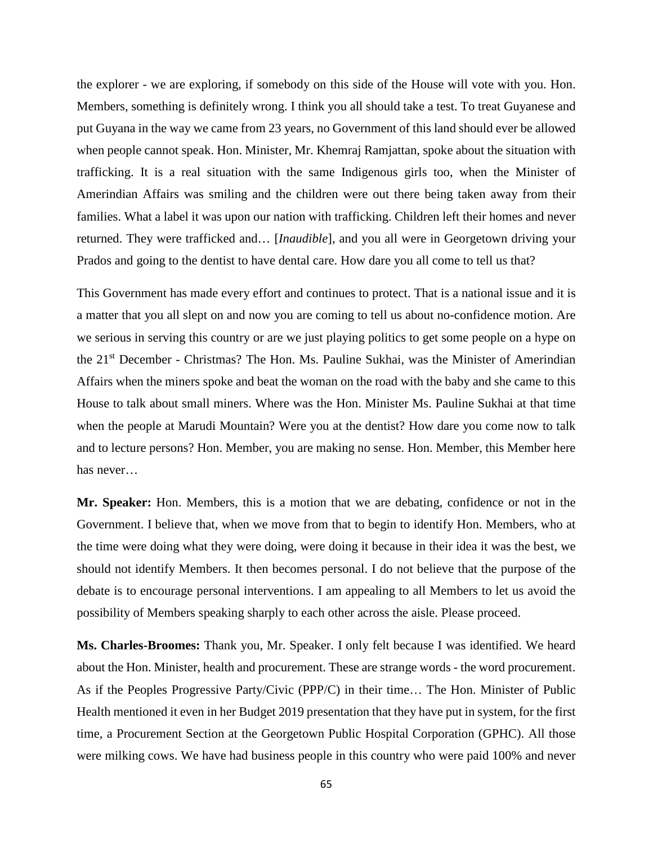the explorer - we are exploring, if somebody on this side of the House will vote with you. Hon. Members, something is definitely wrong. I think you all should take a test. To treat Guyanese and put Guyana in the way we came from 23 years, no Government of this land should ever be allowed when people cannot speak. Hon. Minister, Mr. Khemraj Ramjattan, spoke about the situation with trafficking. It is a real situation with the same Indigenous girls too, when the Minister of Amerindian Affairs was smiling and the children were out there being taken away from their families. What a label it was upon our nation with trafficking. Children left their homes and never returned. They were trafficked and… [*Inaudible*], and you all were in Georgetown driving your Prados and going to the dentist to have dental care. How dare you all come to tell us that?

This Government has made every effort and continues to protect. That is a national issue and it is a matter that you all slept on and now you are coming to tell us about no-confidence motion. Are we serious in serving this country or are we just playing politics to get some people on a hype on the 21<sup>st</sup> December - Christmas? The Hon. Ms. Pauline Sukhai, was the Minister of Amerindian Affairs when the miners spoke and beat the woman on the road with the baby and she came to this House to talk about small miners. Where was the Hon. Minister Ms. Pauline Sukhai at that time when the people at Marudi Mountain? Were you at the dentist? How dare you come now to talk and to lecture persons? Hon. Member, you are making no sense. Hon. Member, this Member here has never…

**Mr. Speaker:** Hon. Members, this is a motion that we are debating, confidence or not in the Government. I believe that, when we move from that to begin to identify Hon. Members, who at the time were doing what they were doing, were doing it because in their idea it was the best, we should not identify Members. It then becomes personal. I do not believe that the purpose of the debate is to encourage personal interventions. I am appealing to all Members to let us avoid the possibility of Members speaking sharply to each other across the aisle. Please proceed.

**Ms. Charles-Broomes:** Thank you, Mr. Speaker. I only felt because I was identified. We heard about the Hon. Minister, health and procurement. These are strange words - the word procurement. As if the Peoples Progressive Party/Civic (PPP/C) in their time… The Hon. Minister of Public Health mentioned it even in her Budget 2019 presentation that they have put in system, for the first time, a Procurement Section at the Georgetown Public Hospital Corporation (GPHC). All those were milking cows. We have had business people in this country who were paid 100% and never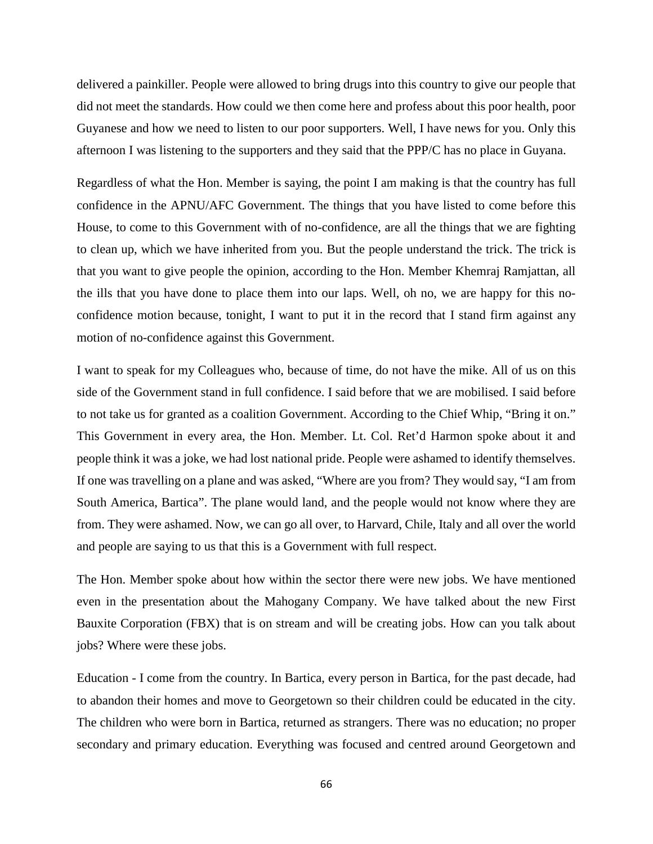delivered a painkiller. People were allowed to bring drugs into this country to give our people that did not meet the standards. How could we then come here and profess about this poor health, poor Guyanese and how we need to listen to our poor supporters. Well, I have news for you. Only this afternoon I was listening to the supporters and they said that the PPP/C has no place in Guyana.

Regardless of what the Hon. Member is saying, the point I am making is that the country has full confidence in the APNU/AFC Government. The things that you have listed to come before this House, to come to this Government with of no-confidence, are all the things that we are fighting to clean up, which we have inherited from you. But the people understand the trick. The trick is that you want to give people the opinion, according to the Hon. Member Khemraj Ramjattan, all the ills that you have done to place them into our laps. Well, oh no, we are happy for this noconfidence motion because, tonight, I want to put it in the record that I stand firm against any motion of no-confidence against this Government.

I want to speak for my Colleagues who, because of time, do not have the mike. All of us on this side of the Government stand in full confidence. I said before that we are mobilised. I said before to not take us for granted as a coalition Government. According to the Chief Whip, "Bring it on." This Government in every area, the Hon. Member. Lt. Col. Ret'd Harmon spoke about it and people think it was a joke, we had lost national pride. People were ashamed to identify themselves. If one was travelling on a plane and was asked, "Where are you from? They would say, "I am from South America, Bartica". The plane would land, and the people would not know where they are from. They were ashamed. Now, we can go all over, to Harvard, Chile, Italy and all over the world and people are saying to us that this is a Government with full respect.

The Hon. Member spoke about how within the sector there were new jobs. We have mentioned even in the presentation about the Mahogany Company. We have talked about the new First Bauxite Corporation (FBX) that is on stream and will be creating jobs. How can you talk about jobs? Where were these jobs.

Education - I come from the country. In Bartica, every person in Bartica, for the past decade, had to abandon their homes and move to Georgetown so their children could be educated in the city. The children who were born in Bartica, returned as strangers. There was no education; no proper secondary and primary education. Everything was focused and centred around Georgetown and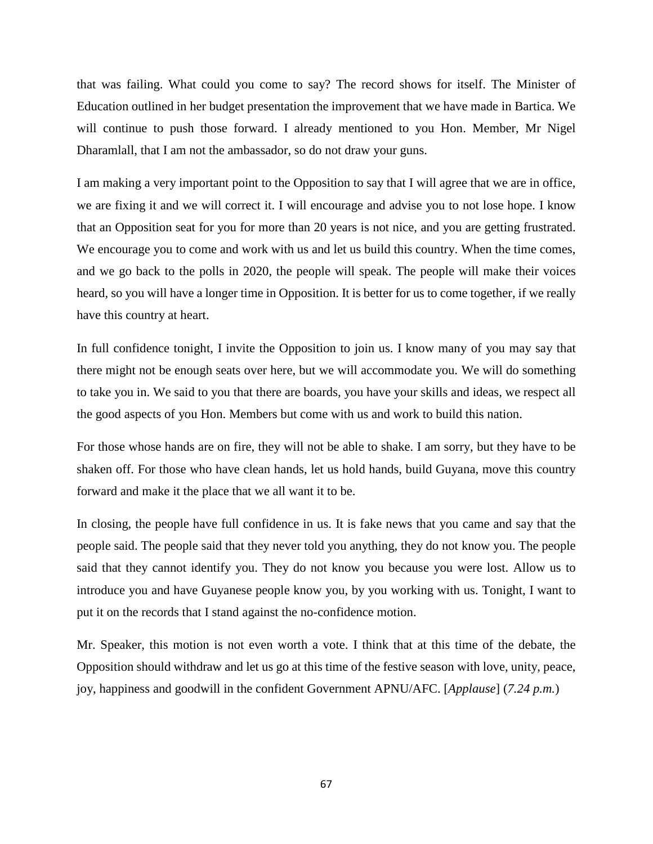that was failing. What could you come to say? The record shows for itself. The Minister of Education outlined in her budget presentation the improvement that we have made in Bartica. We will continue to push those forward. I already mentioned to you Hon. Member, Mr Nigel Dharamlall, that I am not the ambassador, so do not draw your guns.

I am making a very important point to the Opposition to say that I will agree that we are in office, we are fixing it and we will correct it. I will encourage and advise you to not lose hope. I know that an Opposition seat for you for more than 20 years is not nice, and you are getting frustrated. We encourage you to come and work with us and let us build this country. When the time comes, and we go back to the polls in 2020, the people will speak. The people will make their voices heard, so you will have a longer time in Opposition. It is better for us to come together, if we really have this country at heart.

In full confidence tonight, I invite the Opposition to join us. I know many of you may say that there might not be enough seats over here, but we will accommodate you. We will do something to take you in. We said to you that there are boards, you have your skills and ideas, we respect all the good aspects of you Hon. Members but come with us and work to build this nation.

For those whose hands are on fire, they will not be able to shake. I am sorry, but they have to be shaken off. For those who have clean hands, let us hold hands, build Guyana, move this country forward and make it the place that we all want it to be.

In closing, the people have full confidence in us. It is fake news that you came and say that the people said. The people said that they never told you anything, they do not know you. The people said that they cannot identify you. They do not know you because you were lost. Allow us to introduce you and have Guyanese people know you, by you working with us. Tonight, I want to put it on the records that I stand against the no-confidence motion.

Mr. Speaker, this motion is not even worth a vote. I think that at this time of the debate, the Opposition should withdraw and let us go at this time of the festive season with love, unity, peace, joy, happiness and goodwill in the confident Government APNU/AFC. [*Applause*] (*7.24 p.m.*)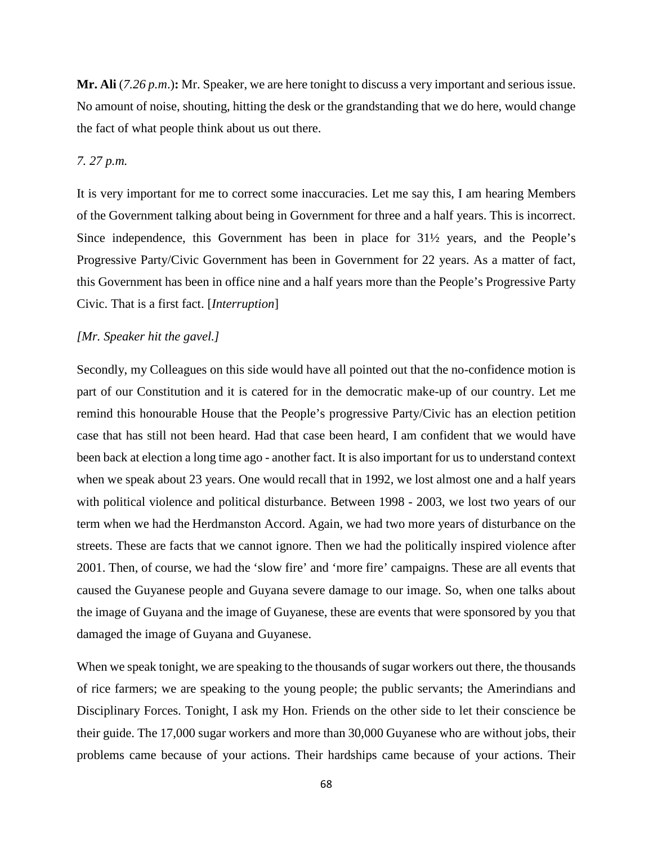**Mr. Ali** (*7.26 p.m*.)**:** Mr. Speaker, we are here tonight to discuss a very important and serious issue. No amount of noise, shouting, hitting the desk or the grandstanding that we do here, would change the fact of what people think about us out there.

### *7. 27 p.m.*

It is very important for me to correct some inaccuracies. Let me say this, I am hearing Members of the Government talking about being in Government for three and a half years. This is incorrect. Since independence, this Government has been in place for 31½ years, and the People's Progressive Party/Civic Government has been in Government for 22 years. As a matter of fact, this Government has been in office nine and a half years more than the People's Progressive Party Civic. That is a first fact. [*Interruption*]

#### *[Mr. Speaker hit the gavel.]*

Secondly, my Colleagues on this side would have all pointed out that the no-confidence motion is part of our Constitution and it is catered for in the democratic make-up of our country. Let me remind this honourable House that the People's progressive Party/Civic has an election petition case that has still not been heard. Had that case been heard, I am confident that we would have been back at election a long time ago - another fact. It is also important for us to understand context when we speak about 23 years. One would recall that in 1992, we lost almost one and a half years with political violence and political disturbance. Between 1998 - 2003, we lost two years of our term when we had the Herdmanston Accord. Again, we had two more years of disturbance on the streets. These are facts that we cannot ignore. Then we had the politically inspired violence after 2001. Then, of course, we had the 'slow fire' and 'more fire' campaigns. These are all events that caused the Guyanese people and Guyana severe damage to our image. So, when one talks about the image of Guyana and the image of Guyanese, these are events that were sponsored by you that damaged the image of Guyana and Guyanese.

When we speak tonight, we are speaking to the thousands of sugar workers out there, the thousands of rice farmers; we are speaking to the young people; the public servants; the Amerindians and Disciplinary Forces. Tonight, I ask my Hon. Friends on the other side to let their conscience be their guide. The 17,000 sugar workers and more than 30,000 Guyanese who are without jobs, their problems came because of your actions. Their hardships came because of your actions. Their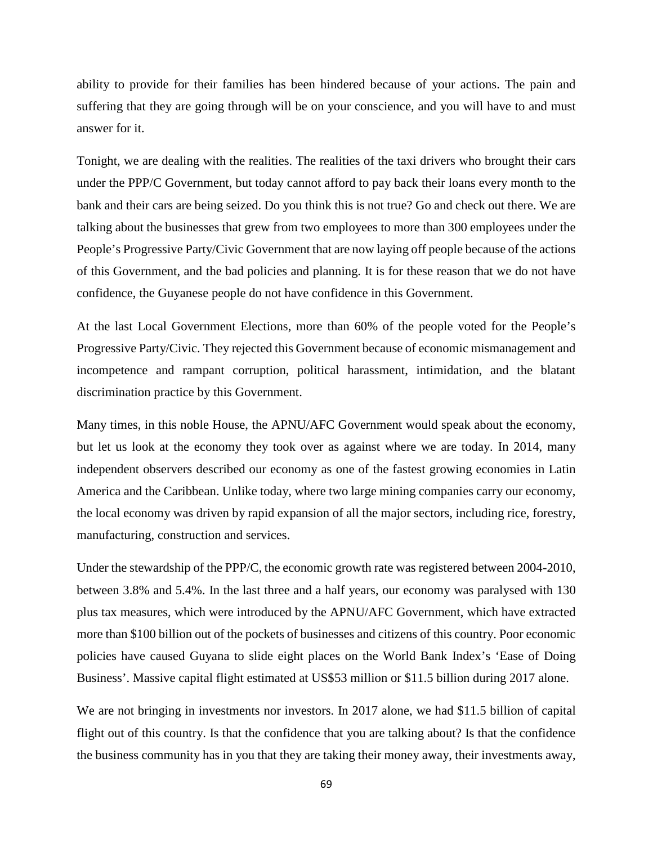ability to provide for their families has been hindered because of your actions. The pain and suffering that they are going through will be on your conscience, and you will have to and must answer for it.

Tonight, we are dealing with the realities. The realities of the taxi drivers who brought their cars under the PPP/C Government, but today cannot afford to pay back their loans every month to the bank and their cars are being seized. Do you think this is not true? Go and check out there. We are talking about the businesses that grew from two employees to more than 300 employees under the People's Progressive Party/Civic Government that are now laying off people because of the actions of this Government, and the bad policies and planning. It is for these reason that we do not have confidence, the Guyanese people do not have confidence in this Government.

At the last Local Government Elections, more than 60% of the people voted for the People's Progressive Party/Civic. They rejected this Government because of economic mismanagement and incompetence and rampant corruption, political harassment, intimidation, and the blatant discrimination practice by this Government.

Many times, in this noble House, the APNU/AFC Government would speak about the economy, but let us look at the economy they took over as against where we are today. In 2014, many independent observers described our economy as one of the fastest growing economies in Latin America and the Caribbean. Unlike today, where two large mining companies carry our economy, the local economy was driven by rapid expansion of all the major sectors, including rice, forestry, manufacturing, construction and services.

Under the stewardship of the PPP/C, the economic growth rate was registered between 2004-2010, between 3.8% and 5.4%. In the last three and a half years, our economy was paralysed with 130 plus tax measures, which were introduced by the APNU/AFC Government, which have extracted more than \$100 billion out of the pockets of businesses and citizens of this country. Poor economic policies have caused Guyana to slide eight places on the World Bank Index's 'Ease of Doing Business'. Massive capital flight estimated at US\$53 million or \$11.5 billion during 2017 alone.

We are not bringing in investments nor investors. In 2017 alone, we had \$11.5 billion of capital flight out of this country. Is that the confidence that you are talking about? Is that the confidence the business community has in you that they are taking their money away, their investments away,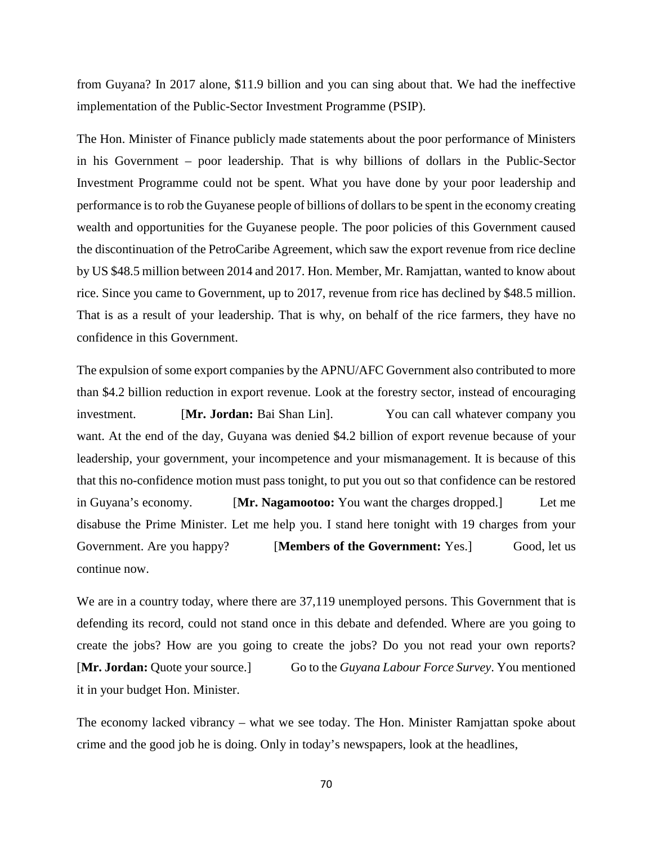from Guyana? In 2017 alone, \$11.9 billion and you can sing about that. We had the ineffective implementation of the Public-Sector Investment Programme (PSIP).

The Hon. Minister of Finance publicly made statements about the poor performance of Ministers in his Government – poor leadership. That is why billions of dollars in the Public-Sector Investment Programme could not be spent. What you have done by your poor leadership and performance is to rob the Guyanese people of billions of dollars to be spent in the economy creating wealth and opportunities for the Guyanese people. The poor policies of this Government caused the discontinuation of the PetroCaribe Agreement, which saw the export revenue from rice decline by US \$48.5 million between 2014 and 2017. Hon. Member, Mr. Ramjattan, wanted to know about rice. Since you came to Government, up to 2017, revenue from rice has declined by \$48.5 million. That is as a result of your leadership. That is why, on behalf of the rice farmers, they have no confidence in this Government.

The expulsion of some export companies by the APNU/AFC Government also contributed to more than \$4.2 billion reduction in export revenue. Look at the forestry sector, instead of encouraging investment. [**Mr. Jordan:** Bai Shan Lin]. You can call whatever company you want. At the end of the day, Guyana was denied \$4.2 billion of export revenue because of your leadership, your government, your incompetence and your mismanagement. It is because of this that this no-confidence motion must pass tonight, to put you out so that confidence can be restored in Guyana's economy. [**Mr. Nagamootoo:** You want the charges dropped.] Let me disabuse the Prime Minister. Let me help you. I stand here tonight with 19 charges from your Government. Are you happy? **IMembers of the Government:** Yes. Good, let us continue now.

We are in a country today, where there are  $37,119$  unemployed persons. This Government that is defending its record, could not stand once in this debate and defended. Where are you going to create the jobs? How are you going to create the jobs? Do you not read your own reports? [**Mr. Jordan:** Quote your source.] Go to the *Guyana Labour Force Survey*. You mentioned it in your budget Hon. Minister.

The economy lacked vibrancy – what we see today. The Hon. Minister Ramjattan spoke about crime and the good job he is doing. Only in today's newspapers, look at the headlines,

70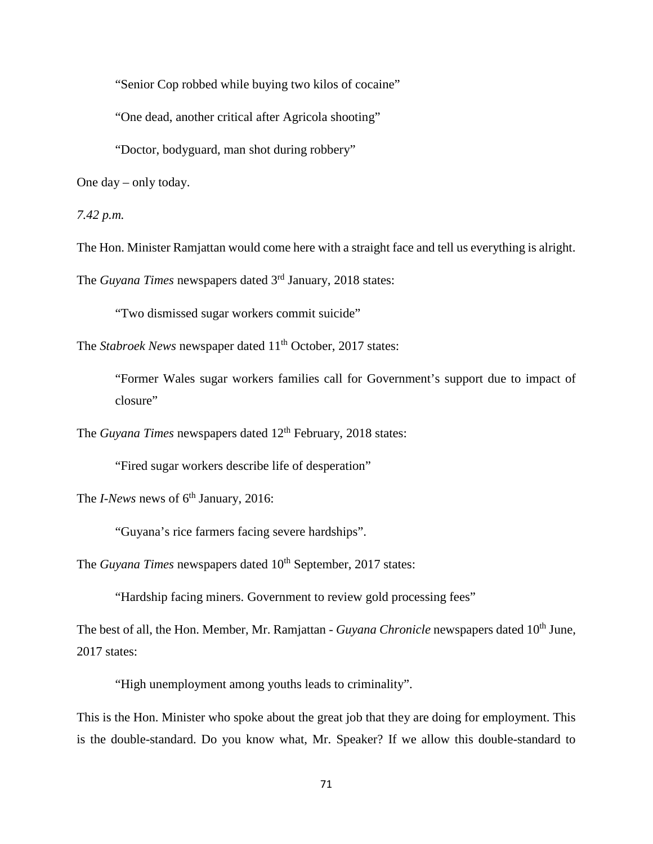"Senior Cop robbed while buying two kilos of cocaine"

"One dead, another critical after Agricola shooting"

"Doctor, bodyguard, man shot during robbery"

One day – only today.

*7.42 p.m.*

The Hon. Minister Ramjattan would come here with a straight face and tell us everything is alright.

The *Guyana Times* newspapers dated 3<sup>rd</sup> January, 2018 states:

"Two dismissed sugar workers commit suicide"

The *Stabroek News* newspaper dated 11<sup>th</sup> October, 2017 states:

"Former Wales sugar workers families call for Government's support due to impact of closure"

The *Guyana Times* newspapers dated 12<sup>th</sup> February, 2018 states:

"Fired sugar workers describe life of desperation"

The *I-News* news of 6<sup>th</sup> January, 2016:

"Guyana's rice farmers facing severe hardships".

The *Guyana Times* newspapers dated 10<sup>th</sup> September, 2017 states:

"Hardship facing miners. Government to review gold processing fees"

The best of all, the Hon. Member, Mr. Ramjattan - *Guyana Chronicle* newspapers dated 10<sup>th</sup> June, 2017 states:

"High unemployment among youths leads to criminality".

This is the Hon. Minister who spoke about the great job that they are doing for employment. This is the double-standard. Do you know what, Mr. Speaker? If we allow this double-standard to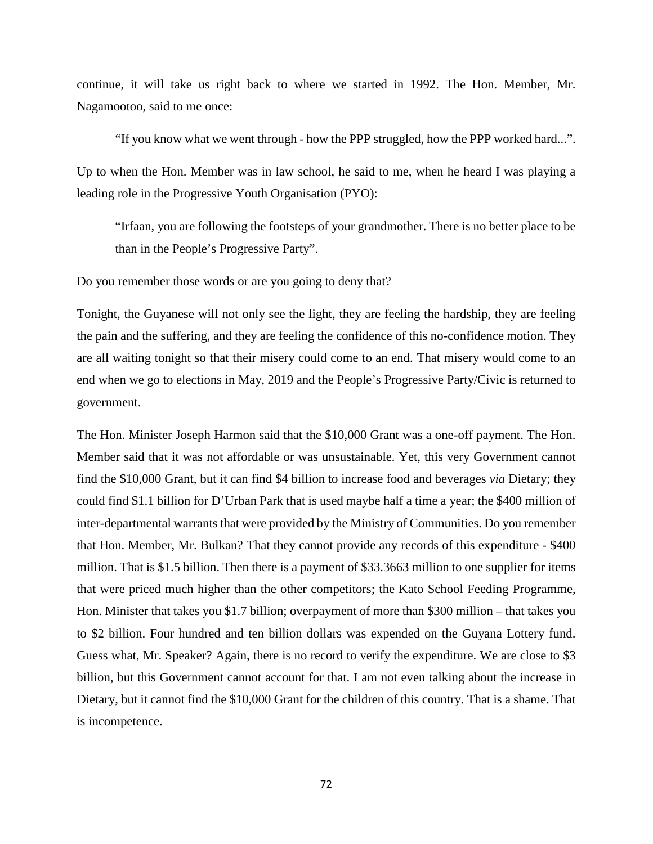continue, it will take us right back to where we started in 1992. The Hon. Member, Mr. Nagamootoo, said to me once:

"If you know what we went through - how the PPP struggled, how the PPP worked hard...". Up to when the Hon. Member was in law school, he said to me, when he heard I was playing a leading role in the Progressive Youth Organisation (PYO):

"Irfaan, you are following the footsteps of your grandmother. There is no better place to be than in the People's Progressive Party".

Do you remember those words or are you going to deny that?

Tonight, the Guyanese will not only see the light, they are feeling the hardship, they are feeling the pain and the suffering, and they are feeling the confidence of this no-confidence motion. They are all waiting tonight so that their misery could come to an end. That misery would come to an end when we go to elections in May, 2019 and the People's Progressive Party/Civic is returned to government.

The Hon. Minister Joseph Harmon said that the \$10,000 Grant was a one-off payment. The Hon. Member said that it was not affordable or was unsustainable. Yet, this very Government cannot find the \$10,000 Grant, but it can find \$4 billion to increase food and beverages *via* Dietary; they could find \$1.1 billion for D'Urban Park that is used maybe half a time a year; the \$400 million of inter-departmental warrants that were provided by the Ministry of Communities. Do you remember that Hon. Member, Mr. Bulkan? That they cannot provide any records of this expenditure - \$400 million. That is \$1.5 billion. Then there is a payment of \$33.3663 million to one supplier for items that were priced much higher than the other competitors; the Kato School Feeding Programme, Hon. Minister that takes you \$1.7 billion; overpayment of more than \$300 million – that takes you to \$2 billion. Four hundred and ten billion dollars was expended on the Guyana Lottery fund. Guess what, Mr. Speaker? Again, there is no record to verify the expenditure. We are close to \$3 billion, but this Government cannot account for that. I am not even talking about the increase in Dietary, but it cannot find the \$10,000 Grant for the children of this country. That is a shame. That is incompetence.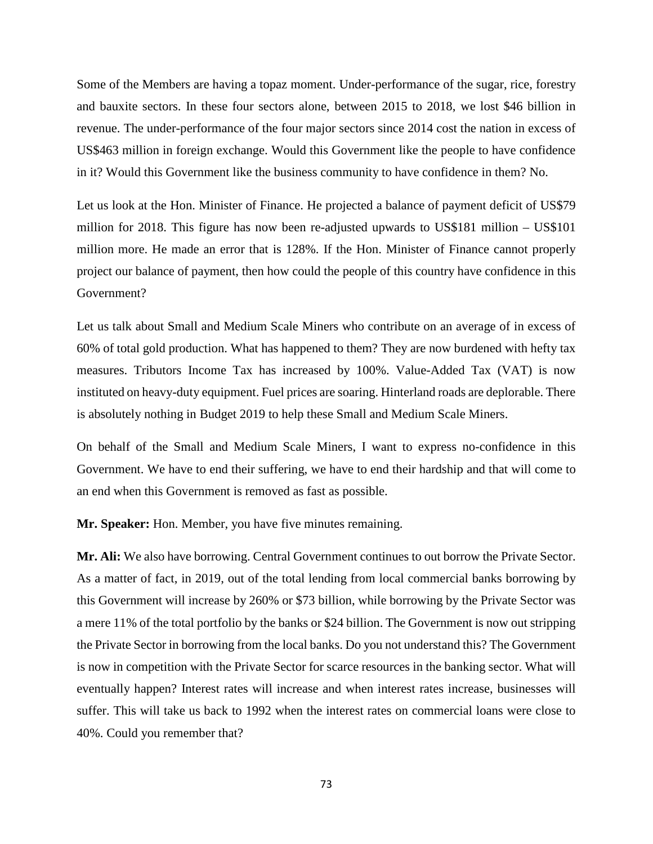Some of the Members are having a topaz moment. Under-performance of the sugar, rice, forestry and bauxite sectors. In these four sectors alone, between 2015 to 2018, we lost \$46 billion in revenue. The under-performance of the four major sectors since 2014 cost the nation in excess of US\$463 million in foreign exchange. Would this Government like the people to have confidence in it? Would this Government like the business community to have confidence in them? No.

Let us look at the Hon. Minister of Finance. He projected a balance of payment deficit of US\$79 million for 2018. This figure has now been re-adjusted upwards to US\$181 million – US\$101 million more. He made an error that is 128%. If the Hon. Minister of Finance cannot properly project our balance of payment, then how could the people of this country have confidence in this Government?

Let us talk about Small and Medium Scale Miners who contribute on an average of in excess of 60% of total gold production. What has happened to them? They are now burdened with hefty tax measures. Tributors Income Tax has increased by 100%. Value-Added Tax (VAT) is now instituted on heavy-duty equipment. Fuel prices are soaring. Hinterland roads are deplorable. There is absolutely nothing in Budget 2019 to help these Small and Medium Scale Miners.

On behalf of the Small and Medium Scale Miners, I want to express no-confidence in this Government. We have to end their suffering, we have to end their hardship and that will come to an end when this Government is removed as fast as possible.

**Mr. Speaker:** Hon. Member, you have five minutes remaining.

**Mr. Ali:** We also have borrowing. Central Government continues to out borrow the Private Sector. As a matter of fact, in 2019, out of the total lending from local commercial banks borrowing by this Government will increase by 260% or \$73 billion, while borrowing by the Private Sector was a mere 11% of the total portfolio by the banks or \$24 billion. The Government is now out stripping the Private Sector in borrowing from the local banks. Do you not understand this? The Government is now in competition with the Private Sector for scarce resources in the banking sector. What will eventually happen? Interest rates will increase and when interest rates increase, businesses will suffer. This will take us back to 1992 when the interest rates on commercial loans were close to 40%. Could you remember that?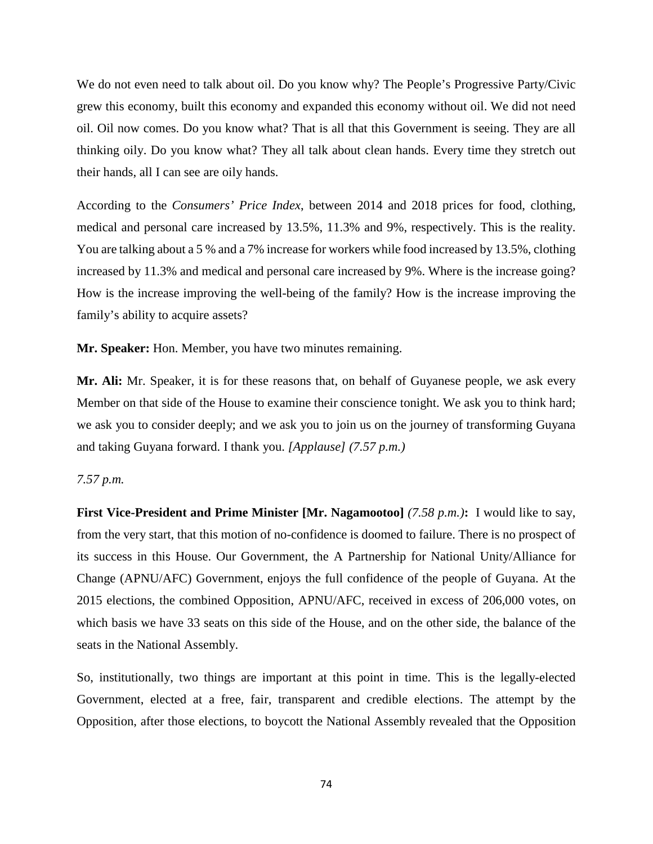We do not even need to talk about oil. Do you know why? The People's Progressive Party/Civic grew this economy, built this economy and expanded this economy without oil. We did not need oil. Oil now comes. Do you know what? That is all that this Government is seeing. They are all thinking oily. Do you know what? They all talk about clean hands. Every time they stretch out their hands, all I can see are oily hands.

According to the *Consumers' Price Index*, between 2014 and 2018 prices for food, clothing, medical and personal care increased by 13.5%, 11.3% and 9%, respectively. This is the reality. You are talking about a 5 % and a 7% increase for workers while food increased by 13.5%, clothing increased by 11.3% and medical and personal care increased by 9%. Where is the increase going? How is the increase improving the well-being of the family? How is the increase improving the family's ability to acquire assets?

**Mr. Speaker:** Hon. Member, you have two minutes remaining.

**Mr. Ali:** Mr. Speaker, it is for these reasons that, on behalf of Guyanese people, we ask every Member on that side of the House to examine their conscience tonight. We ask you to think hard; we ask you to consider deeply; and we ask you to join us on the journey of transforming Guyana and taking Guyana forward. I thank you. *[Applause] (7.57 p.m.)*

# *7.57 p.m.*

**First Vice-President and Prime Minister [Mr. Nagamootoo]** *(7.58 p.m.)***:** I would like to say, from the very start, that this motion of no-confidence is doomed to failure. There is no prospect of its success in this House. Our Government, the A Partnership for National Unity/Alliance for Change (APNU/AFC) Government, enjoys the full confidence of the people of Guyana. At the 2015 elections, the combined Opposition, APNU/AFC, received in excess of 206,000 votes, on which basis we have 33 seats on this side of the House, and on the other side, the balance of the seats in the National Assembly.

So, institutionally, two things are important at this point in time. This is the legally-elected Government, elected at a free, fair, transparent and credible elections. The attempt by the Opposition, after those elections, to boycott the National Assembly revealed that the Opposition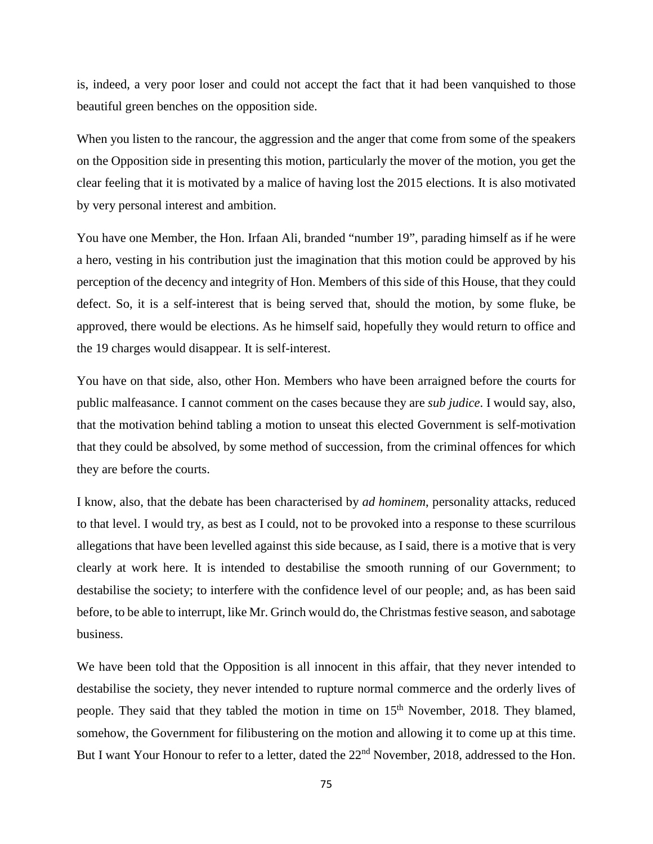is, indeed, a very poor loser and could not accept the fact that it had been vanquished to those beautiful green benches on the opposition side.

When you listen to the rancour, the aggression and the anger that come from some of the speakers on the Opposition side in presenting this motion, particularly the mover of the motion, you get the clear feeling that it is motivated by a malice of having lost the 2015 elections. It is also motivated by very personal interest and ambition.

You have one Member, the Hon. Irfaan Ali, branded "number 19", parading himself as if he were a hero, vesting in his contribution just the imagination that this motion could be approved by his perception of the decency and integrity of Hon. Members of this side of this House, that they could defect. So, it is a self-interest that is being served that, should the motion, by some fluke, be approved, there would be elections. As he himself said, hopefully they would return to office and the 19 charges would disappear. It is self-interest.

You have on that side, also, other Hon. Members who have been arraigned before the courts for public malfeasance. I cannot comment on the cases because they are *sub judice*. I would say, also, that the motivation behind tabling a motion to unseat this elected Government is self-motivation that they could be absolved, by some method of succession, from the criminal offences for which they are before the courts.

I know, also, that the debate has been characterised by *ad hominem*, personality attacks, reduced to that level. I would try, as best as I could, not to be provoked into a response to these scurrilous allegations that have been levelled against this side because, as I said, there is a motive that is very clearly at work here. It is intended to destabilise the smooth running of our Government; to destabilise the society; to interfere with the confidence level of our people; and, as has been said before, to be able to interrupt, like Mr. Grinch would do, the Christmas festive season, and sabotage business.

We have been told that the Opposition is all innocent in this affair, that they never intended to destabilise the society, they never intended to rupture normal commerce and the orderly lives of people. They said that they tabled the motion in time on 15<sup>th</sup> November, 2018. They blamed, somehow, the Government for filibustering on the motion and allowing it to come up at this time. But I want Your Honour to refer to a letter, dated the 22<sup>nd</sup> November, 2018, addressed to the Hon.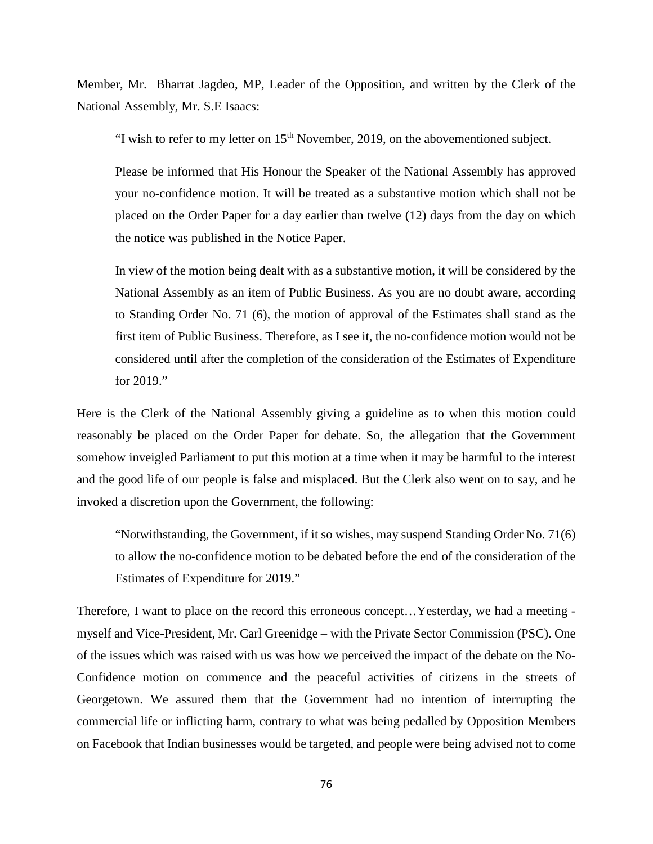Member, Mr. Bharrat Jagdeo, MP, Leader of the Opposition, and written by the Clerk of the National Assembly, Mr. S.E Isaacs:

"I wish to refer to my letter on  $15<sup>th</sup>$  November, 2019, on the abovementioned subject.

Please be informed that His Honour the Speaker of the National Assembly has approved your no-confidence motion. It will be treated as a substantive motion which shall not be placed on the Order Paper for a day earlier than twelve (12) days from the day on which the notice was published in the Notice Paper.

In view of the motion being dealt with as a substantive motion, it will be considered by the National Assembly as an item of Public Business. As you are no doubt aware, according to Standing Order No. 71 (6), the motion of approval of the Estimates shall stand as the first item of Public Business. Therefore, as I see it, the no-confidence motion would not be considered until after the completion of the consideration of the Estimates of Expenditure for 2019."

Here is the Clerk of the National Assembly giving a guideline as to when this motion could reasonably be placed on the Order Paper for debate. So, the allegation that the Government somehow inveigled Parliament to put this motion at a time when it may be harmful to the interest and the good life of our people is false and misplaced. But the Clerk also went on to say, and he invoked a discretion upon the Government, the following:

"Notwithstanding, the Government, if it so wishes, may suspend Standing Order No. 71(6) to allow the no-confidence motion to be debated before the end of the consideration of the Estimates of Expenditure for 2019."

Therefore, I want to place on the record this erroneous concept…Yesterday, we had a meeting myself and Vice-President, Mr. Carl Greenidge – with the Private Sector Commission (PSC). One of the issues which was raised with us was how we perceived the impact of the debate on the No-Confidence motion on commence and the peaceful activities of citizens in the streets of Georgetown. We assured them that the Government had no intention of interrupting the commercial life or inflicting harm, contrary to what was being pedalled by Opposition Members on Facebook that Indian businesses would be targeted, and people were being advised not to come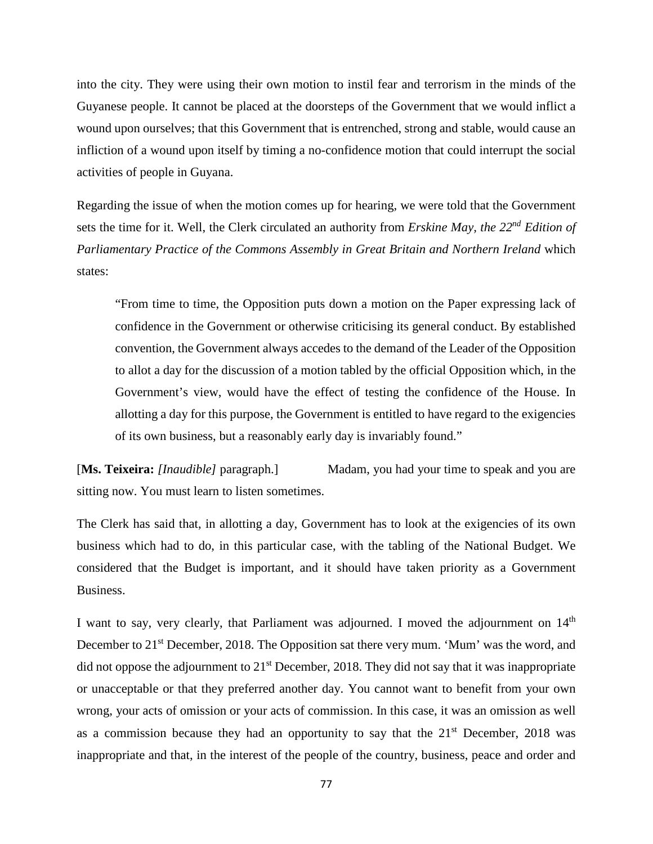into the city. They were using their own motion to instil fear and terrorism in the minds of the Guyanese people. It cannot be placed at the doorsteps of the Government that we would inflict a wound upon ourselves; that this Government that is entrenched, strong and stable, would cause an infliction of a wound upon itself by timing a no-confidence motion that could interrupt the social activities of people in Guyana.

Regarding the issue of when the motion comes up for hearing, we were told that the Government sets the time for it. Well, the Clerk circulated an authority from *Erskine May, the 22nd Edition of Parliamentary Practice of the Commons Assembly in Great Britain and Northern Ireland* which states:

"From time to time, the Opposition puts down a motion on the Paper expressing lack of confidence in the Government or otherwise criticising its general conduct. By established convention, the Government always accedes to the demand of the Leader of the Opposition to allot a day for the discussion of a motion tabled by the official Opposition which, in the Government's view, would have the effect of testing the confidence of the House. In allotting a day for this purpose, the Government is entitled to have regard to the exigencies of its own business, but a reasonably early day is invariably found."

[Ms. Teixeira: *[Inaudible]* paragraph.] Madam, you had your time to speak and you are sitting now. You must learn to listen sometimes.

The Clerk has said that, in allotting a day, Government has to look at the exigencies of its own business which had to do, in this particular case, with the tabling of the National Budget. We considered that the Budget is important, and it should have taken priority as a Government Business.

I want to say, very clearly, that Parliament was adjourned. I moved the adjournment on  $14<sup>th</sup>$ December to 21<sup>st</sup> December, 2018. The Opposition sat there very mum. 'Mum' was the word, and did not oppose the adjournment to  $21<sup>st</sup>$  December, 2018. They did not say that it was inappropriate or unacceptable or that they preferred another day. You cannot want to benefit from your own wrong, your acts of omission or your acts of commission. In this case, it was an omission as well as a commission because they had an opportunity to say that the  $21<sup>st</sup>$  December, 2018 was inappropriate and that, in the interest of the people of the country, business, peace and order and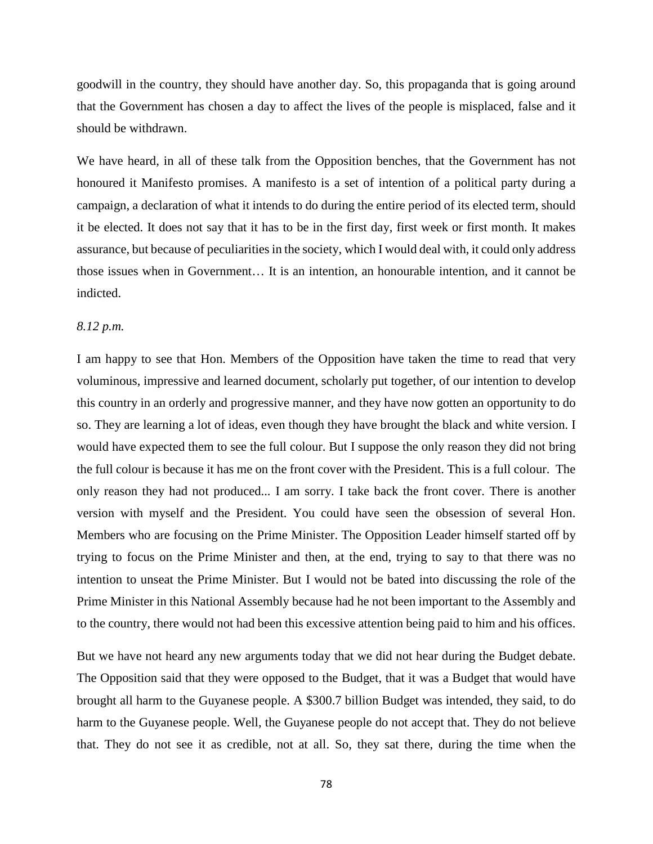goodwill in the country, they should have another day. So, this propaganda that is going around that the Government has chosen a day to affect the lives of the people is misplaced, false and it should be withdrawn.

We have heard, in all of these talk from the Opposition benches, that the Government has not honoured it Manifesto promises. A manifesto is a set of intention of a political party during a campaign, a declaration of what it intends to do during the entire period of its elected term, should it be elected. It does not say that it has to be in the first day, first week or first month. It makes assurance, but because of peculiaritiesin the society, which I would deal with, it could only address those issues when in Government… It is an intention, an honourable intention, and it cannot be indicted.

## *8.12 p.m.*

I am happy to see that Hon. Members of the Opposition have taken the time to read that very voluminous, impressive and learned document, scholarly put together, of our intention to develop this country in an orderly and progressive manner, and they have now gotten an opportunity to do so. They are learning a lot of ideas, even though they have brought the black and white version. I would have expected them to see the full colour. But I suppose the only reason they did not bring the full colour is because it has me on the front cover with the President. This is a full colour. The only reason they had not produced... I am sorry. I take back the front cover. There is another version with myself and the President. You could have seen the obsession of several Hon. Members who are focusing on the Prime Minister. The Opposition Leader himself started off by trying to focus on the Prime Minister and then, at the end, trying to say to that there was no intention to unseat the Prime Minister. But I would not be bated into discussing the role of the Prime Minister in this National Assembly because had he not been important to the Assembly and to the country, there would not had been this excessive attention being paid to him and his offices.

But we have not heard any new arguments today that we did not hear during the Budget debate. The Opposition said that they were opposed to the Budget, that it was a Budget that would have brought all harm to the Guyanese people. A \$300.7 billion Budget was intended, they said, to do harm to the Guyanese people. Well, the Guyanese people do not accept that. They do not believe that. They do not see it as credible, not at all. So, they sat there, during the time when the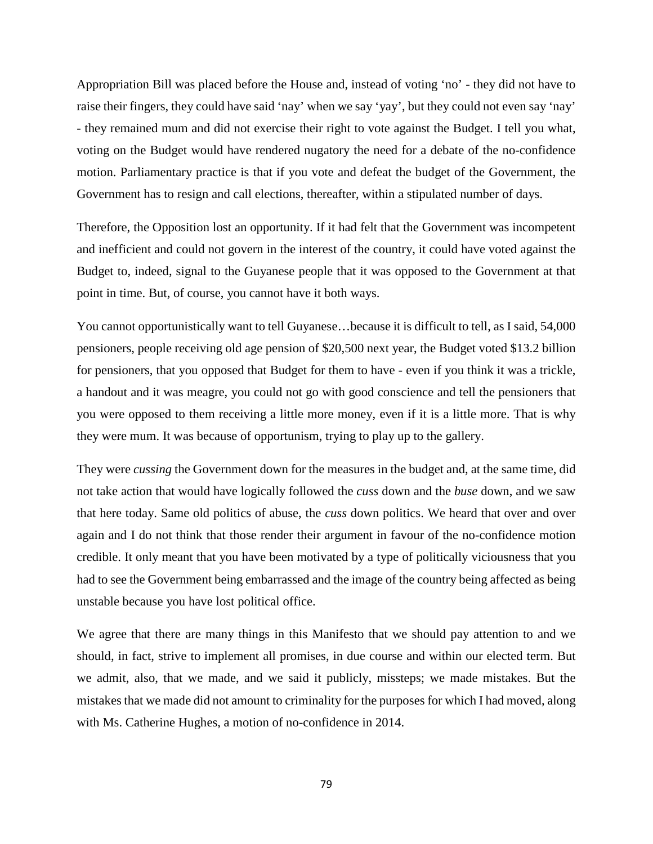Appropriation Bill was placed before the House and, instead of voting 'no' - they did not have to raise their fingers, they could have said 'nay' when we say 'yay', but they could not even say 'nay' - they remained mum and did not exercise their right to vote against the Budget. I tell you what, voting on the Budget would have rendered nugatory the need for a debate of the no-confidence motion. Parliamentary practice is that if you vote and defeat the budget of the Government, the Government has to resign and call elections, thereafter, within a stipulated number of days.

Therefore, the Opposition lost an opportunity. If it had felt that the Government was incompetent and inefficient and could not govern in the interest of the country, it could have voted against the Budget to, indeed, signal to the Guyanese people that it was opposed to the Government at that point in time. But, of course, you cannot have it both ways.

You cannot opportunistically want to tell Guyanese…because it is difficult to tell, as I said, 54,000 pensioners, people receiving old age pension of \$20,500 next year, the Budget voted \$13.2 billion for pensioners, that you opposed that Budget for them to have - even if you think it was a trickle, a handout and it was meagre, you could not go with good conscience and tell the pensioners that you were opposed to them receiving a little more money, even if it is a little more. That is why they were mum. It was because of opportunism, trying to play up to the gallery.

They were *cussing* the Government down for the measures in the budget and, at the same time, did not take action that would have logically followed the *cuss* down and the *buse* down, and we saw that here today. Same old politics of abuse, the *cuss* down politics. We heard that over and over again and I do not think that those render their argument in favour of the no-confidence motion credible. It only meant that you have been motivated by a type of politically viciousness that you had to see the Government being embarrassed and the image of the country being affected as being unstable because you have lost political office.

We agree that there are many things in this Manifesto that we should pay attention to and we should, in fact, strive to implement all promises, in due course and within our elected term. But we admit, also, that we made, and we said it publicly, missteps; we made mistakes. But the mistakes that we made did not amount to criminality for the purposes for which I had moved, along with Ms. Catherine Hughes, a motion of no-confidence in 2014.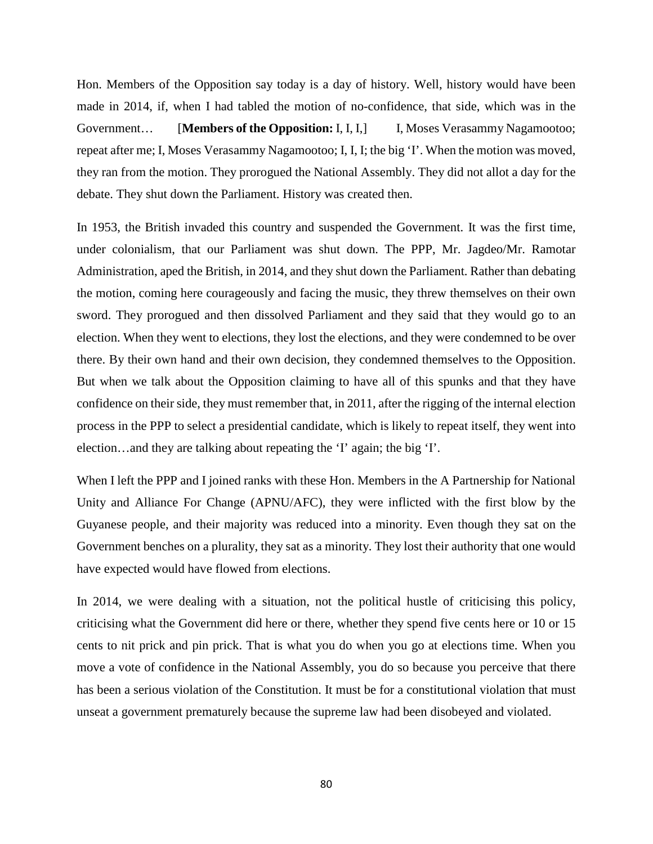Hon. Members of the Opposition say today is a day of history. Well, history would have been made in 2014, if, when I had tabled the motion of no-confidence, that side, which was in the Government... [Members of the Opposition: I, I, I,] I, Moses Verasammy Nagamootoo; repeat after me; I, Moses Verasammy Nagamootoo; I, I, I; the big 'I'. When the motion was moved, they ran from the motion. They prorogued the National Assembly. They did not allot a day for the debate. They shut down the Parliament. History was created then.

In 1953, the British invaded this country and suspended the Government. It was the first time, under colonialism, that our Parliament was shut down. The PPP, Mr. Jagdeo/Mr. Ramotar Administration, aped the British, in 2014, and they shut down the Parliament. Rather than debating the motion, coming here courageously and facing the music, they threw themselves on their own sword. They prorogued and then dissolved Parliament and they said that they would go to an election. When they went to elections, they lost the elections, and they were condemned to be over there. By their own hand and their own decision, they condemned themselves to the Opposition. But when we talk about the Opposition claiming to have all of this spunks and that they have confidence on their side, they must remember that, in 2011, after the rigging of the internal election process in the PPP to select a presidential candidate, which is likely to repeat itself, they went into election…and they are talking about repeating the 'I' again; the big 'I'.

When I left the PPP and I joined ranks with these Hon. Members in the A Partnership for National Unity and Alliance For Change (APNU/AFC), they were inflicted with the first blow by the Guyanese people, and their majority was reduced into a minority. Even though they sat on the Government benches on a plurality, they sat as a minority. They lost their authority that one would have expected would have flowed from elections.

In 2014, we were dealing with a situation, not the political hustle of criticising this policy, criticising what the Government did here or there, whether they spend five cents here or 10 or 15 cents to nit prick and pin prick. That is what you do when you go at elections time. When you move a vote of confidence in the National Assembly, you do so because you perceive that there has been a serious violation of the Constitution. It must be for a constitutional violation that must unseat a government prematurely because the supreme law had been disobeyed and violated.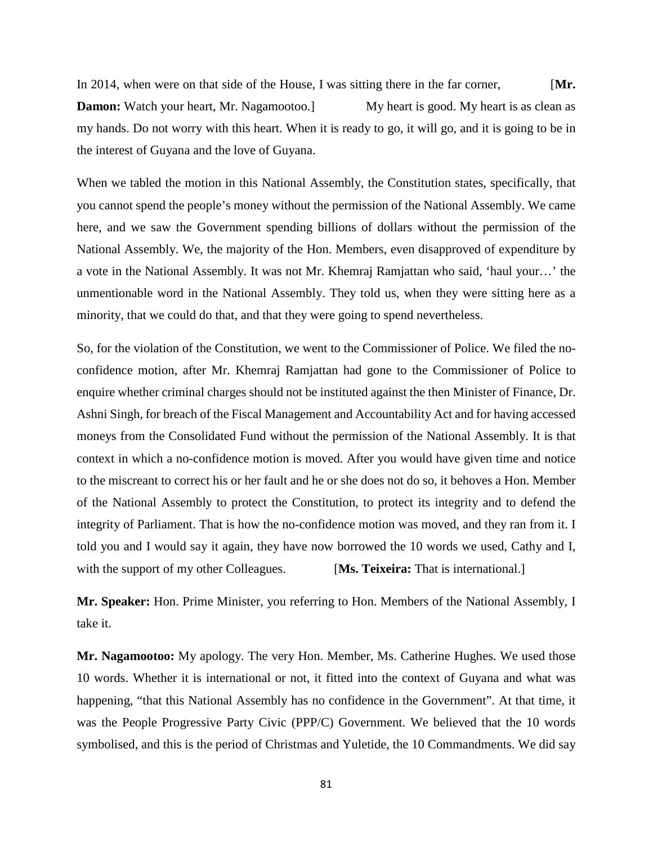In 2014, when were on that side of the House, I was sitting there in the far corner, [**Mr. Damon:** Watch your heart, Mr. Nagamootoo.] My heart is good. My heart is as clean as my hands. Do not worry with this heart. When it is ready to go, it will go, and it is going to be in the interest of Guyana and the love of Guyana.

When we tabled the motion in this National Assembly, the Constitution states, specifically, that you cannot spend the people's money without the permission of the National Assembly. We came here, and we saw the Government spending billions of dollars without the permission of the National Assembly. We, the majority of the Hon. Members, even disapproved of expenditure by a vote in the National Assembly. It was not Mr. Khemraj Ramjattan who said, 'haul your…' the unmentionable word in the National Assembly. They told us, when they were sitting here as a minority, that we could do that, and that they were going to spend nevertheless.

So, for the violation of the Constitution, we went to the Commissioner of Police. We filed the noconfidence motion, after Mr. Khemraj Ramjattan had gone to the Commissioner of Police to enquire whether criminal charges should not be instituted against the then Minister of Finance, Dr. Ashni Singh, for breach of the Fiscal Management and Accountability Act and for having accessed moneys from the Consolidated Fund without the permission of the National Assembly. It is that context in which a no-confidence motion is moved. After you would have given time and notice to the miscreant to correct his or her fault and he or she does not do so, it behoves a Hon. Member of the National Assembly to protect the Constitution, to protect its integrity and to defend the integrity of Parliament. That is how the no-confidence motion was moved, and they ran from it. I told you and I would say it again, they have now borrowed the 10 words we used, Cathy and I, with the support of my other Colleagues. **[Ms. Teixeira:** That is international.]

**Mr. Speaker:** Hon. Prime Minister, you referring to Hon. Members of the National Assembly, I take it.

**Mr. Nagamootoo:** My apology. The very Hon. Member, Ms. Catherine Hughes. We used those 10 words. Whether it is international or not, it fitted into the context of Guyana and what was happening, "that this National Assembly has no confidence in the Government". At that time, it was the People Progressive Party Civic (PPP/C) Government. We believed that the 10 words symbolised, and this is the period of Christmas and Yuletide, the 10 Commandments. We did say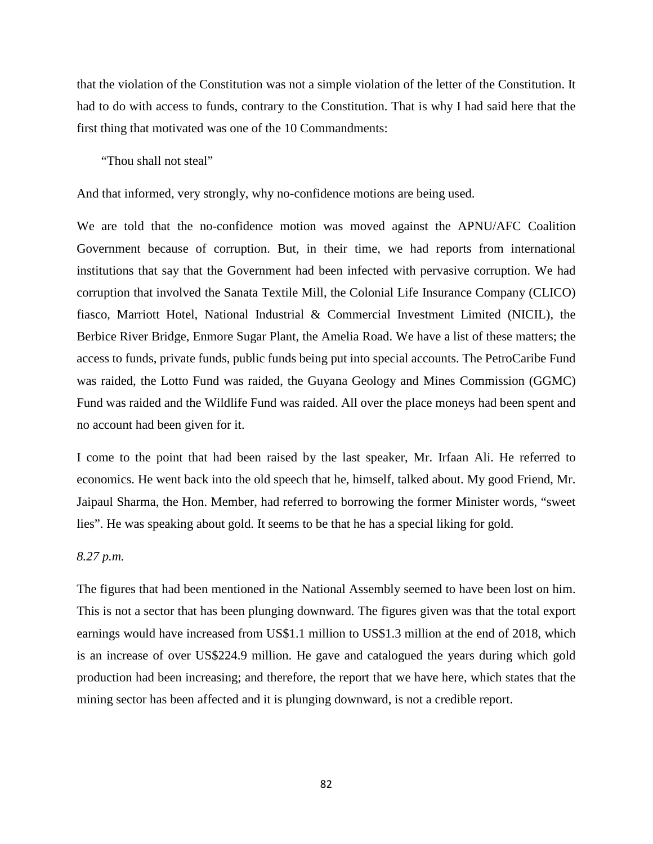that the violation of the Constitution was not a simple violation of the letter of the Constitution. It had to do with access to funds, contrary to the Constitution. That is why I had said here that the first thing that motivated was one of the 10 Commandments:

"Thou shall not steal"

And that informed, very strongly, why no-confidence motions are being used.

We are told that the no-confidence motion was moved against the APNU/AFC Coalition Government because of corruption. But, in their time, we had reports from international institutions that say that the Government had been infected with pervasive corruption. We had corruption that involved the Sanata Textile Mill, the Colonial Life Insurance Company (CLICO) fiasco, Marriott Hotel, National Industrial & Commercial Investment Limited (NICIL), the Berbice River Bridge, Enmore Sugar Plant, the Amelia Road. We have a list of these matters; the access to funds, private funds, public funds being put into special accounts. The PetroCaribe Fund was raided, the Lotto Fund was raided, the Guyana Geology and Mines Commission (GGMC) Fund was raided and the Wildlife Fund was raided. All over the place moneys had been spent and no account had been given for it.

I come to the point that had been raised by the last speaker, Mr. Irfaan Ali. He referred to economics. He went back into the old speech that he, himself, talked about. My good Friend, Mr. Jaipaul Sharma, the Hon. Member, had referred to borrowing the former Minister words, "sweet lies". He was speaking about gold. It seems to be that he has a special liking for gold.

## *8.27 p.m.*

The figures that had been mentioned in the National Assembly seemed to have been lost on him. This is not a sector that has been plunging downward. The figures given was that the total export earnings would have increased from US\$1.1 million to US\$1.3 million at the end of 2018, which is an increase of over US\$224.9 million. He gave and catalogued the years during which gold production had been increasing; and therefore, the report that we have here, which states that the mining sector has been affected and it is plunging downward, is not a credible report.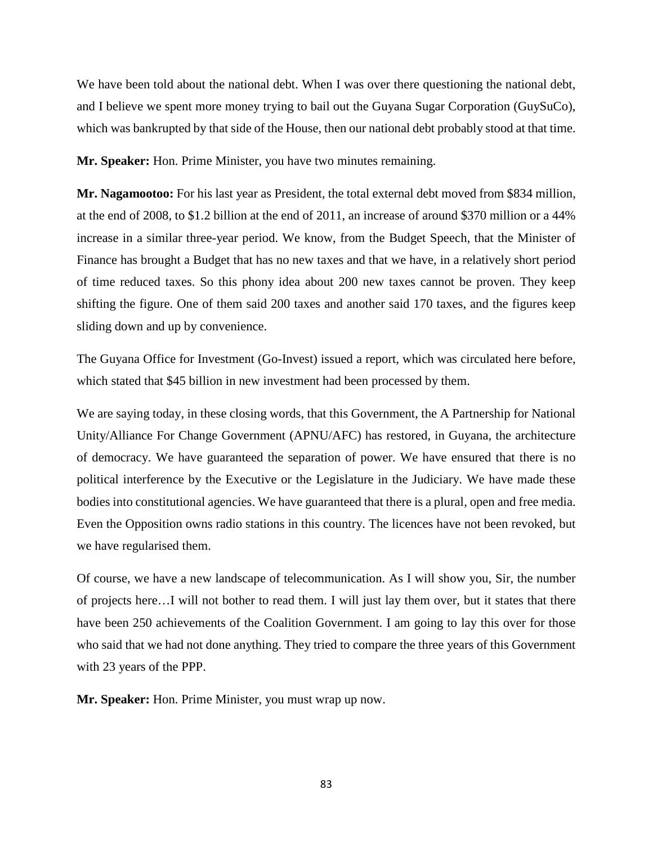We have been told about the national debt. When I was over there questioning the national debt, and I believe we spent more money trying to bail out the Guyana Sugar Corporation (GuySuCo), which was bankrupted by that side of the House, then our national debt probably stood at that time.

**Mr. Speaker:** Hon. Prime Minister, you have two minutes remaining.

**Mr. Nagamootoo:** For his last year as President, the total external debt moved from \$834 million, at the end of 2008, to \$1.2 billion at the end of 2011, an increase of around \$370 million or a 44% increase in a similar three-year period. We know, from the Budget Speech, that the Minister of Finance has brought a Budget that has no new taxes and that we have, in a relatively short period of time reduced taxes. So this phony idea about 200 new taxes cannot be proven. They keep shifting the figure. One of them said 200 taxes and another said 170 taxes, and the figures keep sliding down and up by convenience.

The Guyana Office for Investment (Go-Invest) issued a report, which was circulated here before, which stated that \$45 billion in new investment had been processed by them.

We are saying today, in these closing words, that this Government, the A Partnership for National Unity/Alliance For Change Government (APNU/AFC) has restored, in Guyana, the architecture of democracy. We have guaranteed the separation of power. We have ensured that there is no political interference by the Executive or the Legislature in the Judiciary. We have made these bodies into constitutional agencies. We have guaranteed that there is a plural, open and free media. Even the Opposition owns radio stations in this country. The licences have not been revoked, but we have regularised them.

Of course, we have a new landscape of telecommunication. As I will show you, Sir, the number of projects here…I will not bother to read them. I will just lay them over, but it states that there have been 250 achievements of the Coalition Government. I am going to lay this over for those who said that we had not done anything. They tried to compare the three years of this Government with 23 years of the PPP.

**Mr. Speaker:** Hon. Prime Minister, you must wrap up now.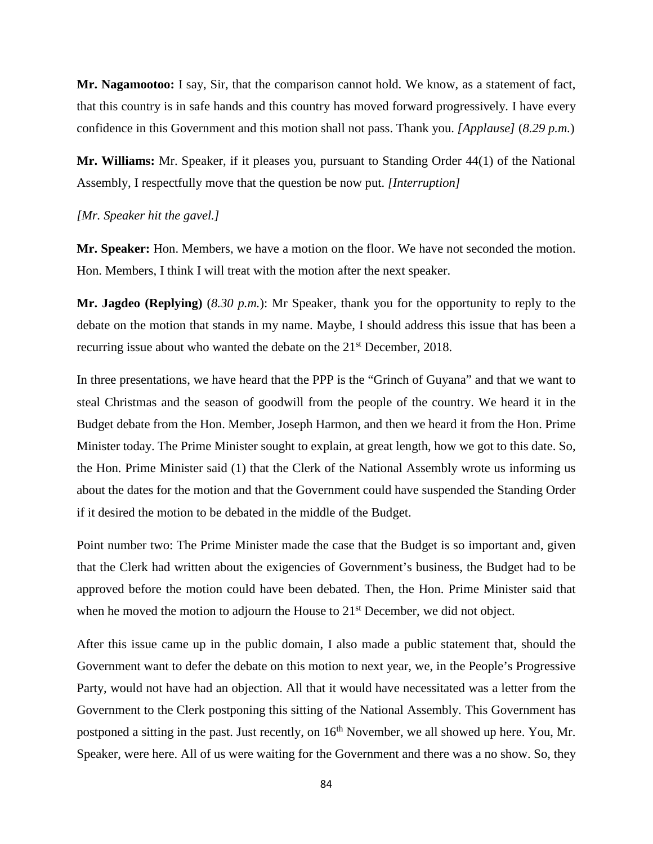**Mr. Nagamootoo:** I say, Sir, that the comparison cannot hold. We know, as a statement of fact, that this country is in safe hands and this country has moved forward progressively. I have every confidence in this Government and this motion shall not pass. Thank you. *[Applause]* (*8.29 p.m.*)

**Mr. Williams:** Mr. Speaker, if it pleases you, pursuant to Standing Order 44(1) of the National Assembly, I respectfully move that the question be now put. *[Interruption]*

### *[Mr. Speaker hit the gavel.]*

**Mr. Speaker:** Hon. Members, we have a motion on the floor. We have not seconded the motion. Hon. Members, I think I will treat with the motion after the next speaker.

**Mr. Jagdeo (Replying)** (*8.30 p.m.*): Mr Speaker, thank you for the opportunity to reply to the debate on the motion that stands in my name. Maybe, I should address this issue that has been a recurring issue about who wanted the debate on the 21<sup>st</sup> December, 2018.

In three presentations, we have heard that the PPP is the "Grinch of Guyana" and that we want to steal Christmas and the season of goodwill from the people of the country. We heard it in the Budget debate from the Hon. Member, Joseph Harmon, and then we heard it from the Hon. Prime Minister today. The Prime Minister sought to explain, at great length, how we got to this date. So, the Hon. Prime Minister said (1) that the Clerk of the National Assembly wrote us informing us about the dates for the motion and that the Government could have suspended the Standing Order if it desired the motion to be debated in the middle of the Budget.

Point number two: The Prime Minister made the case that the Budget is so important and, given that the Clerk had written about the exigencies of Government's business, the Budget had to be approved before the motion could have been debated. Then, the Hon. Prime Minister said that when he moved the motion to adjourn the House to 21<sup>st</sup> December, we did not object.

After this issue came up in the public domain, I also made a public statement that, should the Government want to defer the debate on this motion to next year, we, in the People's Progressive Party, would not have had an objection. All that it would have necessitated was a letter from the Government to the Clerk postponing this sitting of the National Assembly. This Government has postponed a sitting in the past. Just recently, on  $16<sup>th</sup>$  November, we all showed up here. You, Mr. Speaker, were here. All of us were waiting for the Government and there was a no show. So, they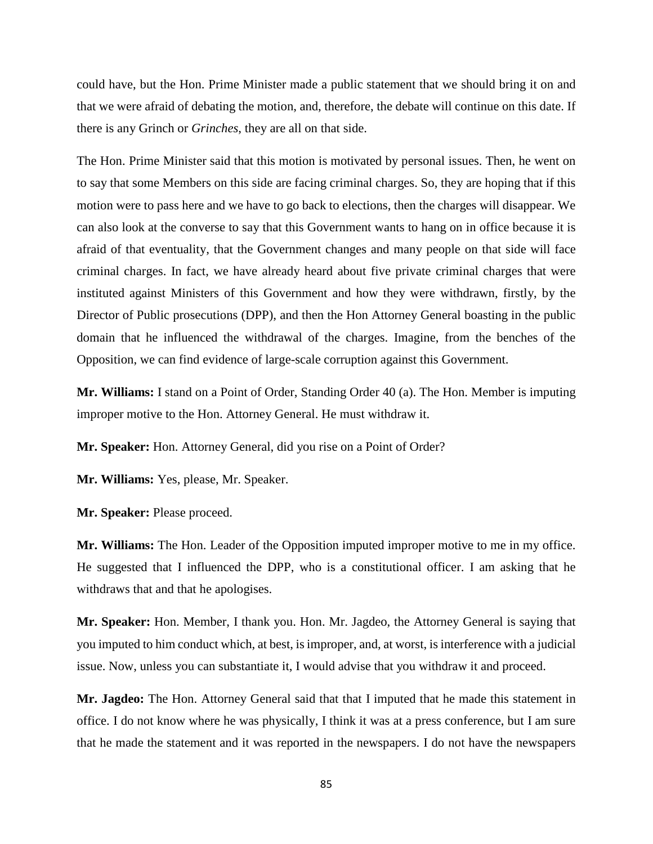could have, but the Hon. Prime Minister made a public statement that we should bring it on and that we were afraid of debating the motion, and, therefore, the debate will continue on this date. If there is any Grinch or *Grinches*, they are all on that side.

The Hon. Prime Minister said that this motion is motivated by personal issues. Then, he went on to say that some Members on this side are facing criminal charges. So, they are hoping that if this motion were to pass here and we have to go back to elections, then the charges will disappear. We can also look at the converse to say that this Government wants to hang on in office because it is afraid of that eventuality, that the Government changes and many people on that side will face criminal charges. In fact, we have already heard about five private criminal charges that were instituted against Ministers of this Government and how they were withdrawn, firstly, by the Director of Public prosecutions (DPP), and then the Hon Attorney General boasting in the public domain that he influenced the withdrawal of the charges. Imagine, from the benches of the Opposition, we can find evidence of large-scale corruption against this Government.

**Mr. Williams:** I stand on a Point of Order, Standing Order 40 (a). The Hon. Member is imputing improper motive to the Hon. Attorney General. He must withdraw it.

**Mr. Speaker:** Hon. Attorney General, did you rise on a Point of Order?

**Mr. Williams:** Yes, please, Mr. Speaker.

**Mr. Speaker:** Please proceed.

**Mr. Williams:** The Hon. Leader of the Opposition imputed improper motive to me in my office. He suggested that I influenced the DPP, who is a constitutional officer. I am asking that he withdraws that and that he apologises.

**Mr. Speaker:** Hon. Member, I thank you. Hon. Mr. Jagdeo, the Attorney General is saying that you imputed to him conduct which, at best, is improper, and, at worst, is interference with a judicial issue. Now, unless you can substantiate it, I would advise that you withdraw it and proceed.

**Mr. Jagdeo:** The Hon. Attorney General said that that I imputed that he made this statement in office. I do not know where he was physically, I think it was at a press conference, but I am sure that he made the statement and it was reported in the newspapers. I do not have the newspapers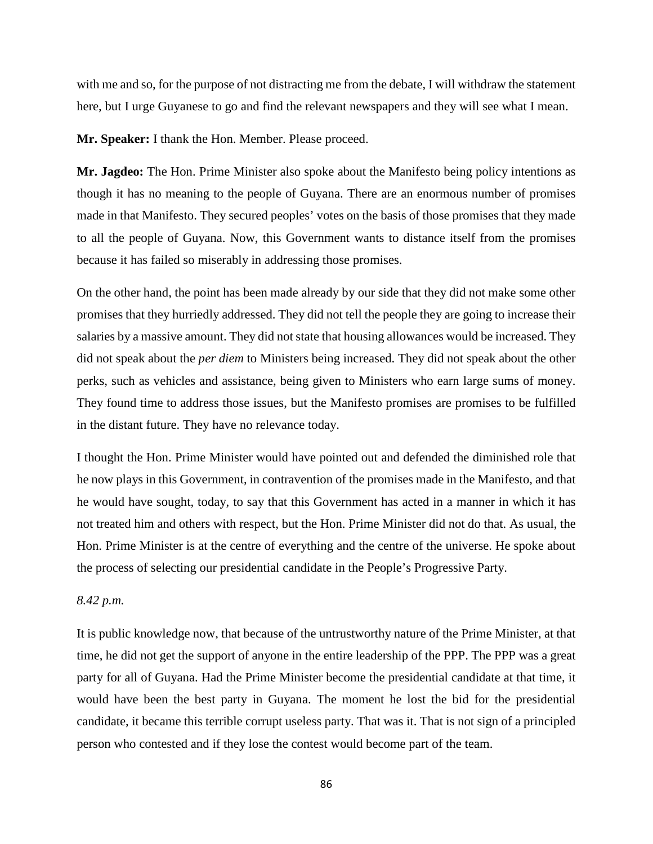with me and so, for the purpose of not distracting me from the debate, I will withdraw the statement here, but I urge Guyanese to go and find the relevant newspapers and they will see what I mean.

**Mr. Speaker:** I thank the Hon. Member. Please proceed.

**Mr. Jagdeo:** The Hon. Prime Minister also spoke about the Manifesto being policy intentions as though it has no meaning to the people of Guyana. There are an enormous number of promises made in that Manifesto. They secured peoples' votes on the basis of those promises that they made to all the people of Guyana. Now, this Government wants to distance itself from the promises because it has failed so miserably in addressing those promises.

On the other hand, the point has been made already by our side that they did not make some other promises that they hurriedly addressed. They did not tell the people they are going to increase their salaries by a massive amount. They did not state that housing allowances would be increased. They did not speak about the *per diem* to Ministers being increased. They did not speak about the other perks, such as vehicles and assistance, being given to Ministers who earn large sums of money. They found time to address those issues, but the Manifesto promises are promises to be fulfilled in the distant future. They have no relevance today.

I thought the Hon. Prime Minister would have pointed out and defended the diminished role that he now plays in this Government, in contravention of the promises made in the Manifesto, and that he would have sought, today, to say that this Government has acted in a manner in which it has not treated him and others with respect, but the Hon. Prime Minister did not do that. As usual, the Hon. Prime Minister is at the centre of everything and the centre of the universe. He spoke about the process of selecting our presidential candidate in the People's Progressive Party.

# *8.42 p.m.*

It is public knowledge now, that because of the untrustworthy nature of the Prime Minister, at that time, he did not get the support of anyone in the entire leadership of the PPP. The PPP was a great party for all of Guyana. Had the Prime Minister become the presidential candidate at that time, it would have been the best party in Guyana. The moment he lost the bid for the presidential candidate, it became this terrible corrupt useless party. That was it. That is not sign of a principled person who contested and if they lose the contest would become part of the team.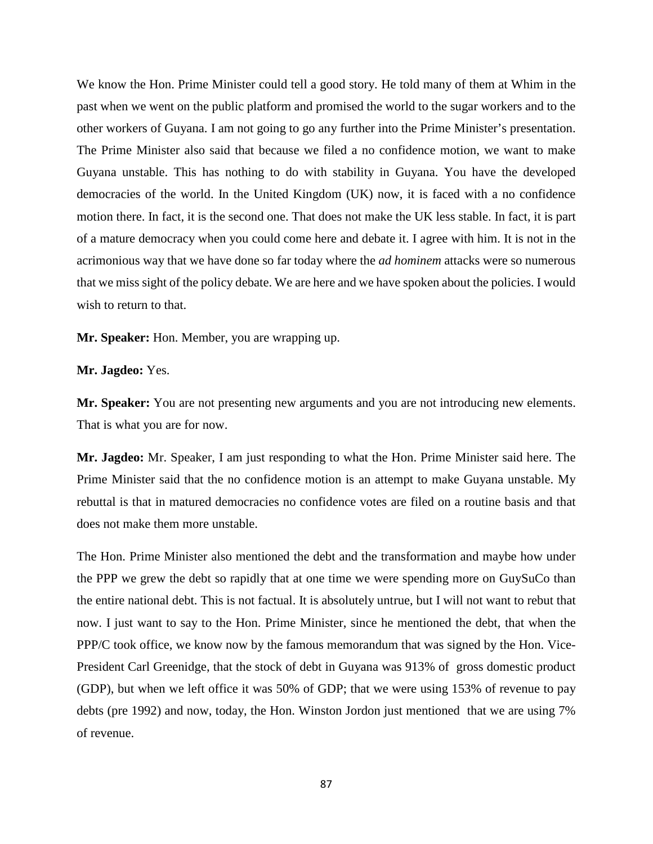We know the Hon. Prime Minister could tell a good story. He told many of them at Whim in the past when we went on the public platform and promised the world to the sugar workers and to the other workers of Guyana. I am not going to go any further into the Prime Minister's presentation. The Prime Minister also said that because we filed a no confidence motion, we want to make Guyana unstable. This has nothing to do with stability in Guyana. You have the developed democracies of the world. In the United Kingdom (UK) now, it is faced with a no confidence motion there. In fact, it is the second one. That does not make the UK less stable. In fact, it is part of a mature democracy when you could come here and debate it. I agree with him. It is not in the acrimonious way that we have done so far today where the *ad hominem* attacks were so numerous that we miss sight of the policy debate. We are here and we have spoken about the policies. I would wish to return to that.

**Mr. Speaker:** Hon. Member, you are wrapping up.

**Mr. Jagdeo:** Yes.

**Mr. Speaker:** You are not presenting new arguments and you are not introducing new elements. That is what you are for now.

**Mr. Jagdeo:** Mr. Speaker, I am just responding to what the Hon. Prime Minister said here. The Prime Minister said that the no confidence motion is an attempt to make Guyana unstable. My rebuttal is that in matured democracies no confidence votes are filed on a routine basis and that does not make them more unstable.

The Hon. Prime Minister also mentioned the debt and the transformation and maybe how under the PPP we grew the debt so rapidly that at one time we were spending more on GuySuCo than the entire national debt. This is not factual. It is absolutely untrue, but I will not want to rebut that now. I just want to say to the Hon. Prime Minister, since he mentioned the debt, that when the PPP/C took office, we know now by the famous memorandum that was signed by the Hon. Vice-President Carl Greenidge, that the stock of debt in Guyana was 913% of gross domestic product (GDP), but when we left office it was 50% of GDP; that we were using 153% of revenue to pay debts (pre 1992) and now, today, the Hon. Winston Jordon just mentioned that we are using 7% of revenue.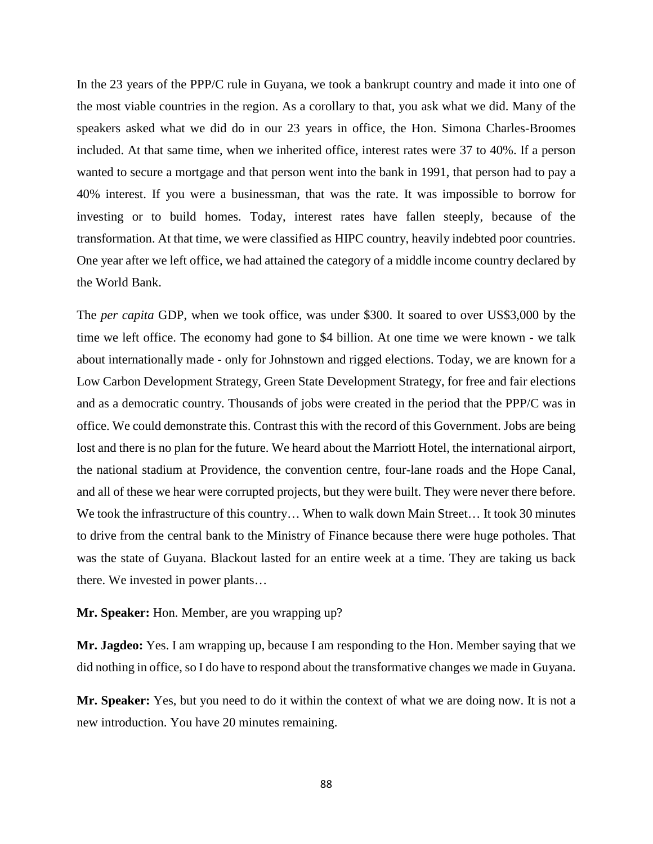In the 23 years of the PPP/C rule in Guyana, we took a bankrupt country and made it into one of the most viable countries in the region. As a corollary to that, you ask what we did. Many of the speakers asked what we did do in our 23 years in office, the Hon. Simona Charles-Broomes included. At that same time, when we inherited office, interest rates were 37 to 40%. If a person wanted to secure a mortgage and that person went into the bank in 1991, that person had to pay a 40% interest. If you were a businessman, that was the rate. It was impossible to borrow for investing or to build homes. Today, interest rates have fallen steeply, because of the transformation. At that time, we were classified as HIPC country, heavily indebted poor countries. One year after we left office, we had attained the category of a middle income country declared by the World Bank.

The *per capita* GDP, when we took office, was under \$300. It soared to over US\$3,000 by the time we left office. The economy had gone to \$4 billion. At one time we were known - we talk about internationally made - only for Johnstown and rigged elections. Today, we are known for a Low Carbon Development Strategy, Green State Development Strategy, for free and fair elections and as a democratic country. Thousands of jobs were created in the period that the PPP/C was in office. We could demonstrate this. Contrast this with the record of this Government. Jobs are being lost and there is no plan for the future. We heard about the Marriott Hotel, the international airport, the national stadium at Providence, the convention centre, four-lane roads and the Hope Canal, and all of these we hear were corrupted projects, but they were built. They were never there before. We took the infrastructure of this country... When to walk down Main Street... It took 30 minutes to drive from the central bank to the Ministry of Finance because there were huge potholes. That was the state of Guyana. Blackout lasted for an entire week at a time. They are taking us back there. We invested in power plants…

### **Mr. Speaker:** Hon. Member, are you wrapping up?

**Mr. Jagdeo:** Yes. I am wrapping up, because I am responding to the Hon. Member saying that we did nothing in office, so I do have to respond about the transformative changes we made in Guyana.

**Mr. Speaker:** Yes, but you need to do it within the context of what we are doing now. It is not a new introduction. You have 20 minutes remaining.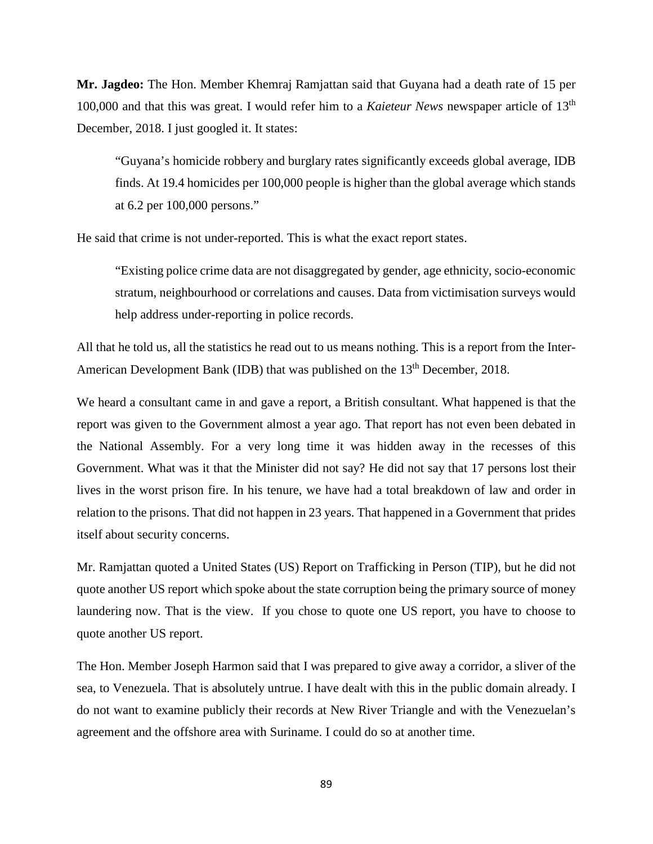**Mr. Jagdeo:** The Hon. Member Khemraj Ramjattan said that Guyana had a death rate of 15 per 100,000 and that this was great. I would refer him to a *Kaieteur News* newspaper article of 13th December, 2018. I just googled it. It states:

"Guyana's homicide robbery and burglary rates significantly exceeds global average, IDB finds. At 19.4 homicides per 100,000 people is higher than the global average which stands at 6.2 per 100,000 persons."

He said that crime is not under-reported. This is what the exact report states.

"Existing police crime data are not disaggregated by gender, age ethnicity, socio-economic stratum, neighbourhood or correlations and causes. Data from victimisation surveys would help address under-reporting in police records.

All that he told us, all the statistics he read out to us means nothing. This is a report from the Inter-American Development Bank (IDB) that was published on the 13<sup>th</sup> December, 2018.

We heard a consultant came in and gave a report, a British consultant. What happened is that the report was given to the Government almost a year ago. That report has not even been debated in the National Assembly. For a very long time it was hidden away in the recesses of this Government. What was it that the Minister did not say? He did not say that 17 persons lost their lives in the worst prison fire. In his tenure, we have had a total breakdown of law and order in relation to the prisons. That did not happen in 23 years. That happened in a Government that prides itself about security concerns.

Mr. Ramjattan quoted a United States (US) Report on Trafficking in Person (TIP), but he did not quote another US report which spoke about the state corruption being the primary source of money laundering now. That is the view. If you chose to quote one US report, you have to choose to quote another US report.

The Hon. Member Joseph Harmon said that I was prepared to give away a corridor, a sliver of the sea, to Venezuela. That is absolutely untrue. I have dealt with this in the public domain already. I do not want to examine publicly their records at New River Triangle and with the Venezuelan's agreement and the offshore area with Suriname. I could do so at another time.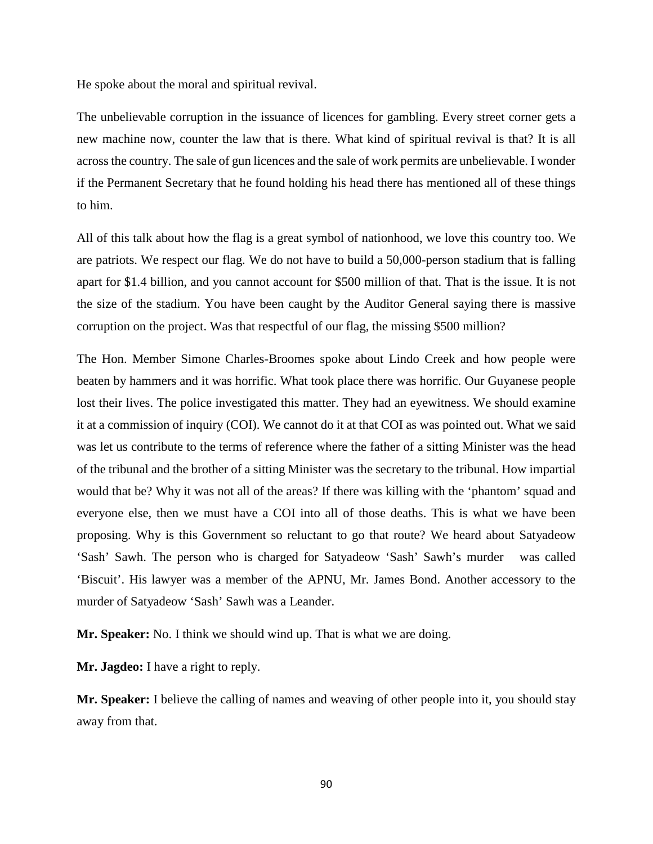He spoke about the moral and spiritual revival.

The unbelievable corruption in the issuance of licences for gambling. Every street corner gets a new machine now, counter the law that is there. What kind of spiritual revival is that? It is all across the country. The sale of gun licences and the sale of work permits are unbelievable. I wonder if the Permanent Secretary that he found holding his head there has mentioned all of these things to him.

All of this talk about how the flag is a great symbol of nationhood, we love this country too. We are patriots. We respect our flag. We do not have to build a 50,000-person stadium that is falling apart for \$1.4 billion, and you cannot account for \$500 million of that. That is the issue. It is not the size of the stadium. You have been caught by the Auditor General saying there is massive corruption on the project. Was that respectful of our flag, the missing \$500 million?

The Hon. Member Simone Charles-Broomes spoke about Lindo Creek and how people were beaten by hammers and it was horrific. What took place there was horrific. Our Guyanese people lost their lives. The police investigated this matter. They had an eyewitness. We should examine it at a commission of inquiry (COI). We cannot do it at that COI as was pointed out. What we said was let us contribute to the terms of reference where the father of a sitting Minister was the head of the tribunal and the brother of a sitting Minister was the secretary to the tribunal. How impartial would that be? Why it was not all of the areas? If there was killing with the 'phantom' squad and everyone else, then we must have a COI into all of those deaths. This is what we have been proposing. Why is this Government so reluctant to go that route? We heard about Satyadeow 'Sash' Sawh. The person who is charged for Satyadeow 'Sash' Sawh's murder was called 'Biscuit'. His lawyer was a member of the APNU, Mr. James Bond. Another accessory to the murder of Satyadeow 'Sash' Sawh was a Leander.

**Mr. Speaker:** No. I think we should wind up. That is what we are doing.

**Mr. Jagdeo:** I have a right to reply.

**Mr. Speaker:** I believe the calling of names and weaving of other people into it, you should stay away from that.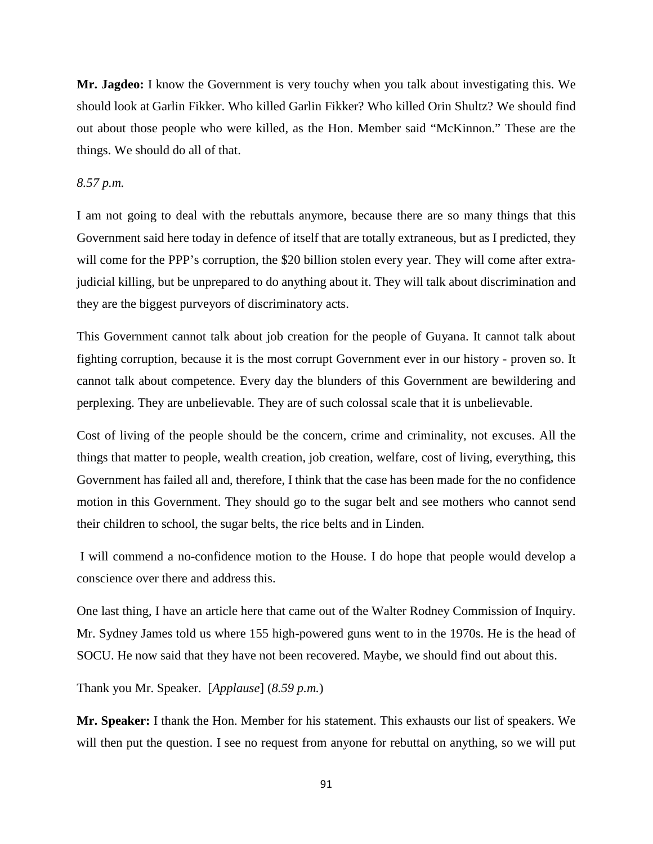**Mr. Jagdeo:** I know the Government is very touchy when you talk about investigating this. We should look at Garlin Fikker. Who killed Garlin Fikker? Who killed Orin Shultz? We should find out about those people who were killed, as the Hon. Member said "McKinnon." These are the things. We should do all of that.

## *8.57 p.m.*

I am not going to deal with the rebuttals anymore, because there are so many things that this Government said here today in defence of itself that are totally extraneous, but as I predicted, they will come for the PPP's corruption, the \$20 billion stolen every year. They will come after extrajudicial killing, but be unprepared to do anything about it. They will talk about discrimination and they are the biggest purveyors of discriminatory acts.

This Government cannot talk about job creation for the people of Guyana. It cannot talk about fighting corruption, because it is the most corrupt Government ever in our history - proven so. It cannot talk about competence. Every day the blunders of this Government are bewildering and perplexing. They are unbelievable. They are of such colossal scale that it is unbelievable.

Cost of living of the people should be the concern, crime and criminality, not excuses. All the things that matter to people, wealth creation, job creation, welfare, cost of living, everything, this Government has failed all and, therefore, I think that the case has been made for the no confidence motion in this Government. They should go to the sugar belt and see mothers who cannot send their children to school, the sugar belts, the rice belts and in Linden.

I will commend a no-confidence motion to the House. I do hope that people would develop a conscience over there and address this.

One last thing, I have an article here that came out of the Walter Rodney Commission of Inquiry. Mr. Sydney James told us where 155 high-powered guns went to in the 1970s. He is the head of SOCU. He now said that they have not been recovered. Maybe, we should find out about this.

Thank you Mr. Speaker. [*Applause*] (*8.59 p.m.*)

**Mr. Speaker:** I thank the Hon. Member for his statement. This exhausts our list of speakers. We will then put the question. I see no request from anyone for rebuttal on anything, so we will put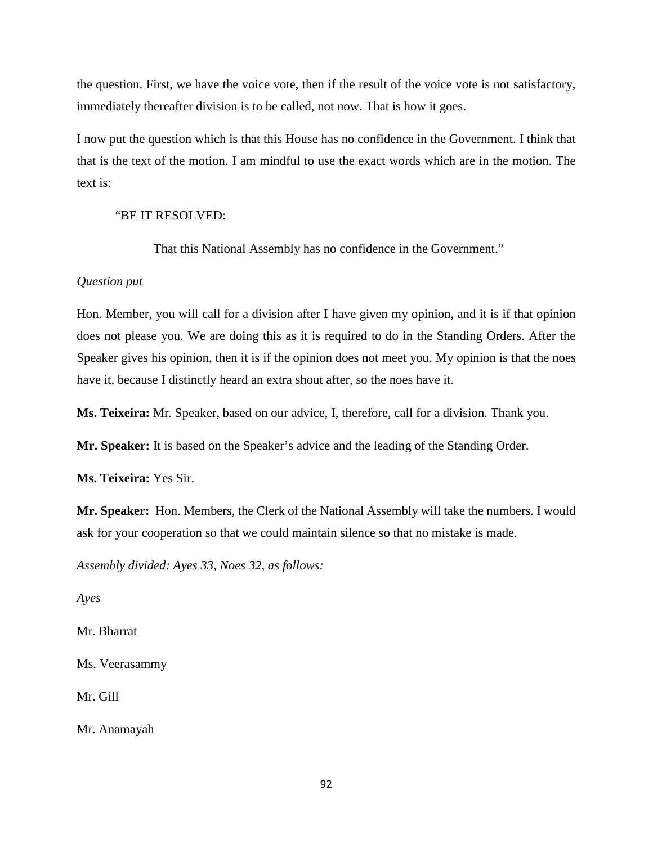the question. First, we have the voice vote, then if the result of the voice vote is not satisfactory, immediately thereafter division is to be called, not now. That is how it goes.

I now put the question which is that this House has no confidence in the Government. I think that that is the text of the motion. I am mindful to use the exact words which are in the motion. The text is:

## "BE IT RESOLVED:

That this National Assembly has no confidence in the Government."

# *Question put*

Hon. Member, you will call for a division after I have given my opinion, and it is if that opinion does not please you. We are doing this as it is required to do in the Standing Orders. After the Speaker gives his opinion, then it is if the opinion does not meet you. My opinion is that the noes have it, because I distinctly heard an extra shout after, so the noes have it.

**Ms. Teixeira:** Mr. Speaker, based on our advice, I, therefore, call for a division. Thank you.

**Mr. Speaker:** It is based on the Speaker's advice and the leading of the Standing Order.

**Ms. Teixeira:** Yes Sir.

**Mr. Speaker:** Hon. Members, the Clerk of the National Assembly will take the numbers. I would ask for your cooperation so that we could maintain silence so that no mistake is made.

*Assembly divided: Ayes 33, Noes 32, as follows:*

*Ayes* 

Mr. Bharrat

Ms. Veerasammy

Mr. Gill

Mr. Anamayah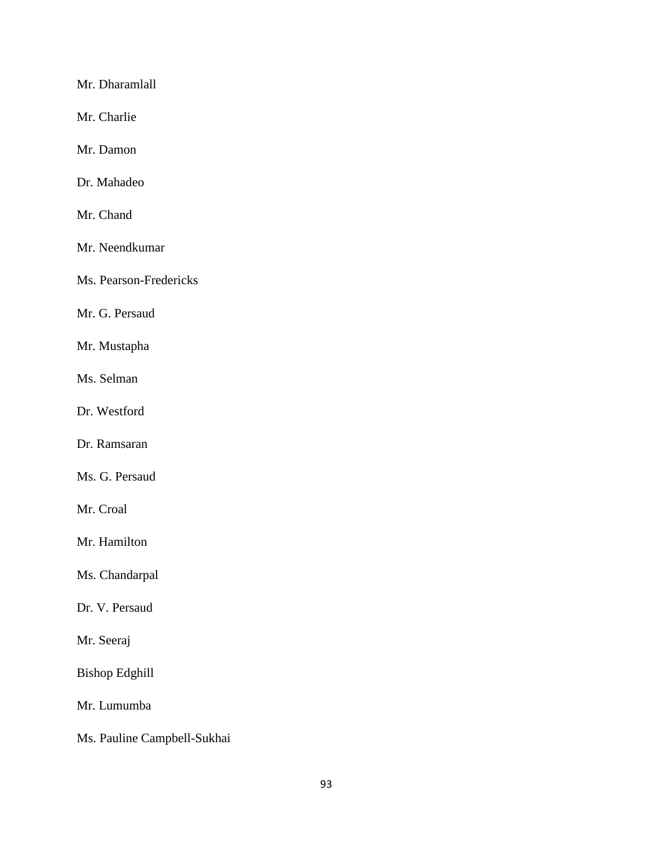Mr. Dharamlall

Mr. Charlie

Mr. Damon

Dr. Mahadeo

Mr. Chand

Mr. Neendkumar

Ms. Pearson-Fredericks

Mr. G. Persaud

Mr. Mustapha

Ms. Selman

Dr. Westford

Dr. Ramsaran

Ms. G. Persaud

Mr. Croal

Mr. Hamilton

Ms. Chandarpal

Dr. V. Persaud

Mr. Seeraj

Bishop Edghill

Mr. Lumumba

Ms. Pauline Campbell-Sukhai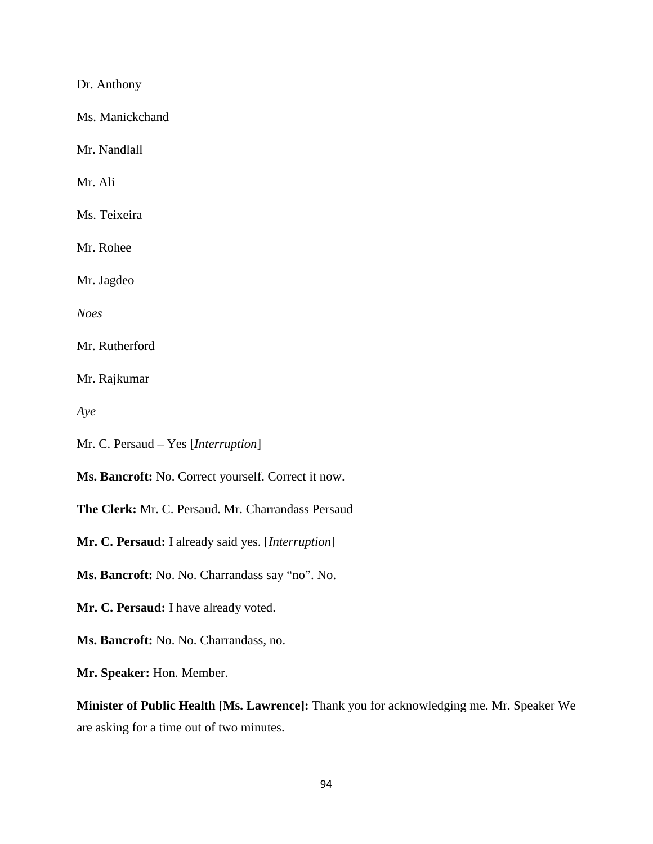Dr. Anthony

Ms. Manickchand

Mr. Nandlall

Mr. Ali

Ms. Teixeira

Mr. Rohee

Mr. Jagdeo

*Noes*

Mr. Rutherford

Mr. Rajkumar

*Aye*

Mr. C. Persaud – Yes [*Interruption*]

**Ms. Bancroft:** No. Correct yourself. Correct it now.

**The Clerk:** Mr. C. Persaud. Mr. Charrandass Persaud

**Mr. C. Persaud:** I already said yes. [*Interruption*]

**Ms. Bancroft:** No. No. Charrandass say "no". No.

**Mr. C. Persaud:** I have already voted.

**Ms. Bancroft:** No. No. Charrandass, no.

**Mr. Speaker:** Hon. Member.

**Minister of Public Health [Ms. Lawrence]:** Thank you for acknowledging me. Mr. Speaker We are asking for a time out of two minutes.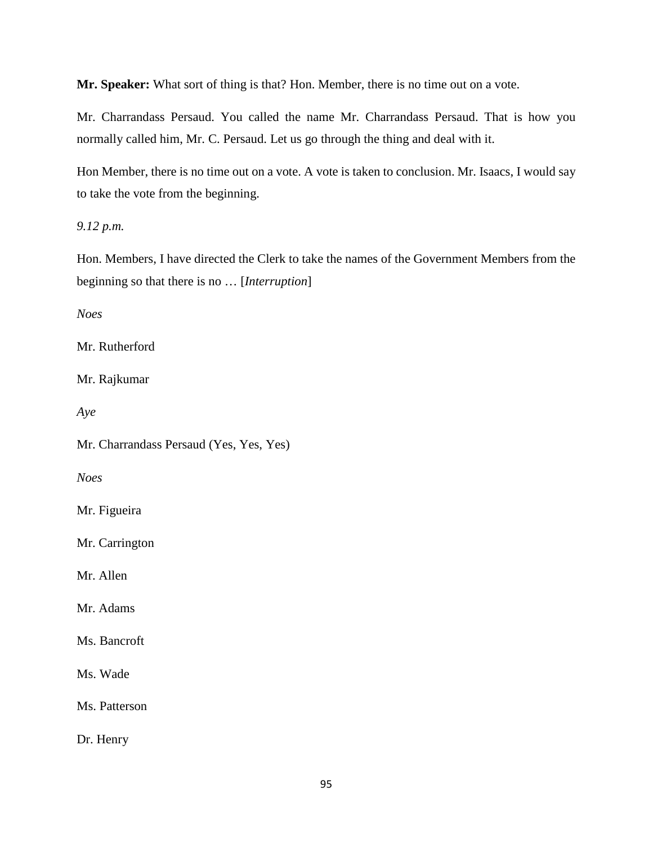**Mr. Speaker:** What sort of thing is that? Hon. Member, there is no time out on a vote.

Mr. Charrandass Persaud. You called the name Mr. Charrandass Persaud. That is how you normally called him, Mr. C. Persaud. Let us go through the thing and deal with it.

Hon Member, there is no time out on a vote. A vote is taken to conclusion. Mr. Isaacs, I would say to take the vote from the beginning.

*9.12 p.m.* 

Hon. Members, I have directed the Clerk to take the names of the Government Members from the beginning so that there is no … [*Interruption*]

*Noes*

Mr. Rutherford

Mr. Rajkumar

*Aye*

Mr. Charrandass Persaud (Yes, Yes, Yes)

*Noes*

Mr. Figueira

Mr. Carrington

Mr. Allen

Mr. Adams

Ms. Bancroft

Ms. Wade

Ms. Patterson

Dr. Henry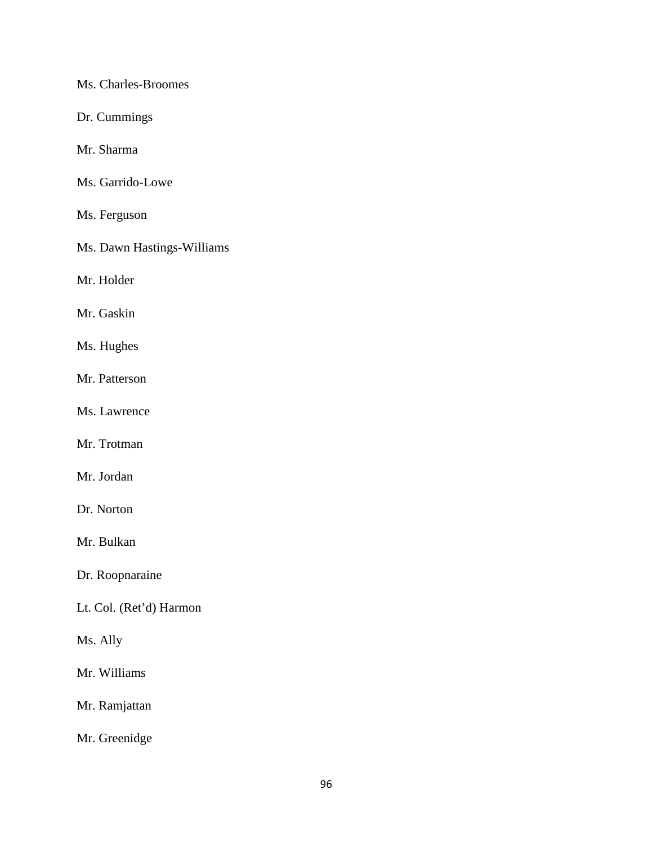Ms. Charles-Broomes

Dr. Cummings

Mr. Sharma

Ms. Garrido-Lowe

Ms. Ferguson

Ms. Dawn Hastings-Williams

Mr. Holder

Mr. Gaskin

Ms. Hughes

Mr. Patterson

Ms. Lawrence

Mr. Trotman

Mr. Jordan

Dr. Norton

Mr. Bulkan

Dr. Roopnaraine

Lt. Col. (Ret'd) Harmon

Ms. Ally

Mr. Williams

Mr. Ramjattan

Mr. Greenidge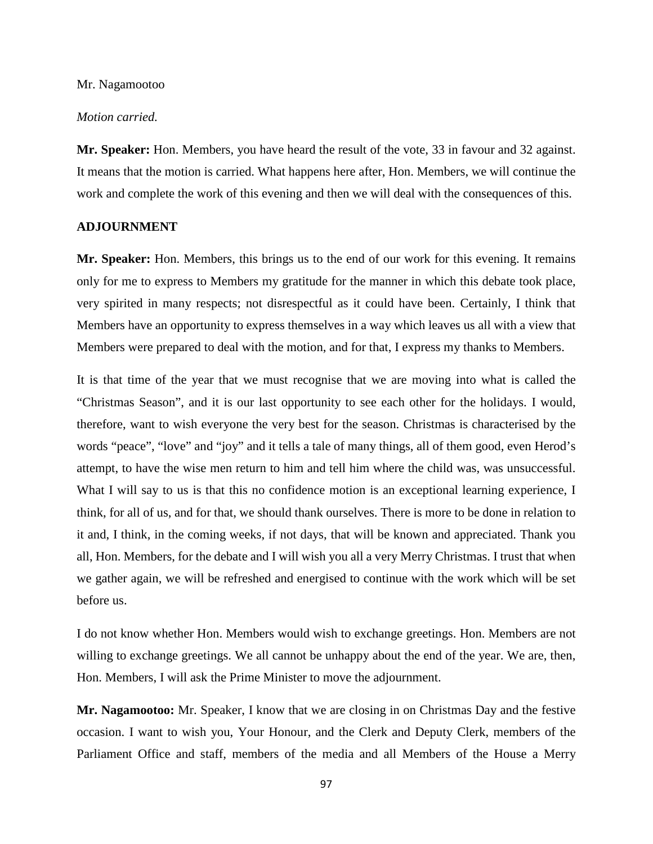#### Mr. Nagamootoo

#### *Motion carried.*

**Mr. Speaker:** Hon. Members, you have heard the result of the vote, 33 in favour and 32 against. It means that the motion is carried. What happens here after, Hon. Members, we will continue the work and complete the work of this evening and then we will deal with the consequences of this.

#### **ADJOURNMENT**

**Mr. Speaker:** Hon. Members, this brings us to the end of our work for this evening. It remains only for me to express to Members my gratitude for the manner in which this debate took place, very spirited in many respects; not disrespectful as it could have been. Certainly, I think that Members have an opportunity to express themselves in a way which leaves us all with a view that Members were prepared to deal with the motion, and for that, I express my thanks to Members.

It is that time of the year that we must recognise that we are moving into what is called the "Christmas Season", and it is our last opportunity to see each other for the holidays. I would, therefore, want to wish everyone the very best for the season. Christmas is characterised by the words "peace", "love" and "joy" and it tells a tale of many things, all of them good, even Herod's attempt, to have the wise men return to him and tell him where the child was, was unsuccessful. What I will say to us is that this no confidence motion is an exceptional learning experience, I think, for all of us, and for that, we should thank ourselves. There is more to be done in relation to it and, I think, in the coming weeks, if not days, that will be known and appreciated. Thank you all, Hon. Members, for the debate and I will wish you all a very Merry Christmas. I trust that when we gather again, we will be refreshed and energised to continue with the work which will be set before us.

I do not know whether Hon. Members would wish to exchange greetings. Hon. Members are not willing to exchange greetings. We all cannot be unhappy about the end of the year. We are, then, Hon. Members, I will ask the Prime Minister to move the adjournment.

**Mr. Nagamootoo:** Mr. Speaker, I know that we are closing in on Christmas Day and the festive occasion. I want to wish you, Your Honour, and the Clerk and Deputy Clerk, members of the Parliament Office and staff, members of the media and all Members of the House a Merry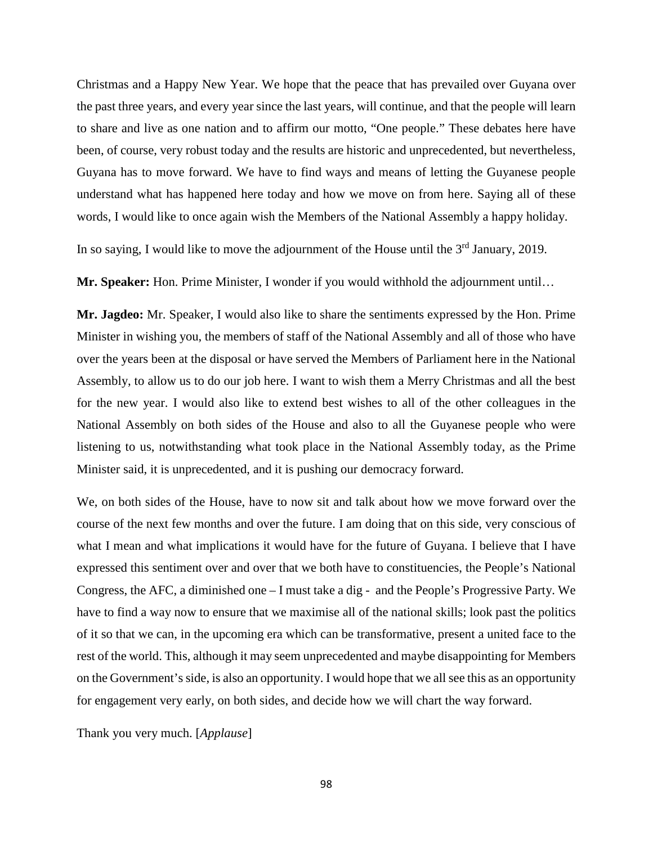Christmas and a Happy New Year. We hope that the peace that has prevailed over Guyana over the past three years, and every year since the last years, will continue, and that the people will learn to share and live as one nation and to affirm our motto, "One people." These debates here have been, of course, very robust today and the results are historic and unprecedented, but nevertheless, Guyana has to move forward. We have to find ways and means of letting the Guyanese people understand what has happened here today and how we move on from here. Saying all of these words, I would like to once again wish the Members of the National Assembly a happy holiday.

In so saying, I would like to move the adjournment of the House until the  $3<sup>rd</sup>$  January, 2019.

**Mr. Speaker:** Hon. Prime Minister, I wonder if you would withhold the adjournment until…

**Mr. Jagdeo:** Mr. Speaker, I would also like to share the sentiments expressed by the Hon. Prime Minister in wishing you, the members of staff of the National Assembly and all of those who have over the years been at the disposal or have served the Members of Parliament here in the National Assembly, to allow us to do our job here. I want to wish them a Merry Christmas and all the best for the new year. I would also like to extend best wishes to all of the other colleagues in the National Assembly on both sides of the House and also to all the Guyanese people who were listening to us, notwithstanding what took place in the National Assembly today, as the Prime Minister said, it is unprecedented, and it is pushing our democracy forward.

We, on both sides of the House, have to now sit and talk about how we move forward over the course of the next few months and over the future. I am doing that on this side, very conscious of what I mean and what implications it would have for the future of Guyana. I believe that I have expressed this sentiment over and over that we both have to constituencies, the People's National Congress, the AFC, a diminished one – I must take a dig - and the People's Progressive Party. We have to find a way now to ensure that we maximise all of the national skills; look past the politics of it so that we can, in the upcoming era which can be transformative, present a united face to the rest of the world. This, although it may seem unprecedented and maybe disappointing for Members on the Government's side, is also an opportunity. I would hope that we all see this as an opportunity for engagement very early, on both sides, and decide how we will chart the way forward.

Thank you very much. [*Applause*]